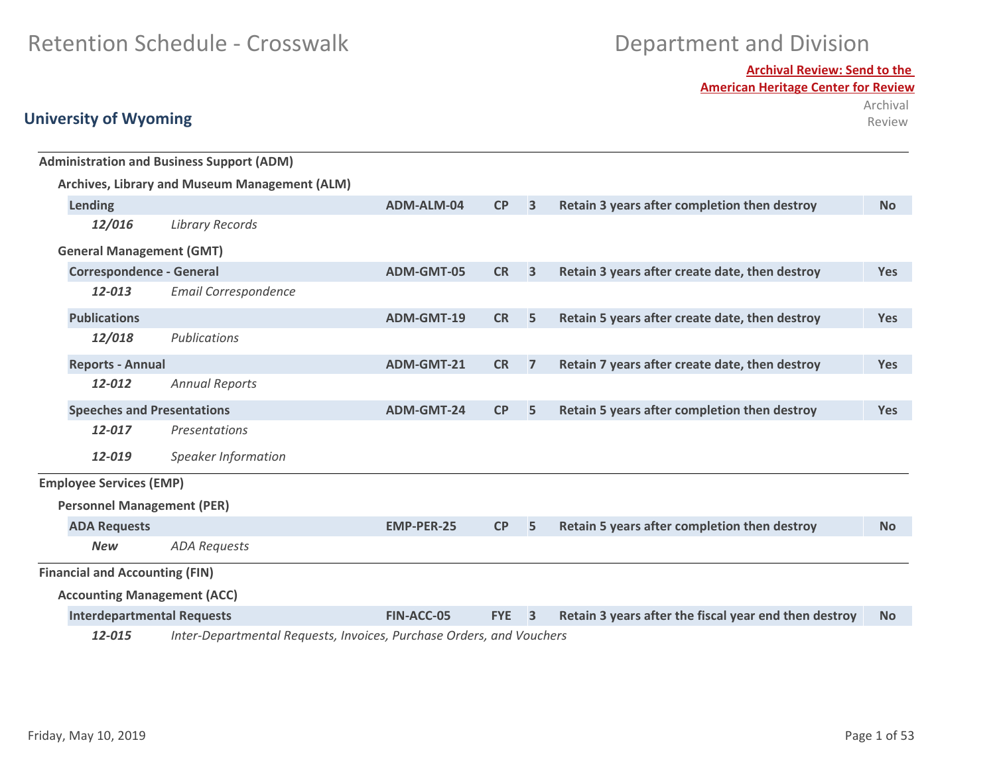**Archival Review: Send to the** 

**American Heritage Center for Review**

Archival Review

|                                       | <b>Administration and Business Support (ADM)</b>                     |                   |           |                                                       |                                                |            |
|---------------------------------------|----------------------------------------------------------------------|-------------------|-----------|-------------------------------------------------------|------------------------------------------------|------------|
|                                       | Archives, Library and Museum Management (ALM)                        |                   |           |                                                       |                                                |            |
| Lending                               |                                                                      | ADM-ALM-04        | CP        | $\overline{\mathbf{3}}$                               | Retain 3 years after completion then destroy   | <b>No</b>  |
| 12/016                                | <b>Library Records</b>                                               |                   |           |                                                       |                                                |            |
| <b>General Management (GMT)</b>       |                                                                      |                   |           |                                                       |                                                |            |
| <b>Correspondence - General</b>       |                                                                      | ADM-GMT-05        | <b>CR</b> | $\overline{3}$                                        | Retain 3 years after create date, then destroy | <b>Yes</b> |
| 12-013                                | <b>Email Correspondence</b>                                          |                   |           |                                                       |                                                |            |
| <b>Publications</b>                   |                                                                      | ADM-GMT-19        | <b>CR</b> | 5                                                     | Retain 5 years after create date, then destroy | <b>Yes</b> |
| 12/018                                | Publications                                                         |                   |           |                                                       |                                                |            |
| <b>Reports - Annual</b>               |                                                                      | <b>ADM-GMT-21</b> | <b>CR</b> | $\overline{7}$                                        | Retain 7 years after create date, then destroy | <b>Yes</b> |
| 12-012                                | <b>Annual Reports</b>                                                |                   |           |                                                       |                                                |            |
| <b>Speeches and Presentations</b>     |                                                                      | <b>ADM-GMT-24</b> | CP        | 5                                                     | Retain 5 years after completion then destroy   | <b>Yes</b> |
| 12-017                                | Presentations                                                        |                   |           |                                                       |                                                |            |
| 12-019                                | <b>Speaker Information</b>                                           |                   |           |                                                       |                                                |            |
| <b>Employee Services (EMP)</b>        |                                                                      |                   |           |                                                       |                                                |            |
| <b>Personnel Management (PER)</b>     |                                                                      |                   |           |                                                       |                                                |            |
| <b>ADA Requests</b>                   |                                                                      | <b>EMP-PER-25</b> | <b>CP</b> | 5                                                     | Retain 5 years after completion then destroy   | <b>No</b>  |
| <b>New</b>                            | <b>ADA Requests</b>                                                  |                   |           |                                                       |                                                |            |
| <b>Financial and Accounting (FIN)</b> |                                                                      |                   |           |                                                       |                                                |            |
| <b>Accounting Management (ACC)</b>    |                                                                      |                   |           |                                                       |                                                |            |
| <b>Interdepartmental Requests</b>     | <b>FIN-ACC-05</b>                                                    | <b>FYE</b>        | 3         | Retain 3 years after the fiscal year end then destroy | <b>No</b>                                      |            |
| 12-015                                | Inter-Departmental Requests, Invoices, Purchase Orders, and Vouchers |                   |           |                                                       |                                                |            |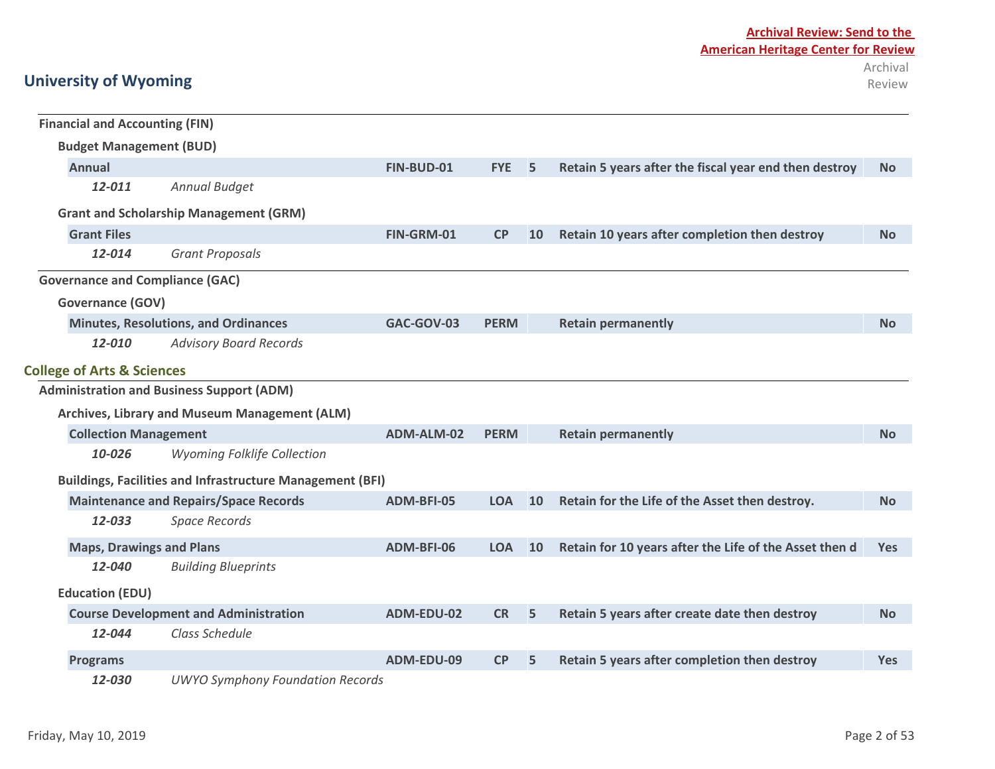## **Archival Review: Send to the American Heritage Center for Review** Archival

| <b>Financial and Accounting (FIN)</b>  |                                                                  |            |             |           |                                                        |            |
|----------------------------------------|------------------------------------------------------------------|------------|-------------|-----------|--------------------------------------------------------|------------|
| <b>Budget Management (BUD)</b>         |                                                                  |            |             |           |                                                        |            |
| <b>Annual</b>                          |                                                                  | FIN-BUD-01 | <b>FYE</b>  | 5         | Retain 5 years after the fiscal year end then destroy  | <b>No</b>  |
| 12-011                                 | Annual Budget                                                    |            |             |           |                                                        |            |
|                                        | <b>Grant and Scholarship Management (GRM)</b>                    |            |             |           |                                                        |            |
| <b>Grant Files</b>                     |                                                                  | FIN-GRM-01 | CP          | <b>10</b> | Retain 10 years after completion then destroy          | <b>No</b>  |
| 12-014                                 | <b>Grant Proposals</b>                                           |            |             |           |                                                        |            |
| <b>Governance and Compliance (GAC)</b> |                                                                  |            |             |           |                                                        |            |
| <b>Governance (GOV)</b>                |                                                                  |            |             |           |                                                        |            |
|                                        | <b>Minutes, Resolutions, and Ordinances</b>                      | GAC-GOV-03 | <b>PERM</b> |           | <b>Retain permanently</b>                              | <b>No</b>  |
| 12-010                                 | <b>Advisory Board Records</b>                                    |            |             |           |                                                        |            |
| <b>College of Arts &amp; Sciences</b>  |                                                                  |            |             |           |                                                        |            |
|                                        | <b>Administration and Business Support (ADM)</b>                 |            |             |           |                                                        |            |
|                                        | Archives, Library and Museum Management (ALM)                    |            |             |           |                                                        |            |
| <b>Collection Management</b>           |                                                                  | ADM-ALM-02 | <b>PERM</b> |           | <b>Retain permanently</b>                              | <b>No</b>  |
| 10-026                                 | <b>Wyoming Folklife Collection</b>                               |            |             |           |                                                        |            |
|                                        | <b>Buildings, Facilities and Infrastructure Management (BFI)</b> |            |             |           |                                                        |            |
|                                        | <b>Maintenance and Repairs/Space Records</b>                     | ADM-BFI-05 | <b>LOA</b>  | 10        | Retain for the Life of the Asset then destroy.         | <b>No</b>  |
| 12-033                                 | <b>Space Records</b>                                             |            |             |           |                                                        |            |
| <b>Maps, Drawings and Plans</b>        |                                                                  | ADM-BFI-06 | <b>LOA</b>  | 10        | Retain for 10 years after the Life of the Asset then d | <b>Yes</b> |
| 12-040                                 | <b>Building Blueprints</b>                                       |            |             |           |                                                        |            |
| <b>Education (EDU)</b>                 |                                                                  |            |             |           |                                                        |            |
|                                        | <b>Course Development and Administration</b>                     | ADM-EDU-02 | <b>CR</b>   | 5         | Retain 5 years after create date then destroy          | <b>No</b>  |
| 12-044                                 | Class Schedule                                                   |            |             |           |                                                        |            |
| <b>Programs</b>                        |                                                                  | ADM-EDU-09 | CP          | 5         | Retain 5 years after completion then destroy           | <b>Yes</b> |
| 12-030                                 | <b>UWYO Symphony Foundation Records</b>                          |            |             |           |                                                        |            |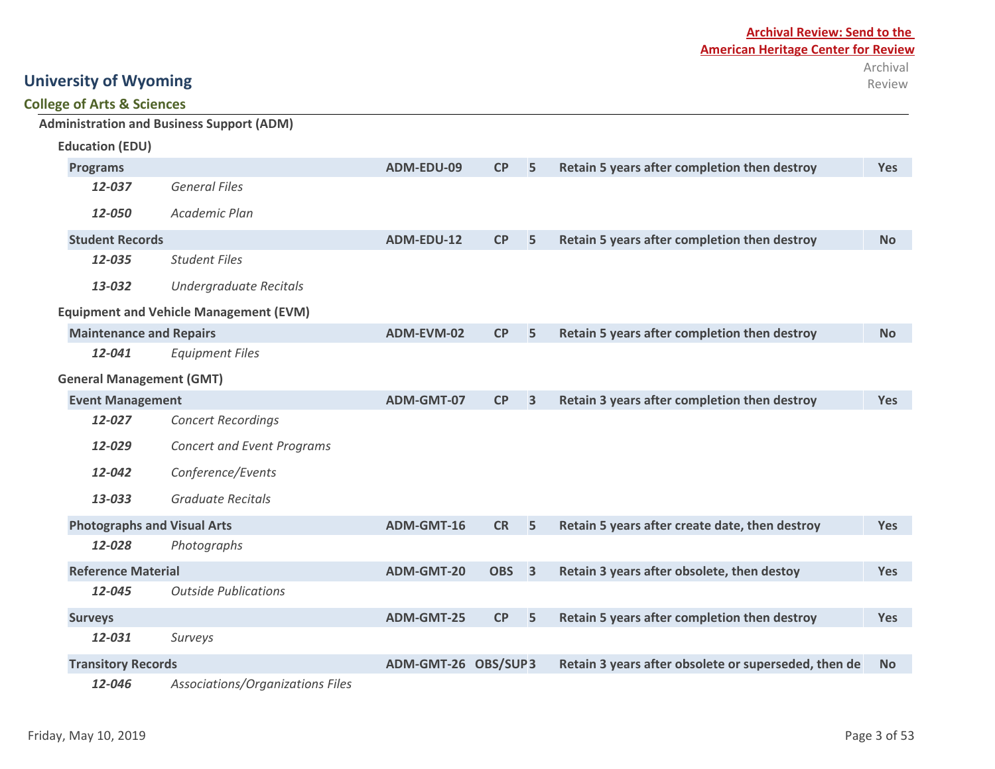### **Archival Review: Send to the American Heritage Center for Review** Archival

# Review

## **University of Wyoming**

### **College of Arts & Sciences**

|                                    | <b>Administration and Business Support (ADM)</b> |                     |                  |                         |                                                      |            |
|------------------------------------|--------------------------------------------------|---------------------|------------------|-------------------------|------------------------------------------------------|------------|
| <b>Education (EDU)</b>             |                                                  |                     |                  |                         |                                                      |            |
| <b>Programs</b>                    |                                                  | ADM-EDU-09          | CP               | 5                       | Retain 5 years after completion then destroy         | <b>Yes</b> |
| 12-037                             | <b>General Files</b>                             |                     |                  |                         |                                                      |            |
| 12-050                             | Academic Plan                                    |                     |                  |                         |                                                      |            |
| <b>Student Records</b>             |                                                  | ADM-EDU-12          | CP               | 5                       | Retain 5 years after completion then destroy         | <b>No</b>  |
| 12-035                             | <b>Student Files</b>                             |                     |                  |                         |                                                      |            |
| 13-032                             | Undergraduate Recitals                           |                     |                  |                         |                                                      |            |
|                                    | <b>Equipment and Vehicle Management (EVM)</b>    |                     |                  |                         |                                                      |            |
| <b>Maintenance and Repairs</b>     |                                                  | ADM-EVM-02          | CP               | 5                       | Retain 5 years after completion then destroy         | <b>No</b>  |
| 12-041                             | <b>Equipment Files</b>                           |                     |                  |                         |                                                      |            |
| <b>General Management (GMT)</b>    |                                                  |                     |                  |                         |                                                      |            |
| <b>Event Management</b>            |                                                  | ADM-GMT-07          | CP               | $\overline{\mathbf{3}}$ | Retain 3 years after completion then destroy         | <b>Yes</b> |
| 12-027                             | <b>Concert Recordings</b>                        |                     |                  |                         |                                                      |            |
| 12-029                             | <b>Concert and Event Programs</b>                |                     |                  |                         |                                                      |            |
| 12-042                             | Conference/Events                                |                     |                  |                         |                                                      |            |
| 13-033                             | <b>Graduate Recitals</b>                         |                     |                  |                         |                                                      |            |
| <b>Photographs and Visual Arts</b> |                                                  | ADM-GMT-16          | <b>CR</b>        | 5                       | Retain 5 years after create date, then destroy       | <b>Yes</b> |
| 12-028                             | Photographs                                      |                     |                  |                         |                                                      |            |
| <b>Reference Material</b>          |                                                  | ADM-GMT-20          | OBS <sub>3</sub> |                         | Retain 3 years after obsolete, then destoy           | <b>Yes</b> |
| 12-045                             | <b>Outside Publications</b>                      |                     |                  |                         |                                                      |            |
| <b>Surveys</b>                     |                                                  | ADM-GMT-25          | CP               | 5                       | Retain 5 years after completion then destroy         | <b>Yes</b> |
| 12-031                             | Surveys                                          |                     |                  |                         |                                                      |            |
| <b>Transitory Records</b>          |                                                  | ADM-GMT-26 OBS/SUP3 |                  |                         | Retain 3 years after obsolete or superseded, then de | <b>No</b>  |
| 12-046                             | Associations/Organizations Files                 |                     |                  |                         |                                                      |            |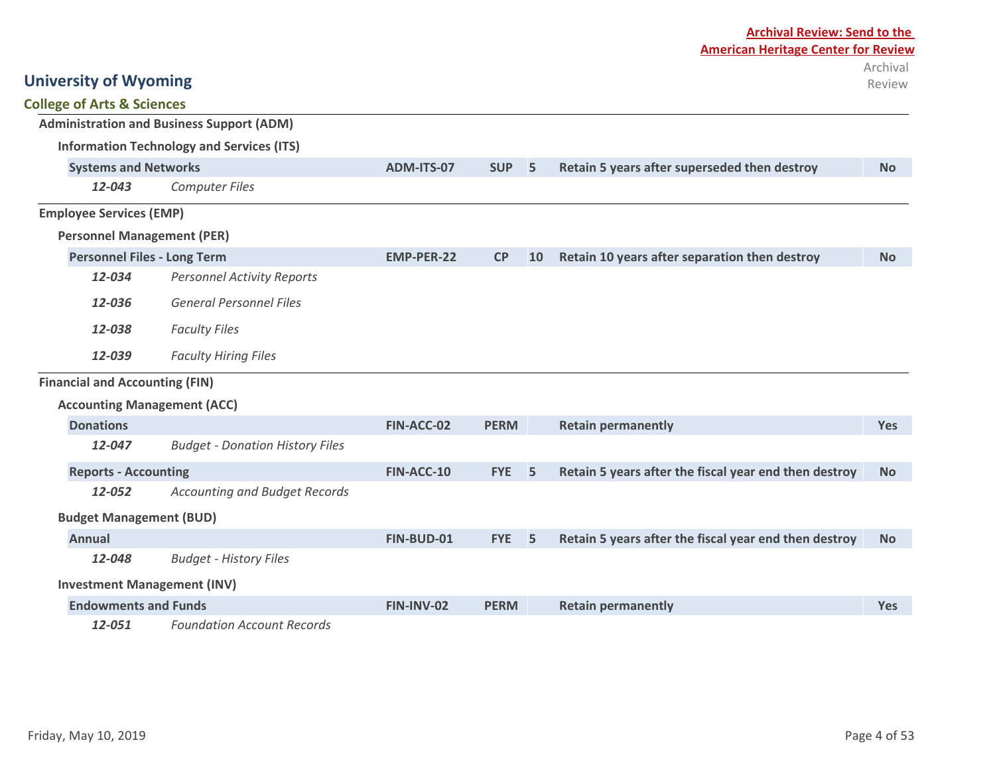|                                       |                                                  | <b>Archival Review: Send to the</b> |             |    |                                                       |                    |
|---------------------------------------|--------------------------------------------------|-------------------------------------|-------------|----|-------------------------------------------------------|--------------------|
|                                       |                                                  |                                     |             |    | <b>American Heritage Center for Review</b>            |                    |
| <b>University of Wyoming</b>          |                                                  |                                     |             |    |                                                       | Archival<br>Review |
| <b>College of Arts &amp; Sciences</b> |                                                  |                                     |             |    |                                                       |                    |
|                                       | <b>Administration and Business Support (ADM)</b> |                                     |             |    |                                                       |                    |
|                                       | <b>Information Technology and Services (ITS)</b> |                                     |             |    |                                                       |                    |
| <b>Systems and Networks</b>           |                                                  | ADM-ITS-07                          | <b>SUP</b>  | 5  | Retain 5 years after superseded then destroy          | <b>No</b>          |
| 12-043                                | <b>Computer Files</b>                            |                                     |             |    |                                                       |                    |
| <b>Employee Services (EMP)</b>        |                                                  |                                     |             |    |                                                       |                    |
| <b>Personnel Management (PER)</b>     |                                                  |                                     |             |    |                                                       |                    |
| <b>Personnel Files - Long Term</b>    |                                                  | <b>EMP-PER-22</b>                   | CP          | 10 | Retain 10 years after separation then destroy         | <b>No</b>          |
| 12-034                                | <b>Personnel Activity Reports</b>                |                                     |             |    |                                                       |                    |
| 12-036                                | <b>General Personnel Files</b>                   |                                     |             |    |                                                       |                    |
| 12-038                                | <b>Faculty Files</b>                             |                                     |             |    |                                                       |                    |
| 12-039                                | <b>Faculty Hiring Files</b>                      |                                     |             |    |                                                       |                    |
| <b>Financial and Accounting (FIN)</b> |                                                  |                                     |             |    |                                                       |                    |
| <b>Accounting Management (ACC)</b>    |                                                  |                                     |             |    |                                                       |                    |
| <b>Donations</b>                      |                                                  | FIN-ACC-02                          | <b>PERM</b> |    | <b>Retain permanently</b>                             | <b>Yes</b>         |
| 12-047                                | <b>Budget - Donation History Files</b>           |                                     |             |    |                                                       |                    |
| <b>Reports - Accounting</b>           |                                                  | FIN-ACC-10                          | <b>FYE</b>  | 5  | Retain 5 years after the fiscal year end then destroy | <b>No</b>          |
| 12-052                                | <b>Accounting and Budget Records</b>             |                                     |             |    |                                                       |                    |
| <b>Budget Management (BUD)</b>        |                                                  |                                     |             |    |                                                       |                    |
| <b>Annual</b>                         |                                                  | FIN-BUD-01                          | <b>FYE</b>  | 5  | Retain 5 years after the fiscal year end then destroy | <b>No</b>          |
| 12-048                                | <b>Budget - History Files</b>                    |                                     |             |    |                                                       |                    |
| <b>Investment Management (INV)</b>    |                                                  |                                     |             |    |                                                       |                    |
| <b>Endowments and Funds</b>           |                                                  | FIN-INV-02                          | <b>PERM</b> |    | <b>Retain permanently</b>                             | Yes                |
| 12-051                                | <b>Foundation Account Records</b>                |                                     |             |    |                                                       |                    |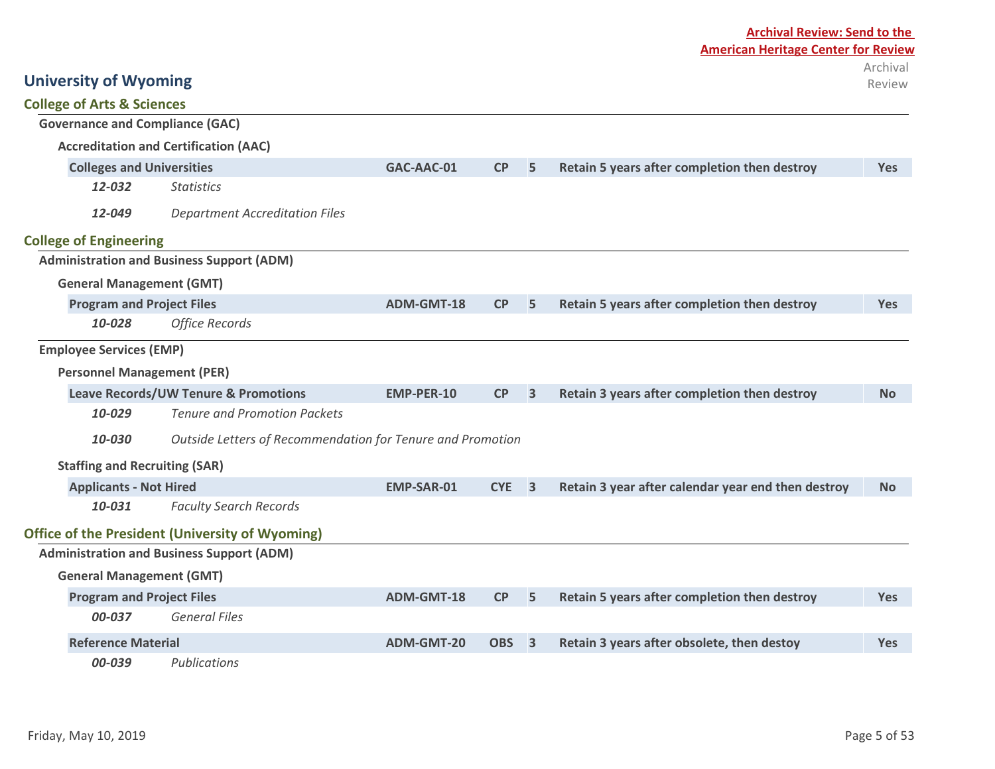|                                            |                                                            | <b>Archival Review: Send to the</b> |            |                         |                                                    |                    |  |  |  |
|--------------------------------------------|------------------------------------------------------------|-------------------------------------|------------|-------------------------|----------------------------------------------------|--------------------|--|--|--|
| <b>American Heritage Center for Review</b> |                                                            |                                     |            |                         |                                                    |                    |  |  |  |
| <b>University of Wyoming</b>               |                                                            |                                     |            |                         |                                                    | Archival<br>Review |  |  |  |
| <b>College of Arts &amp; Sciences</b>      |                                                            |                                     |            |                         |                                                    |                    |  |  |  |
| <b>Governance and Compliance (GAC)</b>     |                                                            |                                     |            |                         |                                                    |                    |  |  |  |
|                                            | <b>Accreditation and Certification (AAC)</b>               |                                     |            |                         |                                                    |                    |  |  |  |
| <b>Colleges and Universities</b>           |                                                            | GAC-AAC-01                          | <b>CP</b>  | 5                       | Retain 5 years after completion then destroy       | <b>Yes</b>         |  |  |  |
| 12-032                                     | <b>Statistics</b>                                          |                                     |            |                         |                                                    |                    |  |  |  |
| 12-049                                     | <b>Department Accreditation Files</b>                      |                                     |            |                         |                                                    |                    |  |  |  |
| <b>College of Engineering</b>              |                                                            |                                     |            |                         |                                                    |                    |  |  |  |
|                                            | <b>Administration and Business Support (ADM)</b>           |                                     |            |                         |                                                    |                    |  |  |  |
| <b>General Management (GMT)</b>            |                                                            |                                     |            |                         |                                                    |                    |  |  |  |
| <b>Program and Project Files</b>           |                                                            | ADM-GMT-18                          | CP         | 5                       | Retain 5 years after completion then destroy       | <b>Yes</b>         |  |  |  |
| 10-028                                     | <b>Office Records</b>                                      |                                     |            |                         |                                                    |                    |  |  |  |
| <b>Employee Services (EMP)</b>             |                                                            |                                     |            |                         |                                                    |                    |  |  |  |
| <b>Personnel Management (PER)</b>          |                                                            |                                     |            |                         |                                                    |                    |  |  |  |
|                                            | <b>Leave Records/UW Tenure &amp; Promotions</b>            | <b>EMP-PER-10</b>                   | CP         | $\overline{3}$          | Retain 3 years after completion then destroy       | <b>No</b>          |  |  |  |
| 10-029                                     | <b>Tenure and Promotion Packets</b>                        |                                     |            |                         |                                                    |                    |  |  |  |
| 10-030                                     | Outside Letters of Recommendation for Tenure and Promotion |                                     |            |                         |                                                    |                    |  |  |  |
| <b>Staffing and Recruiting (SAR)</b>       |                                                            |                                     |            |                         |                                                    |                    |  |  |  |
| <b>Applicants - Not Hired</b>              |                                                            | <b>EMP-SAR-01</b>                   | <b>CYE</b> | $\overline{\mathbf{3}}$ | Retain 3 year after calendar year end then destroy | <b>No</b>          |  |  |  |
| 10-031                                     | <b>Faculty Search Records</b>                              |                                     |            |                         |                                                    |                    |  |  |  |
|                                            | <b>Office of the President (University of Wyoming)</b>     |                                     |            |                         |                                                    |                    |  |  |  |
|                                            | <b>Administration and Business Support (ADM)</b>           |                                     |            |                         |                                                    |                    |  |  |  |
| <b>General Management (GMT)</b>            |                                                            |                                     |            |                         |                                                    |                    |  |  |  |
| <b>Program and Project Files</b>           |                                                            | <b>ADM-GMT-18</b>                   | CP         | 5                       | Retain 5 years after completion then destroy       | <b>Yes</b>         |  |  |  |
| 00-037                                     | <b>General Files</b>                                       |                                     |            |                         |                                                    |                    |  |  |  |
| <b>Reference Material</b>                  |                                                            | <b>ADM-GMT-20</b>                   | <b>OBS</b> | $\overline{\mathbf{3}}$ | Retain 3 years after obsolete, then destoy         | <b>Yes</b>         |  |  |  |
| 00-039                                     | Publications                                               |                                     |            |                         |                                                    |                    |  |  |  |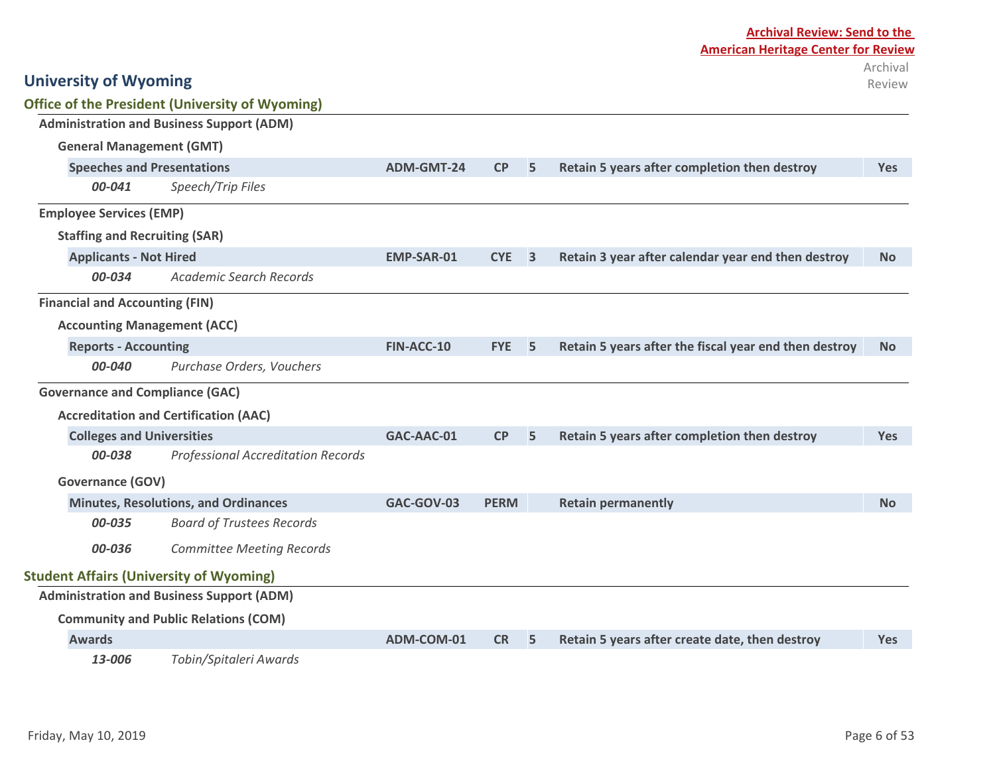| <b>University of Wyoming</b>                   |                                                        |                   |             |                         |                                                       | Archival<br>Review |
|------------------------------------------------|--------------------------------------------------------|-------------------|-------------|-------------------------|-------------------------------------------------------|--------------------|
|                                                | <b>Office of the President (University of Wyoming)</b> |                   |             |                         |                                                       |                    |
|                                                | <b>Administration and Business Support (ADM)</b>       |                   |             |                         |                                                       |                    |
| <b>General Management (GMT)</b>                |                                                        |                   |             |                         |                                                       |                    |
| <b>Speeches and Presentations</b>              |                                                        | <b>ADM-GMT-24</b> | CP          | 5                       | Retain 5 years after completion then destroy          | <b>Yes</b>         |
| 00-041                                         | Speech/Trip Files                                      |                   |             |                         |                                                       |                    |
| <b>Employee Services (EMP)</b>                 |                                                        |                   |             |                         |                                                       |                    |
| <b>Staffing and Recruiting (SAR)</b>           |                                                        |                   |             |                         |                                                       |                    |
| <b>Applicants - Not Hired</b>                  |                                                        | <b>EMP-SAR-01</b> | <b>CYE</b>  | $\overline{\mathbf{3}}$ | Retain 3 year after calendar year end then destroy    | <b>No</b>          |
| 00-034                                         | <b>Academic Search Records</b>                         |                   |             |                         |                                                       |                    |
| <b>Financial and Accounting (FIN)</b>          |                                                        |                   |             |                         |                                                       |                    |
| <b>Accounting Management (ACC)</b>             |                                                        |                   |             |                         |                                                       |                    |
| <b>Reports - Accounting</b>                    |                                                        | FIN-ACC-10        | <b>FYE</b>  | 5                       | Retain 5 years after the fiscal year end then destroy | <b>No</b>          |
| 00-040                                         | Purchase Orders, Vouchers                              |                   |             |                         |                                                       |                    |
| <b>Governance and Compliance (GAC)</b>         |                                                        |                   |             |                         |                                                       |                    |
|                                                | <b>Accreditation and Certification (AAC)</b>           |                   |             |                         |                                                       |                    |
| <b>Colleges and Universities</b>               |                                                        | GAC-AAC-01        | CP          | 5                       | Retain 5 years after completion then destroy          | <b>Yes</b>         |
| 00-038                                         | <b>Professional Accreditation Records</b>              |                   |             |                         |                                                       |                    |
| <b>Governance (GOV)</b>                        |                                                        |                   |             |                         |                                                       |                    |
|                                                | <b>Minutes, Resolutions, and Ordinances</b>            | GAC-GOV-03        | <b>PERM</b> |                         | <b>Retain permanently</b>                             | <b>No</b>          |
| 00-035                                         | <b>Board of Trustees Records</b>                       |                   |             |                         |                                                       |                    |
| 00-036                                         | <b>Committee Meeting Records</b>                       |                   |             |                         |                                                       |                    |
| <b>Student Affairs (University of Wyoming)</b> |                                                        |                   |             |                         |                                                       |                    |
|                                                | <b>Administration and Business Support (ADM)</b>       |                   |             |                         |                                                       |                    |
|                                                | <b>Community and Public Relations (COM)</b>            |                   |             |                         |                                                       |                    |
| <b>Awards</b>                                  |                                                        | ADM-COM-01        | <b>CR</b>   | 5                       | Retain 5 years after create date, then destroy        | <b>Yes</b>         |
|                                                |                                                        |                   |             |                         |                                                       |                    |

*13-006 Tobin/Spitaleri Awards*

**Archival Review: Send to the** 

**American Heritage Center for Review**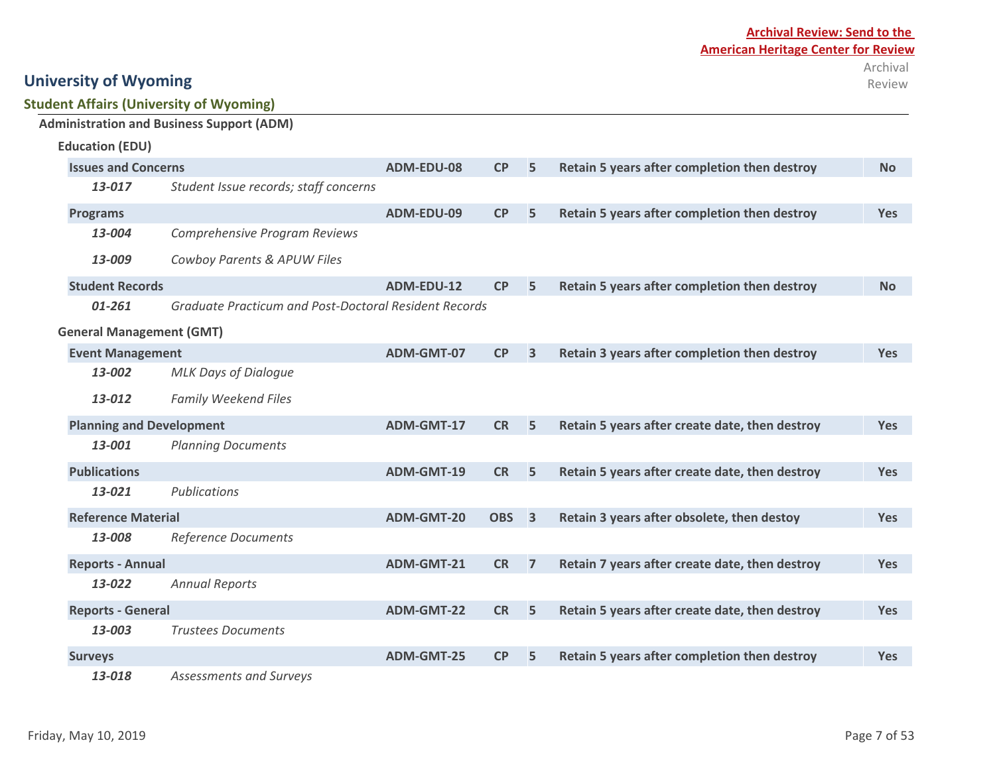### **Student Affairs (University of Wyoming) Administration and Business Support (ADM)**

| <b>Education (EDU)</b>                          |                                                       |                   |                  |                |                                                |            |
|-------------------------------------------------|-------------------------------------------------------|-------------------|------------------|----------------|------------------------------------------------|------------|
| <b>Issues and Concerns</b>                      |                                                       | ADM-EDU-08        | CP               | 5              | Retain 5 years after completion then destroy   | <b>No</b>  |
| Student Issue records; staff concerns<br>13-017 |                                                       |                   |                  |                |                                                |            |
| <b>Programs</b>                                 |                                                       | ADM-EDU-09        | CP               | 5              | Retain 5 years after completion then destroy   | <b>Yes</b> |
| 13-004                                          | Comprehensive Program Reviews                         |                   |                  |                |                                                |            |
| 13-009                                          | Cowboy Parents & APUW Files                           |                   |                  |                |                                                |            |
| <b>Student Records</b>                          |                                                       | ADM-EDU-12        | CP               | 5              | Retain 5 years after completion then destroy   | <b>No</b>  |
| 01-261                                          | Graduate Practicum and Post-Doctoral Resident Records |                   |                  |                |                                                |            |
| <b>General Management (GMT)</b>                 |                                                       |                   |                  |                |                                                |            |
| <b>Event Management</b>                         |                                                       | ADM-GMT-07        | CP               | $\overline{3}$ | Retain 3 years after completion then destroy   | <b>Yes</b> |
| 13-002                                          | <b>MLK Days of Dialogue</b>                           |                   |                  |                |                                                |            |
| 13-012                                          | <b>Family Weekend Files</b>                           |                   |                  |                |                                                |            |
| <b>Planning and Development</b>                 |                                                       | ADM-GMT-17        | <b>CR</b>        | 5              | Retain 5 years after create date, then destroy | <b>Yes</b> |
| 13-001                                          | <b>Planning Documents</b>                             |                   |                  |                |                                                |            |
| <b>Publications</b>                             |                                                       | ADM-GMT-19        | <b>CR</b>        | 5              | Retain 5 years after create date, then destroy | <b>Yes</b> |
| 13-021                                          | Publications                                          |                   |                  |                |                                                |            |
| <b>Reference Material</b>                       |                                                       | ADM-GMT-20        | OBS <sub>3</sub> |                | Retain 3 years after obsolete, then destoy     | <b>Yes</b> |
| 13-008                                          | Reference Documents                                   |                   |                  |                |                                                |            |
| <b>Reports - Annual</b>                         |                                                       | ADM-GMT-21        | <b>CR</b>        | $\overline{7}$ | Retain 7 years after create date, then destroy | <b>Yes</b> |
| 13-022                                          | <b>Annual Reports</b>                                 |                   |                  |                |                                                |            |
| <b>Reports - General</b>                        |                                                       | <b>ADM-GMT-22</b> | <b>CR</b>        | 5              | Retain 5 years after create date, then destroy | <b>Yes</b> |
| 13-003                                          | <b>Trustees Documents</b>                             |                   |                  |                |                                                |            |
| <b>Surveys</b>                                  |                                                       | <b>ADM-GMT-25</b> | CP               | 5              | Retain 5 years after completion then destroy   | <b>Yes</b> |
| 13-018                                          | Assessments and Surveys                               |                   |                  |                |                                                |            |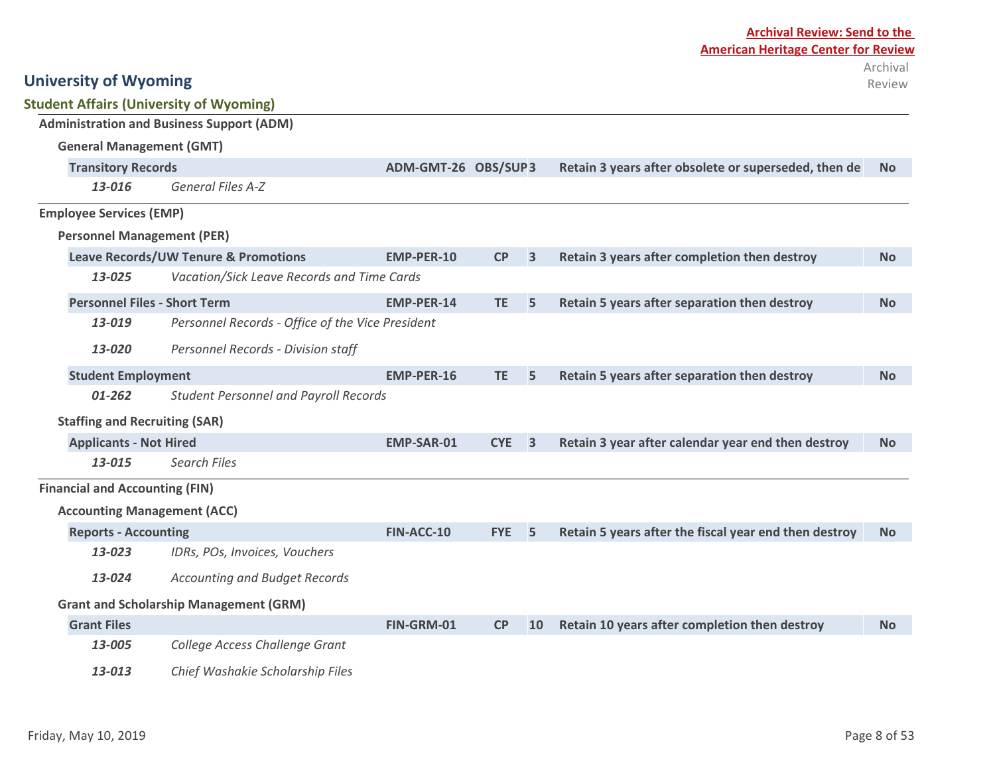| <b>Student Affairs (University of Wyoming)</b> |                                                  |                     |            |                         |                                                       |           |
|------------------------------------------------|--------------------------------------------------|---------------------|------------|-------------------------|-------------------------------------------------------|-----------|
|                                                | <b>Administration and Business Support (ADM)</b> |                     |            |                         |                                                       |           |
| <b>General Management (GMT)</b>                |                                                  |                     |            |                         |                                                       |           |
| <b>Transitory Records</b>                      |                                                  | ADM-GMT-26 OBS/SUP3 |            |                         | Retain 3 years after obsolete or superseded, then de  | <b>No</b> |
| 13-016                                         | <b>General Files A-Z</b>                         |                     |            |                         |                                                       |           |
| <b>Employee Services (EMP)</b>                 |                                                  |                     |            |                         |                                                       |           |
| <b>Personnel Management (PER)</b>              |                                                  |                     |            |                         |                                                       |           |
|                                                | <b>Leave Records/UW Tenure &amp; Promotions</b>  | <b>EMP-PER-10</b>   | <b>CP</b>  | $\overline{3}$          | Retain 3 years after completion then destroy          | <b>No</b> |
| 13-025                                         | Vacation/Sick Leave Records and Time Cards       |                     |            |                         |                                                       |           |
| <b>Personnel Files - Short Term</b>            |                                                  | <b>EMP-PER-14</b>   | TE.        | 5                       | Retain 5 years after separation then destroy          | <b>No</b> |
| 13-019                                         | Personnel Records - Office of the Vice President |                     |            |                         |                                                       |           |
| Personnel Records - Division staff<br>13-020   |                                                  |                     |            |                         |                                                       |           |
| <b>Student Employment</b>                      |                                                  | EMP-PER-16          | TE.        | 5                       | Retain 5 years after separation then destroy          | <b>No</b> |
| 01-262                                         | <b>Student Personnel and Payroll Records</b>     |                     |            |                         |                                                       |           |
| <b>Staffing and Recruiting (SAR)</b>           |                                                  |                     |            |                         |                                                       |           |
| <b>Applicants - Not Hired</b>                  |                                                  | <b>EMP-SAR-01</b>   | <b>CYE</b> | $\overline{\mathbf{3}}$ | Retain 3 year after calendar year end then destroy    | <b>No</b> |
| 13-015                                         | <b>Search Files</b>                              |                     |            |                         |                                                       |           |
| <b>Financial and Accounting (FIN)</b>          |                                                  |                     |            |                         |                                                       |           |
| <b>Accounting Management (ACC)</b>             |                                                  |                     |            |                         |                                                       |           |
| <b>Reports - Accounting</b>                    |                                                  | FIN-ACC-10          | <b>FYE</b> | 5                       | Retain 5 years after the fiscal year end then destroy | <b>No</b> |
| 13-023                                         | IDRs, POs, Invoices, Vouchers                    |                     |            |                         |                                                       |           |
| 13-024                                         | <b>Accounting and Budget Records</b>             |                     |            |                         |                                                       |           |
|                                                | <b>Grant and Scholarship Management (GRM)</b>    |                     |            |                         |                                                       |           |
| <b>Grant Files</b>                             |                                                  | FIN-GRM-01          | CP         | 10                      | Retain 10 years after completion then destroy         | <b>No</b> |
| 13-005                                         | College Access Challenge Grant                   |                     |            |                         |                                                       |           |
| 13-013                                         | Chief Washakie Scholarship Files                 |                     |            |                         |                                                       |           |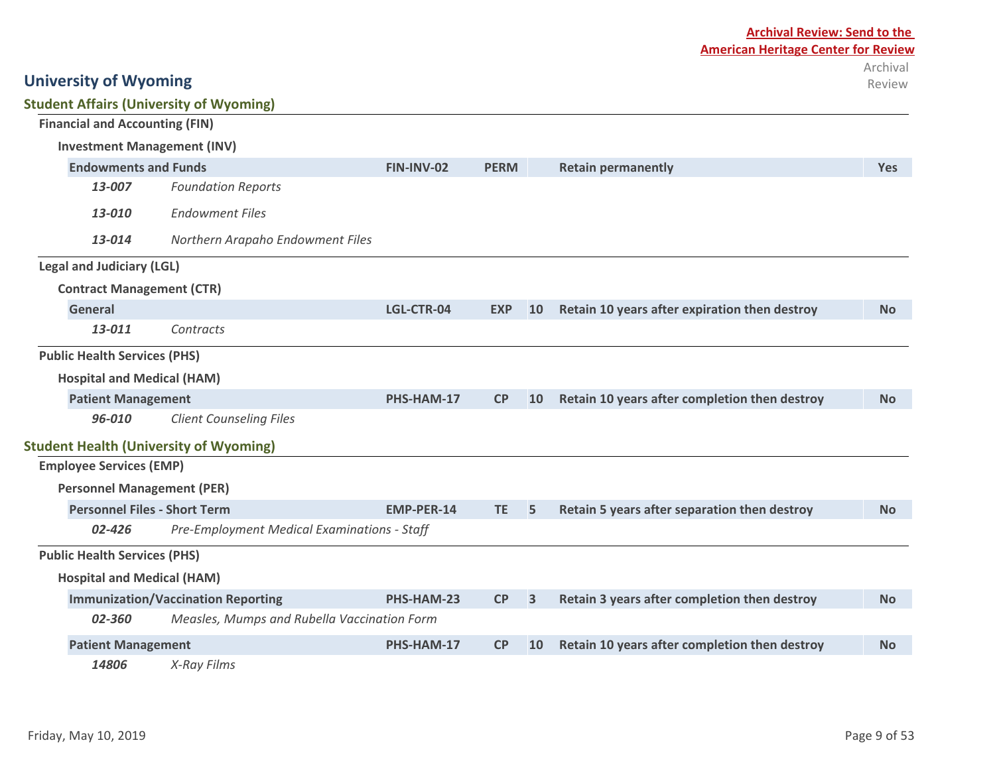| <b>Student Affairs (University of Wyoming)</b><br><b>Financial and Accounting (FIN)</b><br><b>Investment Management (INV)</b><br><b>Endowments and Funds</b><br><b>PERM</b><br>FIN-INV-02<br><b>Retain permanently</b><br><b>Foundation Reports</b><br>13-007<br><b>Endowment Files</b><br>13-010<br>13-014<br>Northern Arapaho Endowment Files<br><b>Legal and Judiciary (LGL)</b><br><b>Contract Management (CTR)</b><br><b>General</b><br>Retain 10 years after expiration then destroy<br>LGL-CTR-04<br><b>EXP</b><br><b>10</b><br>13-011<br>Contracts |                                               |                   |           |                         |                                               |            |
|------------------------------------------------------------------------------------------------------------------------------------------------------------------------------------------------------------------------------------------------------------------------------------------------------------------------------------------------------------------------------------------------------------------------------------------------------------------------------------------------------------------------------------------------------------|-----------------------------------------------|-------------------|-----------|-------------------------|-----------------------------------------------|------------|
|                                                                                                                                                                                                                                                                                                                                                                                                                                                                                                                                                            |                                               |                   |           |                         |                                               |            |
|                                                                                                                                                                                                                                                                                                                                                                                                                                                                                                                                                            |                                               |                   |           |                         |                                               |            |
|                                                                                                                                                                                                                                                                                                                                                                                                                                                                                                                                                            |                                               |                   |           |                         |                                               | <b>Yes</b> |
|                                                                                                                                                                                                                                                                                                                                                                                                                                                                                                                                                            |                                               |                   |           |                         |                                               |            |
|                                                                                                                                                                                                                                                                                                                                                                                                                                                                                                                                                            |                                               |                   |           |                         |                                               |            |
|                                                                                                                                                                                                                                                                                                                                                                                                                                                                                                                                                            |                                               |                   |           |                         |                                               |            |
|                                                                                                                                                                                                                                                                                                                                                                                                                                                                                                                                                            |                                               |                   |           |                         |                                               |            |
|                                                                                                                                                                                                                                                                                                                                                                                                                                                                                                                                                            |                                               |                   |           |                         |                                               |            |
|                                                                                                                                                                                                                                                                                                                                                                                                                                                                                                                                                            |                                               |                   |           |                         |                                               | <b>No</b>  |
|                                                                                                                                                                                                                                                                                                                                                                                                                                                                                                                                                            |                                               |                   |           |                         |                                               |            |
| <b>Public Health Services (PHS)</b>                                                                                                                                                                                                                                                                                                                                                                                                                                                                                                                        |                                               |                   |           |                         |                                               |            |
| <b>Hospital and Medical (HAM)</b>                                                                                                                                                                                                                                                                                                                                                                                                                                                                                                                          |                                               |                   |           |                         |                                               |            |
| <b>Patient Management</b>                                                                                                                                                                                                                                                                                                                                                                                                                                                                                                                                  |                                               | PHS-HAM-17        | CP        | 10                      | Retain 10 years after completion then destroy | <b>No</b>  |
| 96-010                                                                                                                                                                                                                                                                                                                                                                                                                                                                                                                                                     | <b>Client Counseling Files</b>                |                   |           |                         |                                               |            |
|                                                                                                                                                                                                                                                                                                                                                                                                                                                                                                                                                            | <b>Student Health (University of Wyoming)</b> |                   |           |                         |                                               |            |
| <b>Employee Services (EMP)</b>                                                                                                                                                                                                                                                                                                                                                                                                                                                                                                                             |                                               |                   |           |                         |                                               |            |
| <b>Personnel Management (PER)</b>                                                                                                                                                                                                                                                                                                                                                                                                                                                                                                                          |                                               |                   |           |                         |                                               |            |
| <b>Personnel Files - Short Term</b>                                                                                                                                                                                                                                                                                                                                                                                                                                                                                                                        |                                               | <b>EMP-PER-14</b> | TE.       | 5                       | Retain 5 years after separation then destroy  | <b>No</b>  |
| 02-426                                                                                                                                                                                                                                                                                                                                                                                                                                                                                                                                                     | Pre-Employment Medical Examinations - Staff   |                   |           |                         |                                               |            |
| <b>Public Health Services (PHS)</b>                                                                                                                                                                                                                                                                                                                                                                                                                                                                                                                        |                                               |                   |           |                         |                                               |            |
| <b>Hospital and Medical (HAM)</b>                                                                                                                                                                                                                                                                                                                                                                                                                                                                                                                          |                                               |                   |           |                         |                                               |            |
|                                                                                                                                                                                                                                                                                                                                                                                                                                                                                                                                                            | <b>Immunization/Vaccination Reporting</b>     | PHS-HAM-23        | CP        | $\overline{\mathbf{3}}$ | Retain 3 years after completion then destroy  | <b>No</b>  |
| 02-360                                                                                                                                                                                                                                                                                                                                                                                                                                                                                                                                                     | Measles, Mumps and Rubella Vaccination Form   |                   |           |                         |                                               |            |
| <b>Patient Management</b>                                                                                                                                                                                                                                                                                                                                                                                                                                                                                                                                  |                                               | PHS-HAM-17        | <b>CP</b> | 10                      | Retain 10 years after completion then destroy | <b>No</b>  |
|                                                                                                                                                                                                                                                                                                                                                                                                                                                                                                                                                            |                                               |                   |           |                         |                                               |            |

*14806 X-Ray Films*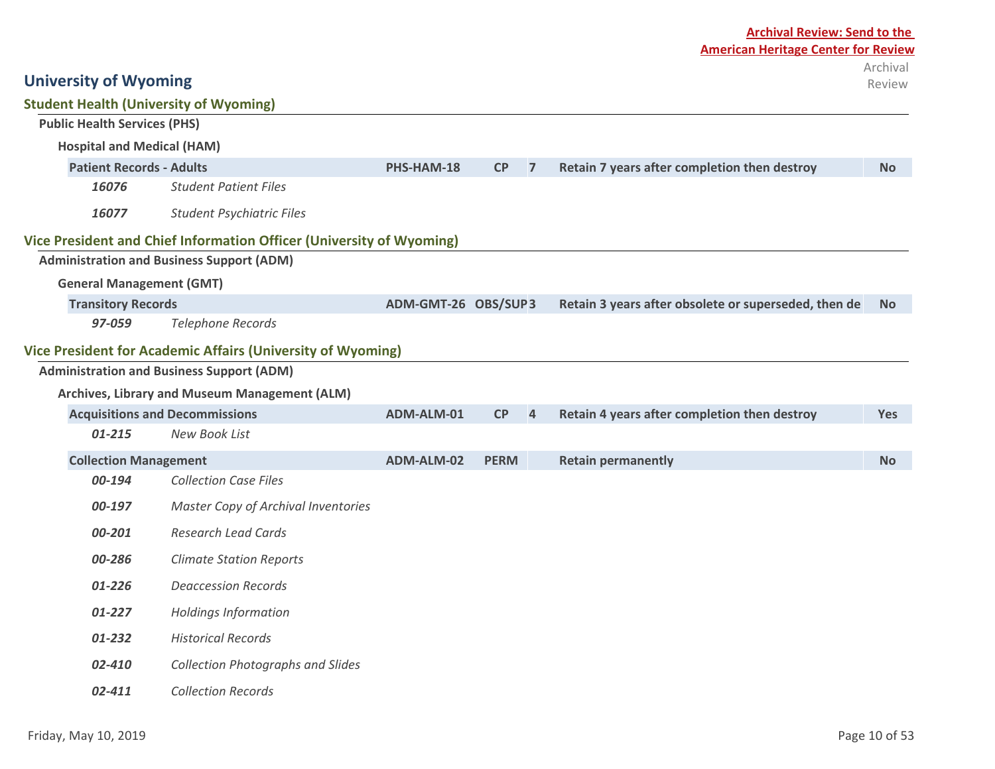|                                               | <b>Archival Review: Send to the</b>                                  |                     |             |                |                                                      |                    |  |
|-----------------------------------------------|----------------------------------------------------------------------|---------------------|-------------|----------------|------------------------------------------------------|--------------------|--|
|                                               |                                                                      |                     |             |                | <b>American Heritage Center for Review</b>           |                    |  |
| <b>University of Wyoming</b>                  |                                                                      |                     |             |                |                                                      | Archival<br>Review |  |
| <b>Student Health (University of Wyoming)</b> |                                                                      |                     |             |                |                                                      |                    |  |
| <b>Public Health Services (PHS)</b>           |                                                                      |                     |             |                |                                                      |                    |  |
| <b>Hospital and Medical (HAM)</b>             |                                                                      |                     |             |                |                                                      |                    |  |
| <b>Patient Records - Adults</b>               |                                                                      | PHS-HAM-18          | CP          | $\overline{7}$ | Retain 7 years after completion then destroy         | <b>No</b>          |  |
| 16076                                         | <b>Student Patient Files</b>                                         |                     |             |                |                                                      |                    |  |
| 16077                                         | <b>Student Psychiatric Files</b>                                     |                     |             |                |                                                      |                    |  |
|                                               | Vice President and Chief Information Officer (University of Wyoming) |                     |             |                |                                                      |                    |  |
|                                               | <b>Administration and Business Support (ADM)</b>                     |                     |             |                |                                                      |                    |  |
| <b>General Management (GMT)</b>               |                                                                      |                     |             |                |                                                      |                    |  |
| <b>Transitory Records</b>                     |                                                                      | ADM-GMT-26 OBS/SUP3 |             |                | Retain 3 years after obsolete or superseded, then de | <b>No</b>          |  |
| 97-059                                        | <b>Telephone Records</b>                                             |                     |             |                |                                                      |                    |  |
|                                               | Vice President for Academic Affairs (University of Wyoming)          |                     |             |                |                                                      |                    |  |
|                                               | <b>Administration and Business Support (ADM)</b>                     |                     |             |                |                                                      |                    |  |
|                                               | Archives, Library and Museum Management (ALM)                        |                     |             |                |                                                      |                    |  |
|                                               | <b>Acquisitions and Decommissions</b>                                | ADM-ALM-01          | CP          | $\overline{4}$ | Retain 4 years after completion then destroy         | Yes                |  |
| $01 - 215$                                    | <b>New Book List</b>                                                 |                     |             |                |                                                      |                    |  |
| <b>Collection Management</b>                  |                                                                      | ADM-ALM-02          | <b>PERM</b> |                | <b>Retain permanently</b>                            | <b>No</b>          |  |
| 00-194                                        | <b>Collection Case Files</b>                                         |                     |             |                |                                                      |                    |  |
| 00-197                                        | Master Copy of Archival Inventories                                  |                     |             |                |                                                      |                    |  |
| 00-201                                        | <b>Research Lead Cards</b>                                           |                     |             |                |                                                      |                    |  |
| 00-286                                        | <b>Climate Station Reports</b>                                       |                     |             |                |                                                      |                    |  |
| 01-226                                        | <b>Deaccession Records</b>                                           |                     |             |                |                                                      |                    |  |
| 01-227                                        | <b>Holdings Information</b>                                          |                     |             |                |                                                      |                    |  |
| 01-232                                        | <b>Historical Records</b>                                            |                     |             |                |                                                      |                    |  |
| 02-410                                        | <b>Collection Photographs and Slides</b>                             |                     |             |                |                                                      |                    |  |

*02-411 Collection Records*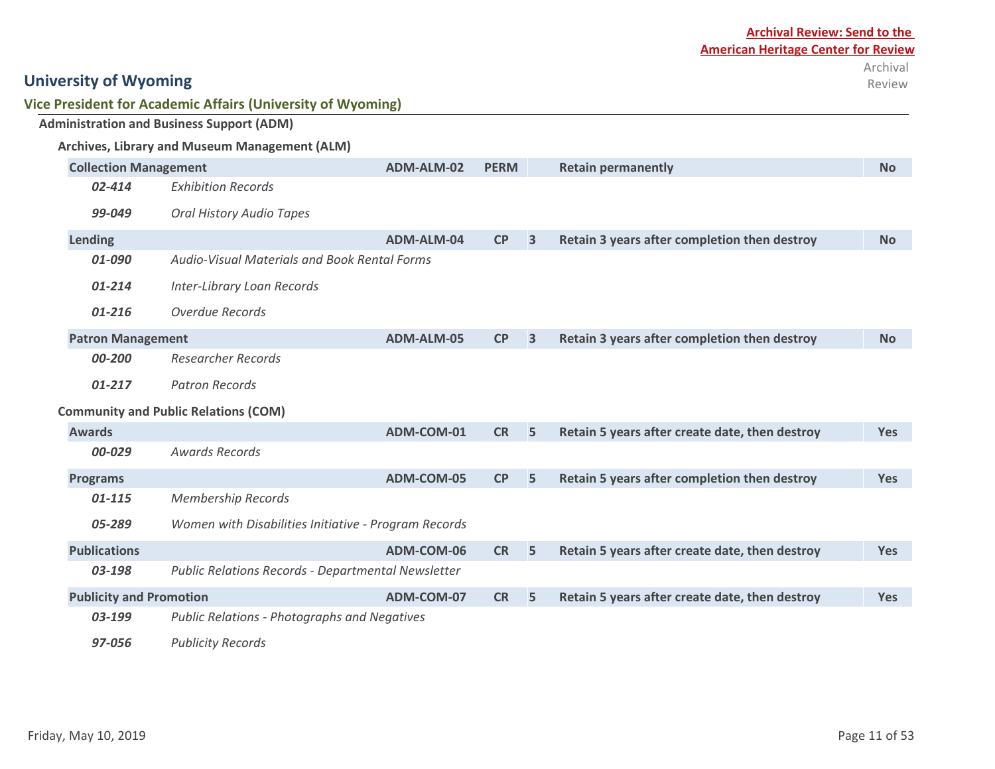|  | Vice President for Academic Affairs (University of Wyoming) |  |  |
|--|-------------------------------------------------------------|--|--|
|--|-------------------------------------------------------------|--|--|

| <b>Administration and Business Support (ADM)</b> |                                                                     |                                                      |            |             |                         |                                                |           |  |
|--------------------------------------------------|---------------------------------------------------------------------|------------------------------------------------------|------------|-------------|-------------------------|------------------------------------------------|-----------|--|
| Archives, Library and Museum Management (ALM)    |                                                                     |                                                      |            |             |                         |                                                |           |  |
|                                                  | <b>Collection Management</b>                                        |                                                      | ADM-ALM-02 | <b>PERM</b> |                         | <b>Retain permanently</b>                      | <b>No</b> |  |
|                                                  | $02 - 414$                                                          | <b>Exhibition Records</b>                            |            |             |                         |                                                |           |  |
|                                                  | 99-049                                                              | <b>Oral History Audio Tapes</b>                      |            |             |                         |                                                |           |  |
| Lending                                          |                                                                     |                                                      | ADM-ALM-04 | CP          | $\overline{\mathbf{3}}$ | Retain 3 years after completion then destroy   | <b>No</b> |  |
|                                                  | 01-090                                                              | <b>Audio-Visual Materials and Book Rental Forms</b>  |            |             |                         |                                                |           |  |
|                                                  | 01-214                                                              | Inter-Library Loan Records                           |            |             |                         |                                                |           |  |
|                                                  | 01-216                                                              | Overdue Records                                      |            |             |                         |                                                |           |  |
|                                                  | <b>Patron Management</b>                                            |                                                      | ADM-ALM-05 | <b>CP</b>   | 3                       | Retain 3 years after completion then destroy   | <b>No</b> |  |
|                                                  | 00-200                                                              | <b>Researcher Records</b>                            |            |             |                         |                                                |           |  |
|                                                  | 01-217                                                              | <b>Patron Records</b>                                |            |             |                         |                                                |           |  |
|                                                  |                                                                     | <b>Community and Public Relations (COM)</b>          |            |             |                         |                                                |           |  |
| <b>Awards</b>                                    |                                                                     |                                                      | ADM-COM-01 | <b>CR</b>   | 5                       | Retain 5 years after create date, then destroy | Yes       |  |
|                                                  | 00-029                                                              | <b>Awards Records</b>                                |            |             |                         |                                                |           |  |
| <b>Programs</b>                                  |                                                                     |                                                      | ADM-COM-05 | <b>CP</b>   | 5                       | Retain 5 years after completion then destroy   | Yes       |  |
|                                                  | 01-115                                                              | <b>Membership Records</b>                            |            |             |                         |                                                |           |  |
|                                                  | 05-289                                                              | Women with Disabilities Initiative - Program Records |            |             |                         |                                                |           |  |
| <b>Publications</b>                              |                                                                     |                                                      | ADM-COM-06 | <b>CR</b>   | 5                       | Retain 5 years after create date, then destroy | Yes       |  |
|                                                  | 03-198<br><b>Public Relations Records - Departmental Newsletter</b> |                                                      |            |             |                         |                                                |           |  |
|                                                  | <b>Publicity and Promotion</b>                                      |                                                      | ADM-COM-07 | <b>CR</b>   | 5                       | Retain 5 years after create date, then destroy | Yes       |  |
|                                                  | 03-199                                                              | <b>Public Relations - Photographs and Negatives</b>  |            |             |                         |                                                |           |  |
|                                                  | 97-056                                                              | <b>Publicity Records</b>                             |            |             |                         |                                                |           |  |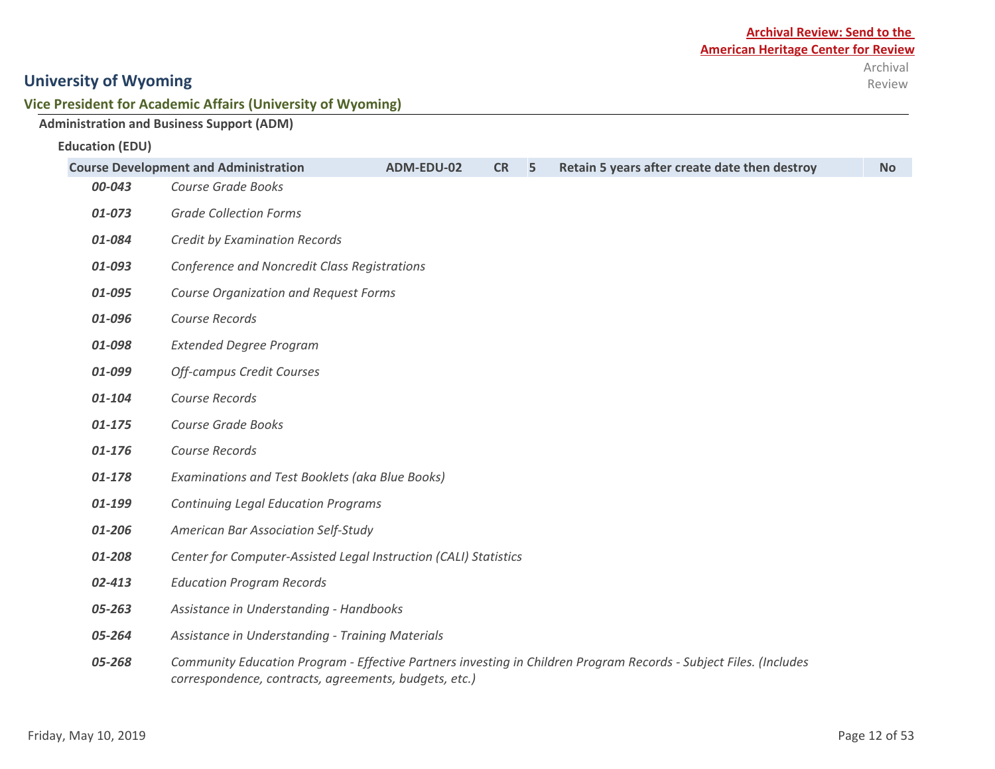#### **Vice President for Academic Affairs (University of Wyoming)**

|                        | <b>Administration and Business Support (ADM)</b>                 |            |           |   |                                                                                                                   |           |
|------------------------|------------------------------------------------------------------|------------|-----------|---|-------------------------------------------------------------------------------------------------------------------|-----------|
| <b>Education (EDU)</b> |                                                                  |            |           |   |                                                                                                                   |           |
|                        | <b>Course Development and Administration</b>                     | ADM-EDU-02 | <b>CR</b> | 5 | Retain 5 years after create date then destroy                                                                     | <b>No</b> |
| 00-043                 | Course Grade Books                                               |            |           |   |                                                                                                                   |           |
| 01-073                 | <b>Grade Collection Forms</b>                                    |            |           |   |                                                                                                                   |           |
| 01-084                 | <b>Credit by Examination Records</b>                             |            |           |   |                                                                                                                   |           |
| 01-093                 | Conference and Noncredit Class Registrations                     |            |           |   |                                                                                                                   |           |
| 01-095                 | <b>Course Organization and Request Forms</b>                     |            |           |   |                                                                                                                   |           |
| 01-096                 | Course Records                                                   |            |           |   |                                                                                                                   |           |
| 01-098                 | <b>Extended Degree Program</b>                                   |            |           |   |                                                                                                                   |           |
| 01-099                 | <b>Off-campus Credit Courses</b>                                 |            |           |   |                                                                                                                   |           |
| 01-104                 | Course Records                                                   |            |           |   |                                                                                                                   |           |
| 01-175                 | Course Grade Books                                               |            |           |   |                                                                                                                   |           |
| 01-176                 | Course Records                                                   |            |           |   |                                                                                                                   |           |
| 01-178                 | Examinations and Test Booklets (aka Blue Books)                  |            |           |   |                                                                                                                   |           |
| 01-199                 | <b>Continuing Legal Education Programs</b>                       |            |           |   |                                                                                                                   |           |
| 01-206                 | American Bar Association Self-Study                              |            |           |   |                                                                                                                   |           |
| 01-208                 | Center for Computer-Assisted Legal Instruction (CALI) Statistics |            |           |   |                                                                                                                   |           |
| 02-413                 | <b>Education Program Records</b>                                 |            |           |   |                                                                                                                   |           |
| 05-263                 | Assistance in Understanding - Handbooks                          |            |           |   |                                                                                                                   |           |
| 05-264                 | Assistance in Understanding - Training Materials                 |            |           |   |                                                                                                                   |           |
| 05-268                 | correspondence, contracts, agreements, budgets, etc.)            |            |           |   | Community Education Program - Effective Partners investing in Children Program Records - Subject Files. (Includes |           |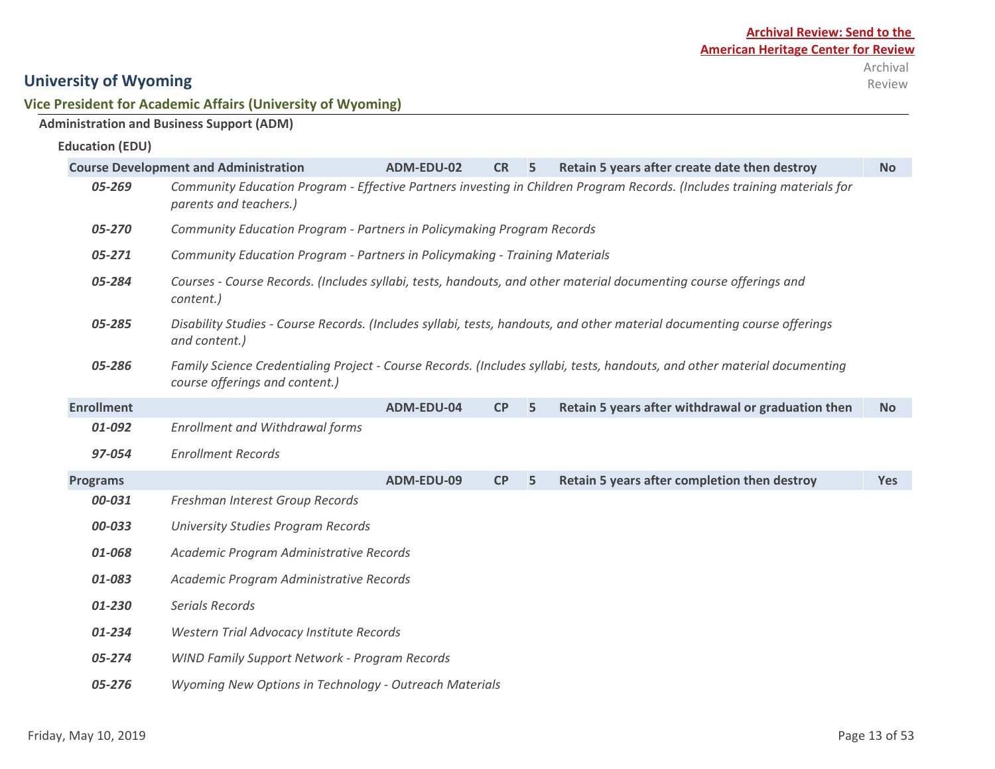Review

## **University of Wyoming**

#### **Vice President for Academic Affairs (University of Wyoming)**

### **Administration and Business Support (ADM)**

#### **Education (EDU)**

|                   | <b>Course Development and Administration</b>                                | ADM-EDU-02 | <b>CR</b> | 5 | Retain 5 years after create date then destroy                                                                             | <b>No</b>  |
|-------------------|-----------------------------------------------------------------------------|------------|-----------|---|---------------------------------------------------------------------------------------------------------------------------|------------|
| 05-269            | parents and teachers.)                                                      |            |           |   | Community Education Program - Effective Partners investing in Children Program Records. (Includes training materials for  |            |
| 05-270            | Community Education Program - Partners in Policymaking Program Records      |            |           |   |                                                                                                                           |            |
| 05-271            | Community Education Program - Partners in Policymaking - Training Materials |            |           |   |                                                                                                                           |            |
| 05-284            | content.)                                                                   |            |           |   | Courses - Course Records. (Includes syllabi, tests, handouts, and other material documenting course offerings and         |            |
| 05-285            | and content.)                                                               |            |           |   | Disability Studies - Course Records. (Includes syllabi, tests, handouts, and other material documenting course offerings  |            |
| 05-286            | course offerings and content.)                                              |            |           |   | Family Science Credentialing Project - Course Records. (Includes syllabi, tests, handouts, and other material documenting |            |
| <b>Enrollment</b> |                                                                             | ADM-EDU-04 | CP        | 5 | Retain 5 years after withdrawal or graduation then                                                                        | <b>No</b>  |
| 01-092            | <b>Enrollment and Withdrawal forms</b>                                      |            |           |   |                                                                                                                           |            |
| 97-054            | <b>Enrollment Records</b>                                                   |            |           |   |                                                                                                                           |            |
| <b>Programs</b>   |                                                                             | ADM-EDU-09 | CP        | 5 | Retain 5 years after completion then destroy                                                                              | <b>Yes</b> |
| 00-031            | Freshman Interest Group Records                                             |            |           |   |                                                                                                                           |            |
| 00-033            | <b>University Studies Program Records</b>                                   |            |           |   |                                                                                                                           |            |
| 01-068            | Academic Program Administrative Records                                     |            |           |   |                                                                                                                           |            |
| 01-083            | Academic Program Administrative Records                                     |            |           |   |                                                                                                                           |            |
| 01-230            | Serials Records                                                             |            |           |   |                                                                                                                           |            |
| 01-234            | Western Trial Advocacy Institute Records                                    |            |           |   |                                                                                                                           |            |
| 05-274            | <b>WIND Family Support Network - Program Records</b>                        |            |           |   |                                                                                                                           |            |
| 05-276            | Wyoming New Options in Technology - Outreach Materials                      |            |           |   |                                                                                                                           |            |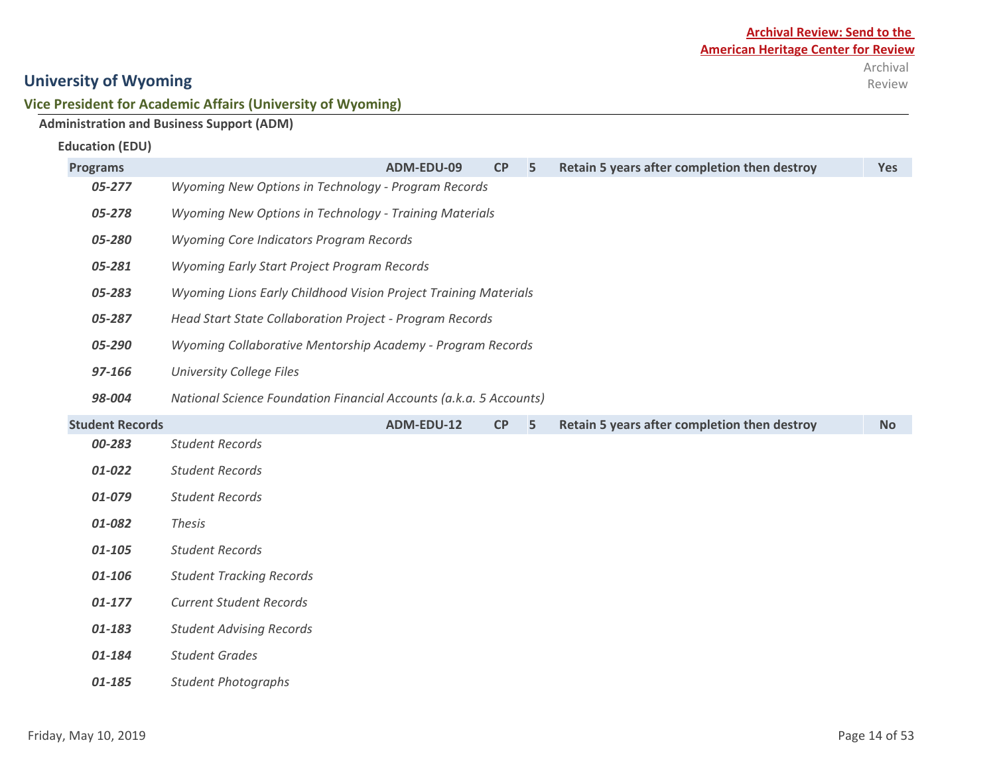#### **Vice President for Academic Affairs (University of Wyoming)**

### **Administration and Business Support (ADM)**

| <b>Education (EDU)</b> |  |
|------------------------|--|
|------------------------|--|

| <b>Programs</b>        |                                                                    | ADM-EDU-09 | <b>CP</b> | 5 | Retain 5 years after completion then destroy | <b>Yes</b> |
|------------------------|--------------------------------------------------------------------|------------|-----------|---|----------------------------------------------|------------|
| 05-277                 | Wyoming New Options in Technology - Program Records                |            |           |   |                                              |            |
| 05-278                 | Wyoming New Options in Technology - Training Materials             |            |           |   |                                              |            |
| 05-280                 | Wyoming Core Indicators Program Records                            |            |           |   |                                              |            |
| 05-281                 | Wyoming Early Start Project Program Records                        |            |           |   |                                              |            |
| 05-283                 | Wyoming Lions Early Childhood Vision Project Training Materials    |            |           |   |                                              |            |
| 05-287                 | Head Start State Collaboration Project - Program Records           |            |           |   |                                              |            |
| 05-290                 | Wyoming Collaborative Mentorship Academy - Program Records         |            |           |   |                                              |            |
| 97-166                 | <b>University College Files</b>                                    |            |           |   |                                              |            |
| 98-004                 | National Science Foundation Financial Accounts (a.k.a. 5 Accounts) |            |           |   |                                              |            |
| <b>Student Records</b> |                                                                    | ADM-EDU-12 | CP        | 5 | Retain 5 years after completion then destroy | <b>No</b>  |
| 00-283                 | <b>Student Records</b>                                             |            |           |   |                                              |            |
| 01-022                 | <b>Student Records</b>                                             |            |           |   |                                              |            |
| 01-079                 | <b>Student Records</b>                                             |            |           |   |                                              |            |
| 01-082                 | <b>Thesis</b>                                                      |            |           |   |                                              |            |
| 01-105                 | <b>Student Records</b>                                             |            |           |   |                                              |            |
| 01-106                 | <b>Student Tracking Records</b>                                    |            |           |   |                                              |            |
| $01 - 177$             | <b>Current Student Records</b>                                     |            |           |   |                                              |            |
| 01-183                 | <b>Student Advising Records</b>                                    |            |           |   |                                              |            |
| 01-184                 | <b>Student Grades</b>                                              |            |           |   |                                              |            |
| 01-185                 | <b>Student Photographs</b>                                         |            |           |   |                                              |            |
|                        |                                                                    |            |           |   |                                              |            |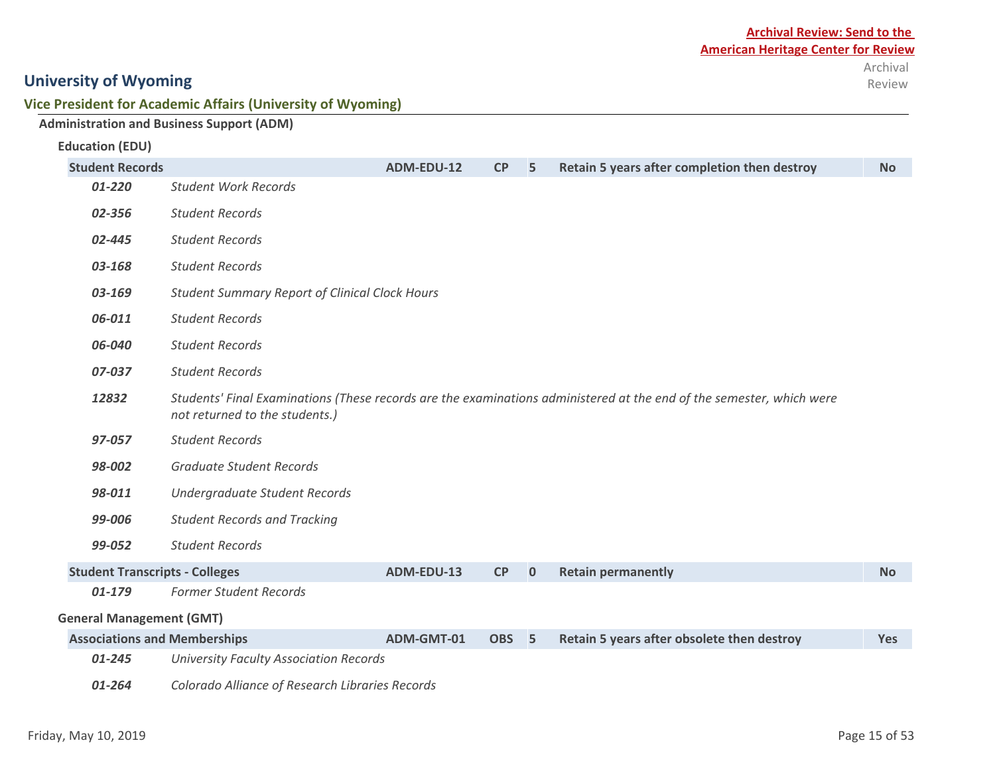#### **Vice President for Academic Affairs (University of Wyoming)**

|                                       | <b>Administration and Business Support (ADM)</b>                                                                                                       |                                                       |                  |             |                                              |           |  |  |
|---------------------------------------|--------------------------------------------------------------------------------------------------------------------------------------------------------|-------------------------------------------------------|------------------|-------------|----------------------------------------------|-----------|--|--|
| <b>Education (EDU)</b>                |                                                                                                                                                        |                                                       |                  |             |                                              |           |  |  |
| <b>Student Records</b>                |                                                                                                                                                        | ADM-EDU-12                                            | CP               | 5           | Retain 5 years after completion then destroy | <b>No</b> |  |  |
| 01-220                                | <b>Student Work Records</b>                                                                                                                            |                                                       |                  |             |                                              |           |  |  |
| 02-356                                | <b>Student Records</b>                                                                                                                                 |                                                       |                  |             |                                              |           |  |  |
| 02-445                                | <b>Student Records</b>                                                                                                                                 |                                                       |                  |             |                                              |           |  |  |
| 03-168                                | <b>Student Records</b>                                                                                                                                 |                                                       |                  |             |                                              |           |  |  |
| 03-169                                |                                                                                                                                                        | <b>Student Summary Report of Clinical Clock Hours</b> |                  |             |                                              |           |  |  |
| 06-011                                | <b>Student Records</b>                                                                                                                                 |                                                       |                  |             |                                              |           |  |  |
| 06-040                                | <b>Student Records</b>                                                                                                                                 |                                                       |                  |             |                                              |           |  |  |
| 07-037                                | <b>Student Records</b>                                                                                                                                 |                                                       |                  |             |                                              |           |  |  |
| 12832                                 | Students' Final Examinations (These records are the examinations administered at the end of the semester, which were<br>not returned to the students.) |                                                       |                  |             |                                              |           |  |  |
| 97-057                                | <b>Student Records</b>                                                                                                                                 |                                                       |                  |             |                                              |           |  |  |
| 98-002                                | <b>Graduate Student Records</b>                                                                                                                        |                                                       |                  |             |                                              |           |  |  |
| 98-011                                | Undergraduate Student Records                                                                                                                          |                                                       |                  |             |                                              |           |  |  |
| 99-006                                | <b>Student Records and Tracking</b>                                                                                                                    |                                                       |                  |             |                                              |           |  |  |
| 99-052                                | <b>Student Records</b>                                                                                                                                 |                                                       |                  |             |                                              |           |  |  |
| <b>Student Transcripts - Colleges</b> |                                                                                                                                                        | ADM-EDU-13                                            | CP               | $\mathbf 0$ | <b>Retain permanently</b>                    | <b>No</b> |  |  |
| 01-179                                | <b>Former Student Records</b>                                                                                                                          |                                                       |                  |             |                                              |           |  |  |
| <b>General Management (GMT)</b>       |                                                                                                                                                        |                                                       |                  |             |                                              |           |  |  |
| <b>Associations and Memberships</b>   |                                                                                                                                                        | ADM-GMT-01                                            | OBS <sub>5</sub> |             | Retain 5 years after obsolete then destroy   | Yes       |  |  |
| 01-245                                | <b>University Faculty Association Records</b>                                                                                                          |                                                       |                  |             |                                              |           |  |  |

*01-264 Colorado Alliance of Research Libraries Records*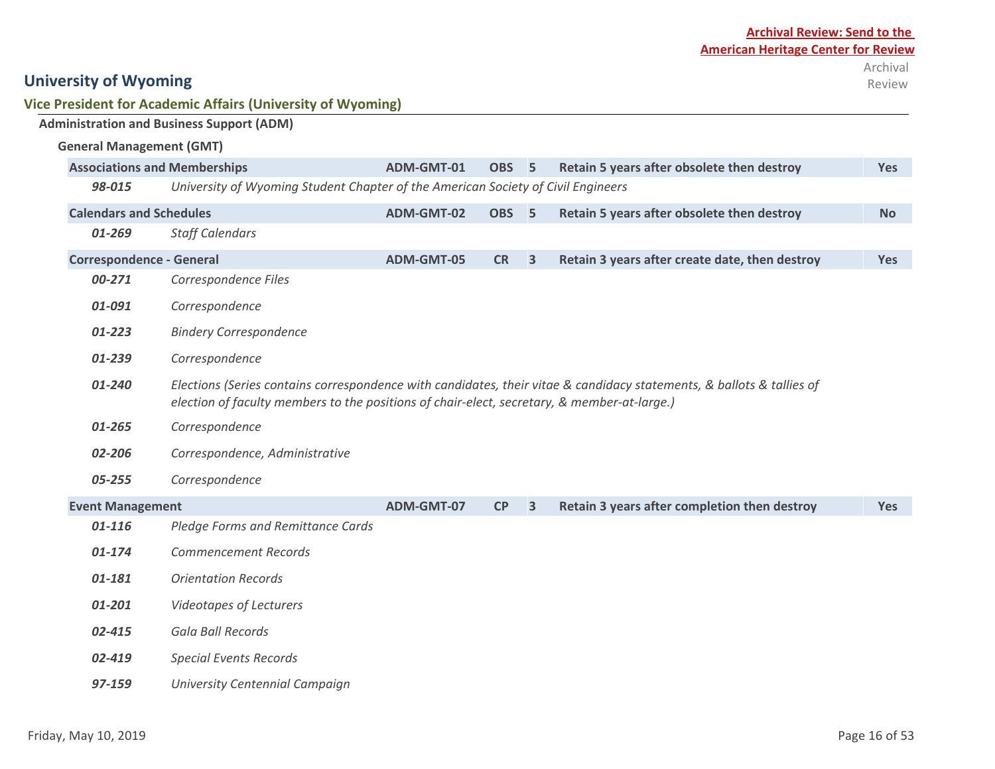**Vice President for Academic Affairs (University of Wyoming)**

**Administration and Business Support (ADM)**

| <b>General Management (GMT)</b>                                                                                                                                                                                                |                                                                                  |            |                  |                         |                                                |            |
|--------------------------------------------------------------------------------------------------------------------------------------------------------------------------------------------------------------------------------|----------------------------------------------------------------------------------|------------|------------------|-------------------------|------------------------------------------------|------------|
| <b>Associations and Memberships</b>                                                                                                                                                                                            |                                                                                  | ADM-GMT-01 | <b>OBS</b>       | 5                       | Retain 5 years after obsolete then destroy     | Yes        |
| 98-015                                                                                                                                                                                                                         | University of Wyoming Student Chapter of the American Society of Civil Engineers |            |                  |                         |                                                |            |
| <b>Calendars and Schedules</b>                                                                                                                                                                                                 |                                                                                  | ADM-GMT-02 | OBS <sub>5</sub> |                         | Retain 5 years after obsolete then destroy     | <b>No</b>  |
| 01-269                                                                                                                                                                                                                         | <b>Staff Calendars</b>                                                           |            |                  |                         |                                                |            |
| <b>Correspondence - General</b>                                                                                                                                                                                                |                                                                                  | ADM-GMT-05 | <b>CR</b>        | $\overline{\mathbf{3}}$ | Retain 3 years after create date, then destroy | <b>Yes</b> |
| 00-271                                                                                                                                                                                                                         | Correspondence Files                                                             |            |                  |                         |                                                |            |
| 01-091                                                                                                                                                                                                                         | Correspondence                                                                   |            |                  |                         |                                                |            |
| $01 - 223$                                                                                                                                                                                                                     | <b>Bindery Correspondence</b>                                                    |            |                  |                         |                                                |            |
| 01-239                                                                                                                                                                                                                         | Correspondence                                                                   |            |                  |                         |                                                |            |
| Elections (Series contains correspondence with candidates, their vitae & candidacy statements, & ballots & tallies of<br>01-240<br>election of faculty members to the positions of chair-elect, secretary, & member-at-large.) |                                                                                  |            |                  |                         |                                                |            |
| 01-265                                                                                                                                                                                                                         | Correspondence                                                                   |            |                  |                         |                                                |            |
| 02-206                                                                                                                                                                                                                         | Correspondence, Administrative                                                   |            |                  |                         |                                                |            |
| 05-255                                                                                                                                                                                                                         | Correspondence                                                                   |            |                  |                         |                                                |            |
| <b>Event Management</b>                                                                                                                                                                                                        |                                                                                  | ADM-GMT-07 | CP               | $\overline{\mathbf{3}}$ | Retain 3 years after completion then destroy   | <b>Yes</b> |
| 01-116                                                                                                                                                                                                                         | Pledge Forms and Remittance Cards                                                |            |                  |                         |                                                |            |
| 01-174                                                                                                                                                                                                                         | <b>Commencement Records</b>                                                      |            |                  |                         |                                                |            |
| 01-181                                                                                                                                                                                                                         | <b>Orientation Records</b>                                                       |            |                  |                         |                                                |            |
| 01-201                                                                                                                                                                                                                         | <b>Videotapes of Lecturers</b>                                                   |            |                  |                         |                                                |            |
| 02-415                                                                                                                                                                                                                         | Gala Ball Records                                                                |            |                  |                         |                                                |            |
| 02-419                                                                                                                                                                                                                         | <b>Special Events Records</b>                                                    |            |                  |                         |                                                |            |
| 97-159                                                                                                                                                                                                                         | University Centennial Campaign                                                   |            |                  |                         |                                                |            |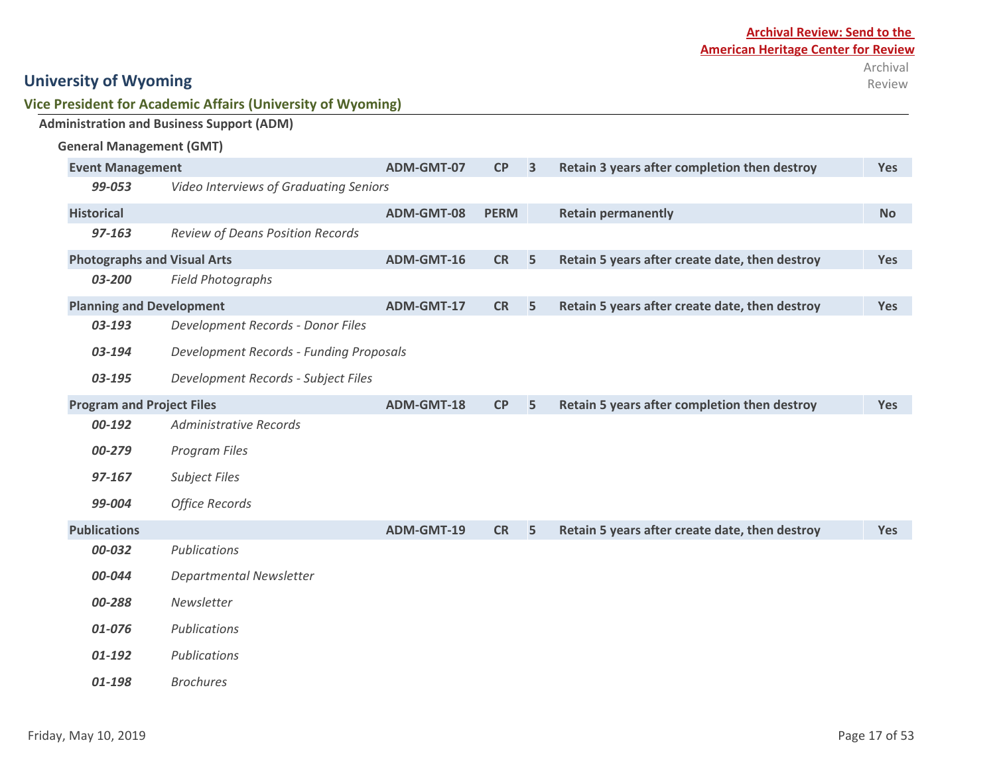| Vice President for Academic Affairs (University of Wyoming) |  |  |  |
|-------------------------------------------------------------|--|--|--|
|-------------------------------------------------------------|--|--|--|

|                                    | <b>Administration and Business Support (ADM)</b> |            |             |                         |                                                |            |
|------------------------------------|--------------------------------------------------|------------|-------------|-------------------------|------------------------------------------------|------------|
| <b>General Management (GMT)</b>    |                                                  |            |             |                         |                                                |            |
| <b>Event Management</b>            |                                                  | ADM-GMT-07 | CP          | $\overline{\mathbf{3}}$ | Retain 3 years after completion then destroy   | <b>Yes</b> |
| 99-053                             | Video Interviews of Graduating Seniors           |            |             |                         |                                                |            |
| <b>Historical</b>                  |                                                  | ADM-GMT-08 | <b>PERM</b> |                         | <b>Retain permanently</b>                      | <b>No</b>  |
| 97-163                             | Review of Deans Position Records                 |            |             |                         |                                                |            |
| <b>Photographs and Visual Arts</b> |                                                  | ADM-GMT-16 | <b>CR</b>   | 5                       | Retain 5 years after create date, then destroy | Yes        |
| 03-200                             | <b>Field Photographs</b>                         |            |             |                         |                                                |            |
| <b>Planning and Development</b>    |                                                  | ADM-GMT-17 | <b>CR</b>   | 5                       | Retain 5 years after create date, then destroy | Yes        |
| 03-193                             | Development Records - Donor Files                |            |             |                         |                                                |            |
| 03-194                             | <b>Development Records - Funding Proposals</b>   |            |             |                         |                                                |            |
| 03-195                             | Development Records - Subject Files              |            |             |                         |                                                |            |
| <b>Program and Project Files</b>   |                                                  | ADM-GMT-18 | CP          | 5                       | Retain 5 years after completion then destroy   | Yes        |
| 00-192                             | <b>Administrative Records</b>                    |            |             |                         |                                                |            |
| 00-279                             | Program Files                                    |            |             |                         |                                                |            |
| 97-167                             | <b>Subject Files</b>                             |            |             |                         |                                                |            |
| 99-004                             | <b>Office Records</b>                            |            |             |                         |                                                |            |
| <b>Publications</b>                |                                                  | ADM-GMT-19 | <b>CR</b>   | 5                       | Retain 5 years after create date, then destroy | <b>Yes</b> |
| 00-032                             | Publications                                     |            |             |                         |                                                |            |
| 00-044                             | <b>Departmental Newsletter</b>                   |            |             |                         |                                                |            |
| 00-288                             | Newsletter                                       |            |             |                         |                                                |            |
| 01-076                             | Publications                                     |            |             |                         |                                                |            |
| 01-192                             | Publications                                     |            |             |                         |                                                |            |
| 01-198                             | <b>Brochures</b>                                 |            |             |                         |                                                |            |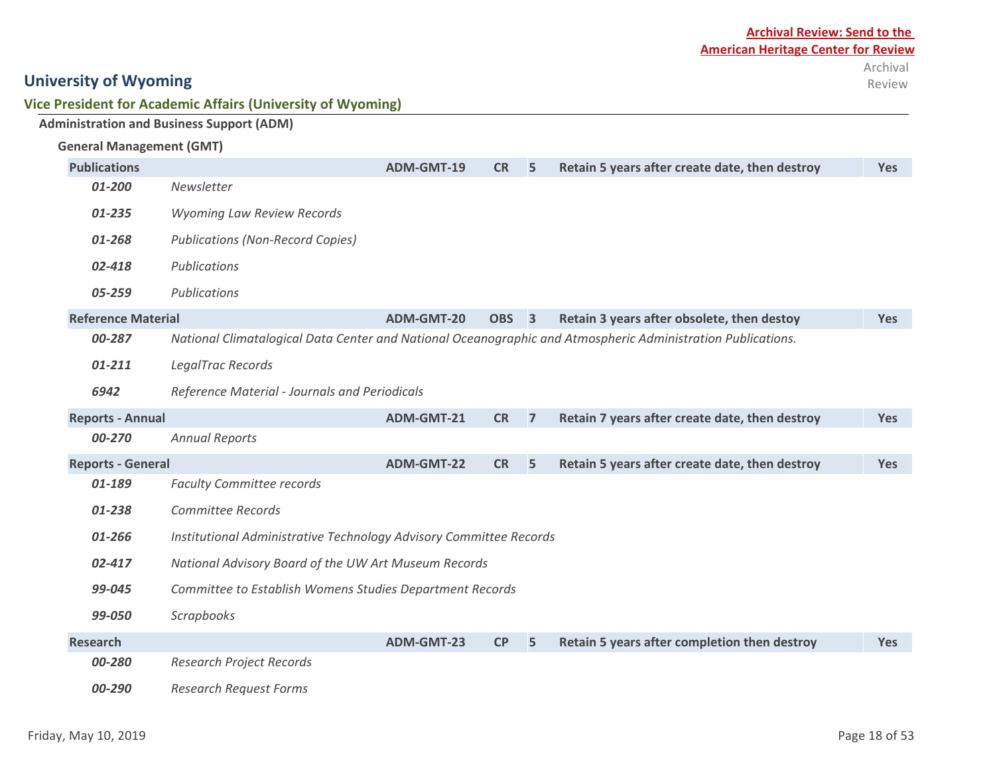| Vice President for Academic Affairs (University of Wyoming) |  |
|-------------------------------------------------------------|--|
|-------------------------------------------------------------|--|

|                                 | <b>Administration and Business Support (ADM)</b>                   |                   |                  |                |                                                                                                             |            |
|---------------------------------|--------------------------------------------------------------------|-------------------|------------------|----------------|-------------------------------------------------------------------------------------------------------------|------------|
| <b>General Management (GMT)</b> |                                                                    |                   |                  |                |                                                                                                             |            |
| <b>Publications</b>             |                                                                    | ADM-GMT-19        | <b>CR</b>        | 5              | Retain 5 years after create date, then destroy                                                              | <b>Yes</b> |
| 01-200                          | Newsletter                                                         |                   |                  |                |                                                                                                             |            |
| 01-235                          | <b>Wyoming Law Review Records</b>                                  |                   |                  |                |                                                                                                             |            |
| 01-268                          | <b>Publications (Non-Record Copies)</b>                            |                   |                  |                |                                                                                                             |            |
| 02-418                          | Publications                                                       |                   |                  |                |                                                                                                             |            |
| 05-259                          | Publications                                                       |                   |                  |                |                                                                                                             |            |
| <b>Reference Material</b>       |                                                                    | <b>ADM-GMT-20</b> | OBS <sub>3</sub> |                | Retain 3 years after obsolete, then destoy                                                                  | <b>Yes</b> |
| 00-287                          |                                                                    |                   |                  |                | National Climatalogical Data Center and National Oceanographic and Atmospheric Administration Publications. |            |
| 01-211                          | LegalTrac Records                                                  |                   |                  |                |                                                                                                             |            |
| 6942                            | Reference Material - Journals and Periodicals                      |                   |                  |                |                                                                                                             |            |
| <b>Reports - Annual</b>         |                                                                    | ADM-GMT-21        | <b>CR</b>        | $\overline{7}$ | Retain 7 years after create date, then destroy                                                              | <b>Yes</b> |
| 00-270                          | <b>Annual Reports</b>                                              |                   |                  |                |                                                                                                             |            |
| <b>Reports - General</b>        |                                                                    | <b>ADM-GMT-22</b> | <b>CR</b>        | 5              | Retain 5 years after create date, then destroy                                                              | <b>Yes</b> |
| 01-189                          | <b>Faculty Committee records</b>                                   |                   |                  |                |                                                                                                             |            |
| 01-238                          | Committee Records                                                  |                   |                  |                |                                                                                                             |            |
| 01-266                          | Institutional Administrative Technology Advisory Committee Records |                   |                  |                |                                                                                                             |            |
| 02-417                          | National Advisory Board of the UW Art Museum Records               |                   |                  |                |                                                                                                             |            |
| 99-045                          | Committee to Establish Womens Studies Department Records           |                   |                  |                |                                                                                                             |            |
| 99-050                          | <b>Scrapbooks</b>                                                  |                   |                  |                |                                                                                                             |            |
| <b>Research</b>                 |                                                                    | ADM-GMT-23        | CP               | 5              | Retain 5 years after completion then destroy                                                                | <b>Yes</b> |
| 00-280                          | <b>Research Project Records</b>                                    |                   |                  |                |                                                                                                             |            |
| 00-290                          | <b>Research Request Forms</b>                                      |                   |                  |                |                                                                                                             |            |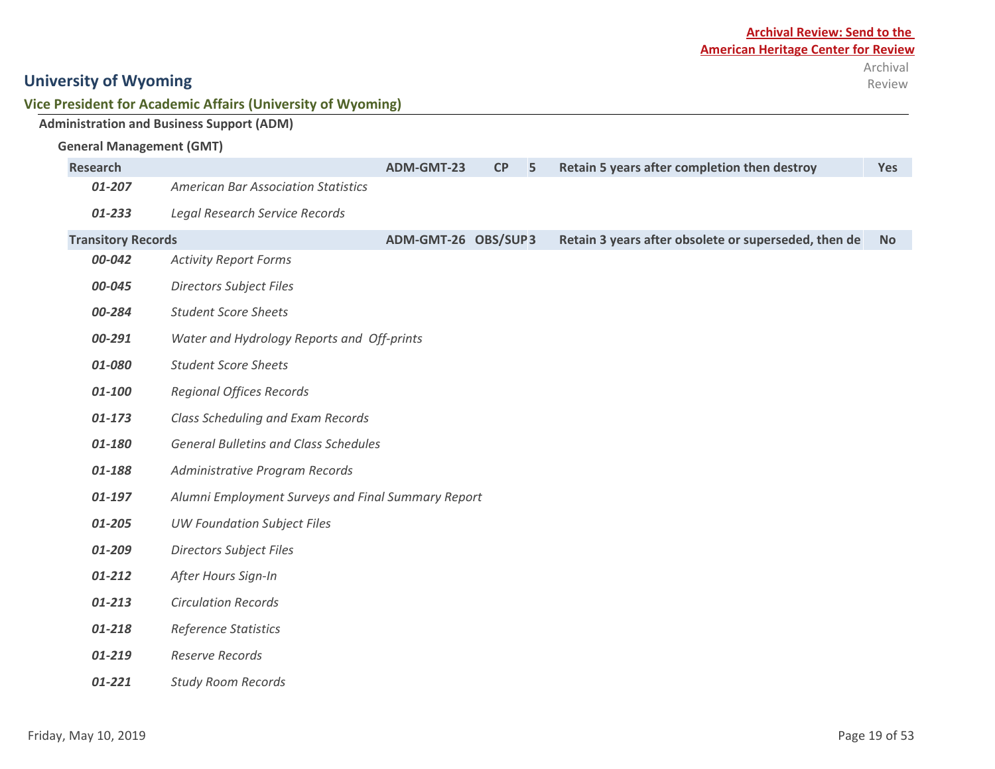| Vice President for Academic Affairs (University of Wyoming) |  |
|-------------------------------------------------------------|--|
|-------------------------------------------------------------|--|

|                                 | <b>Administration and Business Support (ADM)</b>   |                     |    |   |                                                      |           |
|---------------------------------|----------------------------------------------------|---------------------|----|---|------------------------------------------------------|-----------|
| <b>General Management (GMT)</b> |                                                    |                     |    |   |                                                      |           |
| <b>Research</b>                 |                                                    | ADM-GMT-23          | CP | 5 | Retain 5 years after completion then destroy         | Yes       |
| 01-207                          | <b>American Bar Association Statistics</b>         |                     |    |   |                                                      |           |
| 01-233                          | Legal Research Service Records                     |                     |    |   |                                                      |           |
| <b>Transitory Records</b>       |                                                    | ADM-GMT-26 OBS/SUP3 |    |   | Retain 3 years after obsolete or superseded, then de | <b>No</b> |
| 00-042                          | <b>Activity Report Forms</b>                       |                     |    |   |                                                      |           |
| 00-045                          | <b>Directors Subject Files</b>                     |                     |    |   |                                                      |           |
| 00-284                          | <b>Student Score Sheets</b>                        |                     |    |   |                                                      |           |
| 00-291                          | Water and Hydrology Reports and Off-prints         |                     |    |   |                                                      |           |
| 01-080                          | <b>Student Score Sheets</b>                        |                     |    |   |                                                      |           |
| 01-100                          | <b>Regional Offices Records</b>                    |                     |    |   |                                                      |           |
| 01-173                          | Class Scheduling and Exam Records                  |                     |    |   |                                                      |           |
| 01-180                          | <b>General Bulletins and Class Schedules</b>       |                     |    |   |                                                      |           |
| 01-188                          | Administrative Program Records                     |                     |    |   |                                                      |           |
| 01-197                          | Alumni Employment Surveys and Final Summary Report |                     |    |   |                                                      |           |
| 01-205                          | <b>UW Foundation Subject Files</b>                 |                     |    |   |                                                      |           |
| 01-209                          | <b>Directors Subject Files</b>                     |                     |    |   |                                                      |           |
| 01-212                          | After Hours Sign-In                                |                     |    |   |                                                      |           |
| 01-213                          | <b>Circulation Records</b>                         |                     |    |   |                                                      |           |
| 01-218                          | Reference Statistics                               |                     |    |   |                                                      |           |
| 01-219                          | <b>Reserve Records</b>                             |                     |    |   |                                                      |           |
|                                 |                                                    |                     |    |   |                                                      |           |

*01-221 Study Room Records*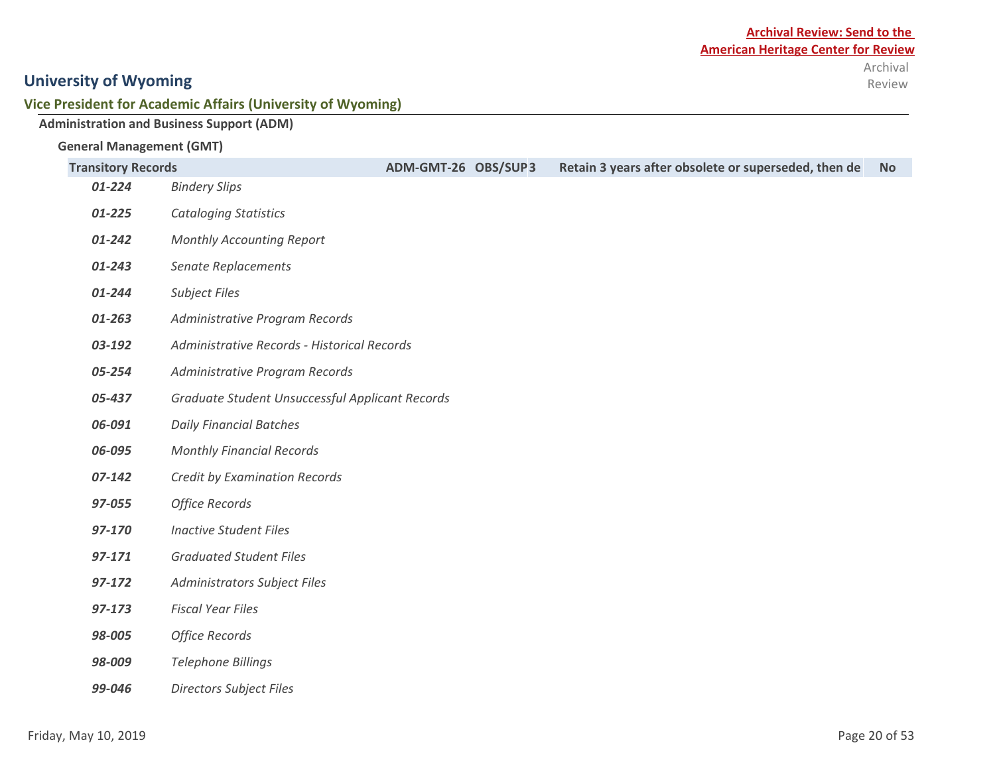Review

## **University of Wyoming**

#### **Vice President for Academic Affairs (University of Wyoming)**

|                                 | <b>Administration and Business Support (ADM)</b> |                     |                                                      |           |
|---------------------------------|--------------------------------------------------|---------------------|------------------------------------------------------|-----------|
| <b>General Management (GMT)</b> |                                                  |                     |                                                      |           |
| <b>Transitory Records</b>       |                                                  | ADM-GMT-26 OBS/SUP3 | Retain 3 years after obsolete or superseded, then de | <b>No</b> |
| 01-224                          | <b>Bindery Slips</b>                             |                     |                                                      |           |
| 01-225                          | <b>Cataloging Statistics</b>                     |                     |                                                      |           |
| 01-242                          | Monthly Accounting Report                        |                     |                                                      |           |
| 01-243                          | Senate Replacements                              |                     |                                                      |           |
| 01-244                          | <b>Subject Files</b>                             |                     |                                                      |           |
| 01-263                          | Administrative Program Records                   |                     |                                                      |           |
| 03-192                          | Administrative Records - Historical Records      |                     |                                                      |           |
| 05-254                          | Administrative Program Records                   |                     |                                                      |           |
| 05-437                          | Graduate Student Unsuccessful Applicant Records  |                     |                                                      |           |
| 06-091                          | <b>Daily Financial Batches</b>                   |                     |                                                      |           |
| 06-095                          | <b>Monthly Financial Records</b>                 |                     |                                                      |           |
| 07-142                          | Credit by Examination Records                    |                     |                                                      |           |
| 97-055                          | <b>Office Records</b>                            |                     |                                                      |           |
| 97-170                          | <b>Inactive Student Files</b>                    |                     |                                                      |           |
| 97-171                          | <b>Graduated Student Files</b>                   |                     |                                                      |           |
| 97-172                          | Administrators Subject Files                     |                     |                                                      |           |
| 97-173                          | <b>Fiscal Year Files</b>                         |                     |                                                      |           |
| 98-005                          | <b>Office Records</b>                            |                     |                                                      |           |
| 98-009                          | <b>Telephone Billings</b>                        |                     |                                                      |           |

*99-046 Directors Subject Files*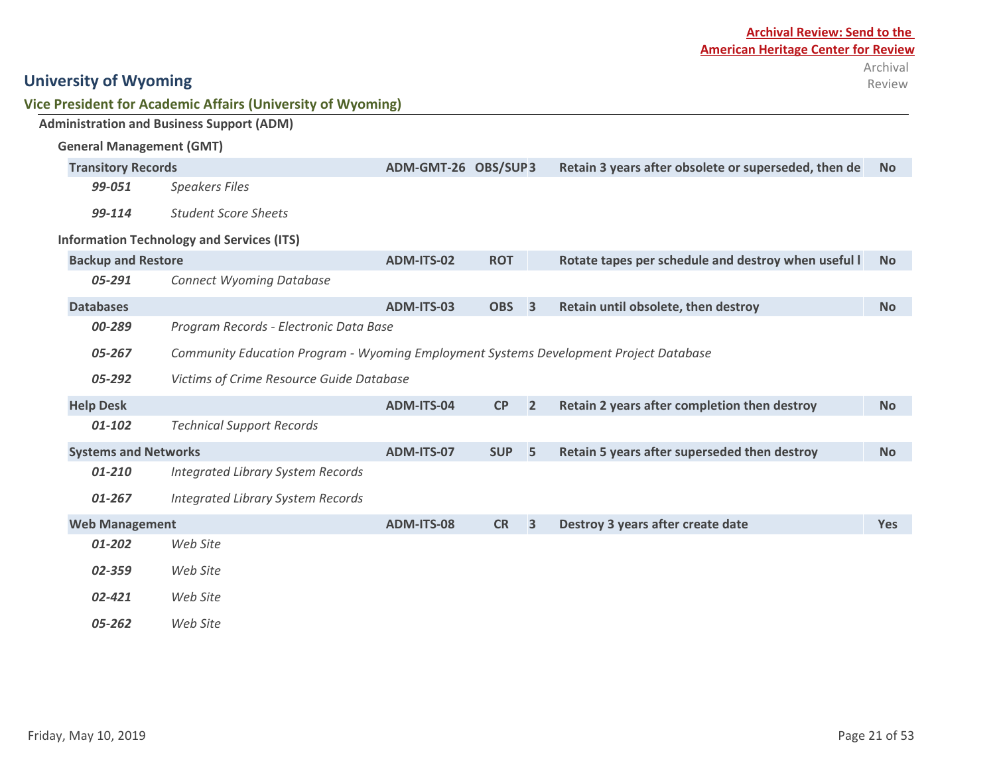|                                 | Vice President for Academic Affairs (University of Wyoming)                           |                     |                  |                         |                                                      |            |
|---------------------------------|---------------------------------------------------------------------------------------|---------------------|------------------|-------------------------|------------------------------------------------------|------------|
|                                 | <b>Administration and Business Support (ADM)</b>                                      |                     |                  |                         |                                                      |            |
| <b>General Management (GMT)</b> |                                                                                       |                     |                  |                         |                                                      |            |
| <b>Transitory Records</b>       |                                                                                       | ADM-GMT-26 OBS/SUP3 |                  |                         | Retain 3 years after obsolete or superseded, then de | <b>No</b>  |
| 99-051                          | <b>Speakers Files</b>                                                                 |                     |                  |                         |                                                      |            |
| 99-114                          | <b>Student Score Sheets</b>                                                           |                     |                  |                         |                                                      |            |
|                                 | <b>Information Technology and Services (ITS)</b>                                      |                     |                  |                         |                                                      |            |
| <b>Backup and Restore</b>       |                                                                                       | ADM-ITS-02          | <b>ROT</b>       |                         | Rotate tapes per schedule and destroy when useful I  | <b>No</b>  |
| 05-291                          | <b>Connect Wyoming Database</b>                                                       |                     |                  |                         |                                                      |            |
| <b>Databases</b>                |                                                                                       | ADM-ITS-03          | OBS <sub>3</sub> |                         | Retain until obsolete, then destroy                  | <b>No</b>  |
| 00-289                          | Program Records - Electronic Data Base                                                |                     |                  |                         |                                                      |            |
| 05-267                          | Community Education Program - Wyoming Employment Systems Development Project Database |                     |                  |                         |                                                      |            |
| 05-292                          | Victims of Crime Resource Guide Database                                              |                     |                  |                         |                                                      |            |
| <b>Help Desk</b>                |                                                                                       | ADM-ITS-04          | CP               | $\overline{2}$          | Retain 2 years after completion then destroy         | <b>No</b>  |
| 01-102                          | <b>Technical Support Records</b>                                                      |                     |                  |                         |                                                      |            |
| <b>Systems and Networks</b>     |                                                                                       | ADM-ITS-07          | <b>SUP</b>       | 5                       | Retain 5 years after superseded then destroy         | <b>No</b>  |
| 01-210                          | <b>Integrated Library System Records</b>                                              |                     |                  |                         |                                                      |            |
| 01-267                          | <b>Integrated Library System Records</b>                                              |                     |                  |                         |                                                      |            |
| <b>Web Management</b>           |                                                                                       | <b>ADM-ITS-08</b>   | <b>CR</b>        | $\overline{\mathbf{3}}$ | Destroy 3 years after create date                    | <b>Yes</b> |
| 01-202                          | Web Site                                                                              |                     |                  |                         |                                                      |            |
| 02-359                          | Web Site                                                                              |                     |                  |                         |                                                      |            |
| 02-421                          | Web Site                                                                              |                     |                  |                         |                                                      |            |
| 05-262                          | Web Site                                                                              |                     |                  |                         |                                                      |            |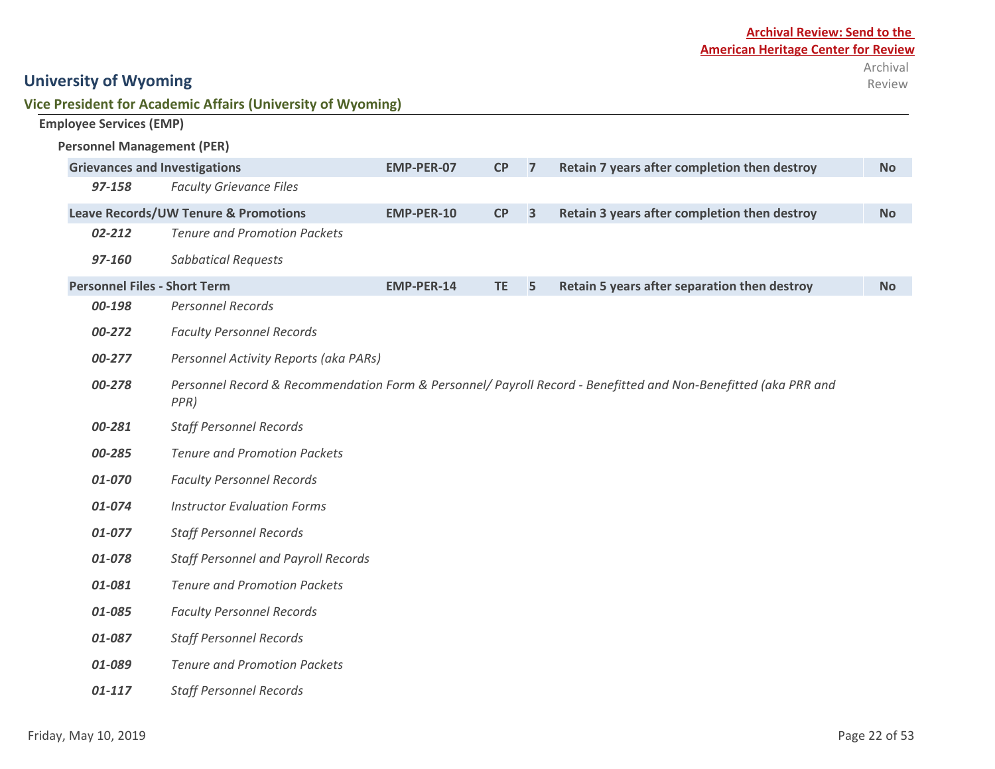| <b>University of Wyoming</b> |  |
|------------------------------|--|
|------------------------------|--|

**Vice President for Academic Affairs (University of Wyoming)**

| <b>Employee Services (EMP)</b>       |                                                 |                   |           |                         |                                                                                                                 |           |  |  |
|--------------------------------------|-------------------------------------------------|-------------------|-----------|-------------------------|-----------------------------------------------------------------------------------------------------------------|-----------|--|--|
| <b>Personnel Management (PER)</b>    |                                                 |                   |           |                         |                                                                                                                 |           |  |  |
| <b>Grievances and Investigations</b> |                                                 | <b>EMP-PER-07</b> | CP        | $\overline{7}$          | Retain 7 years after completion then destroy                                                                    | <b>No</b> |  |  |
| 97-158                               | <b>Faculty Grievance Files</b>                  |                   |           |                         |                                                                                                                 |           |  |  |
|                                      | <b>Leave Records/UW Tenure &amp; Promotions</b> | EMP-PER-10        | CP        | $\overline{\mathbf{3}}$ | Retain 3 years after completion then destroy                                                                    | <b>No</b> |  |  |
| 02-212                               | <b>Tenure and Promotion Packets</b>             |                   |           |                         |                                                                                                                 |           |  |  |
| 97-160                               | <b>Sabbatical Requests</b>                      |                   |           |                         |                                                                                                                 |           |  |  |
| <b>Personnel Files - Short Term</b>  |                                                 | <b>EMP-PER-14</b> | <b>TE</b> | 5                       | Retain 5 years after separation then destroy                                                                    | <b>No</b> |  |  |
| 00-198                               | <b>Personnel Records</b>                        |                   |           |                         |                                                                                                                 |           |  |  |
| 00-272                               | <b>Faculty Personnel Records</b>                |                   |           |                         |                                                                                                                 |           |  |  |
| 00-277                               | Personnel Activity Reports (aka PARs)           |                   |           |                         |                                                                                                                 |           |  |  |
| 00-278                               | PPR)                                            |                   |           |                         | Personnel Record & Recommendation Form & Personnel/ Payroll Record - Benefitted and Non-Benefitted (aka PRR and |           |  |  |
| 00-281                               | <b>Staff Personnel Records</b>                  |                   |           |                         |                                                                                                                 |           |  |  |
| 00-285                               | <b>Tenure and Promotion Packets</b>             |                   |           |                         |                                                                                                                 |           |  |  |
| 01-070                               | <b>Faculty Personnel Records</b>                |                   |           |                         |                                                                                                                 |           |  |  |
| 01-074                               | <b>Instructor Evaluation Forms</b>              |                   |           |                         |                                                                                                                 |           |  |  |
| 01-077                               | <b>Staff Personnel Records</b>                  |                   |           |                         |                                                                                                                 |           |  |  |
| 01-078                               | Staff Personnel and Payroll Records             |                   |           |                         |                                                                                                                 |           |  |  |
| 01-081                               | <b>Tenure and Promotion Packets</b>             |                   |           |                         |                                                                                                                 |           |  |  |
| 01-085                               | <b>Faculty Personnel Records</b>                |                   |           |                         |                                                                                                                 |           |  |  |
| 01-087                               | <b>Staff Personnel Records</b>                  |                   |           |                         |                                                                                                                 |           |  |  |
| 01-089                               | <b>Tenure and Promotion Packets</b>             |                   |           |                         |                                                                                                                 |           |  |  |
| 01-117                               | <b>Staff Personnel Records</b>                  |                   |           |                         |                                                                                                                 |           |  |  |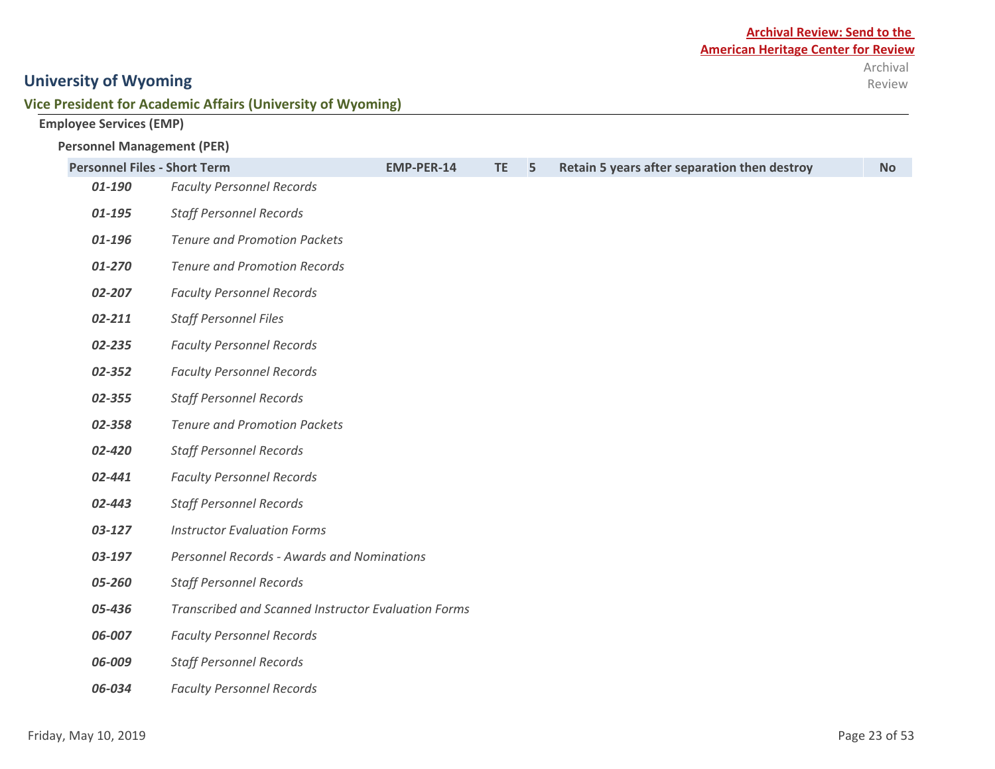#### **Vice President for Academic Affairs (University of Wyoming)**

**Employee Services (EMP)**

#### **Personnel Management (PER)**

| <b>Personnel Files - Short Term</b> |                                                            | <b>EMP-PER-14</b> | <b>TE</b> | 5 | Retain 5 years after separation then destroy | <b>No</b> |
|-------------------------------------|------------------------------------------------------------|-------------------|-----------|---|----------------------------------------------|-----------|
| 01-190                              | <b>Faculty Personnel Records</b>                           |                   |           |   |                                              |           |
| 01-195                              | <b>Staff Personnel Records</b>                             |                   |           |   |                                              |           |
| 01-196                              | <b>Tenure and Promotion Packets</b>                        |                   |           |   |                                              |           |
| 01-270                              | <b>Tenure and Promotion Records</b>                        |                   |           |   |                                              |           |
| 02-207                              | <b>Faculty Personnel Records</b>                           |                   |           |   |                                              |           |
| 02-211                              | <b>Staff Personnel Files</b>                               |                   |           |   |                                              |           |
| 02-235                              | <b>Faculty Personnel Records</b>                           |                   |           |   |                                              |           |
| 02-352                              | <b>Faculty Personnel Records</b>                           |                   |           |   |                                              |           |
| 02-355                              | <b>Staff Personnel Records</b>                             |                   |           |   |                                              |           |
| 02-358                              | <b>Tenure and Promotion Packets</b>                        |                   |           |   |                                              |           |
| 02-420                              | <b>Staff Personnel Records</b>                             |                   |           |   |                                              |           |
| 02-441                              | <b>Faculty Personnel Records</b>                           |                   |           |   |                                              |           |
| 02-443                              | <b>Staff Personnel Records</b>                             |                   |           |   |                                              |           |
| 03-127                              | <b>Instructor Evaluation Forms</b>                         |                   |           |   |                                              |           |
| 03-197                              | Personnel Records - Awards and Nominations                 |                   |           |   |                                              |           |
| 05-260                              | <b>Staff Personnel Records</b>                             |                   |           |   |                                              |           |
| 05-436                              | <b>Transcribed and Scanned Instructor Evaluation Forms</b> |                   |           |   |                                              |           |
| 06-007                              | <b>Faculty Personnel Records</b>                           |                   |           |   |                                              |           |
| 06-009                              | <b>Staff Personnel Records</b>                             |                   |           |   |                                              |           |
| 06-034                              | <b>Faculty Personnel Records</b>                           |                   |           |   |                                              |           |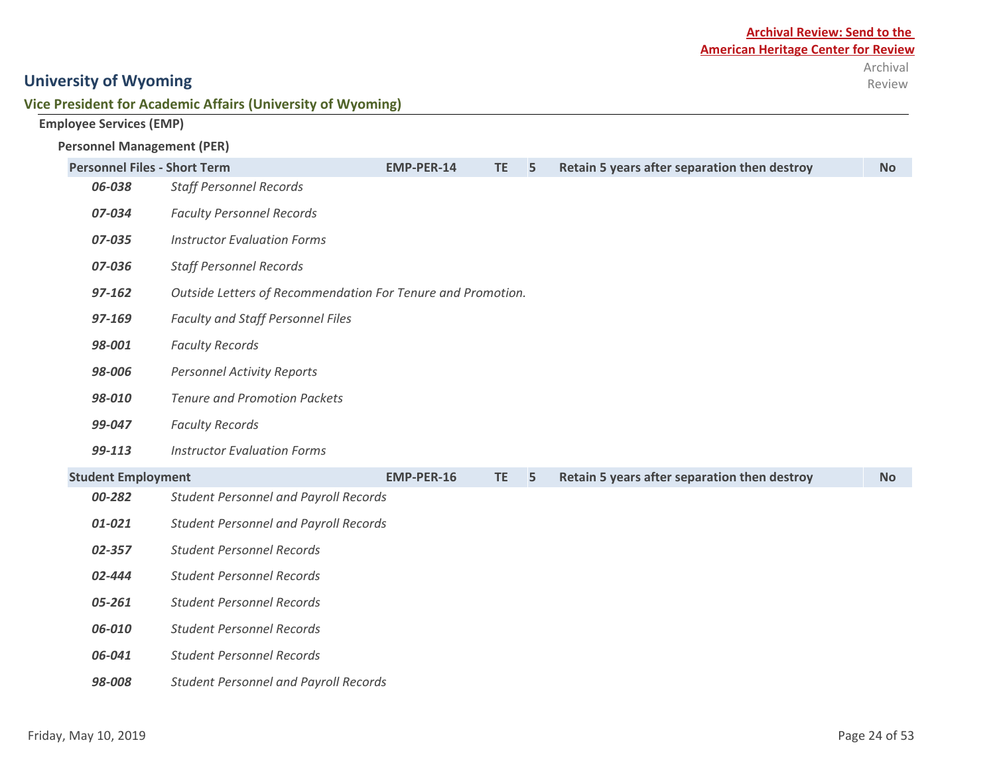#### **Vice President for Academic Affairs (University of Wyoming)**

| <b>Employee Services (EMP)</b> |  |  |
|--------------------------------|--|--|
|--------------------------------|--|--|

#### **Personnel Management (PER)**

| <b>Personnel Files - Short Term</b> |                                                             | <b>EMP-PER-14</b> | <b>TE</b> | 5 | Retain 5 years after separation then destroy | <b>No</b> |
|-------------------------------------|-------------------------------------------------------------|-------------------|-----------|---|----------------------------------------------|-----------|
| 06-038                              | <b>Staff Personnel Records</b>                              |                   |           |   |                                              |           |
| 07-034                              | <b>Faculty Personnel Records</b>                            |                   |           |   |                                              |           |
| 07-035                              | <b>Instructor Evaluation Forms</b>                          |                   |           |   |                                              |           |
| 07-036                              | <b>Staff Personnel Records</b>                              |                   |           |   |                                              |           |
| 97-162                              | Outside Letters of Recommendation For Tenure and Promotion. |                   |           |   |                                              |           |
| 97-169                              | Faculty and Staff Personnel Files                           |                   |           |   |                                              |           |
| 98-001                              | <b>Faculty Records</b>                                      |                   |           |   |                                              |           |
| 98-006                              | <b>Personnel Activity Reports</b>                           |                   |           |   |                                              |           |
| 98-010                              | <b>Tenure and Promotion Packets</b>                         |                   |           |   |                                              |           |
| 99-047                              | <b>Faculty Records</b>                                      |                   |           |   |                                              |           |
| 99-113                              | <b>Instructor Evaluation Forms</b>                          |                   |           |   |                                              |           |
| <b>Student Employment</b>           |                                                             | <b>EMP-PER-16</b> | <b>TE</b> | 5 | Retain 5 years after separation then destroy | <b>No</b> |
| 00-282                              | <b>Student Personnel and Payroll Records</b>                |                   |           |   |                                              |           |
| 01-021                              | <b>Student Personnel and Payroll Records</b>                |                   |           |   |                                              |           |
| 02-357                              | <b>Student Personnel Records</b>                            |                   |           |   |                                              |           |
| 02-444                              | <b>Student Personnel Records</b>                            |                   |           |   |                                              |           |
| 05-261                              | <b>Student Personnel Records</b>                            |                   |           |   |                                              |           |
| 06-010                              | <b>Student Personnel Records</b>                            |                   |           |   |                                              |           |
| 06-041                              | <b>Student Personnel Records</b>                            |                   |           |   |                                              |           |
| 98-008                              | <b>Student Personnel and Payroll Records</b>                |                   |           |   |                                              |           |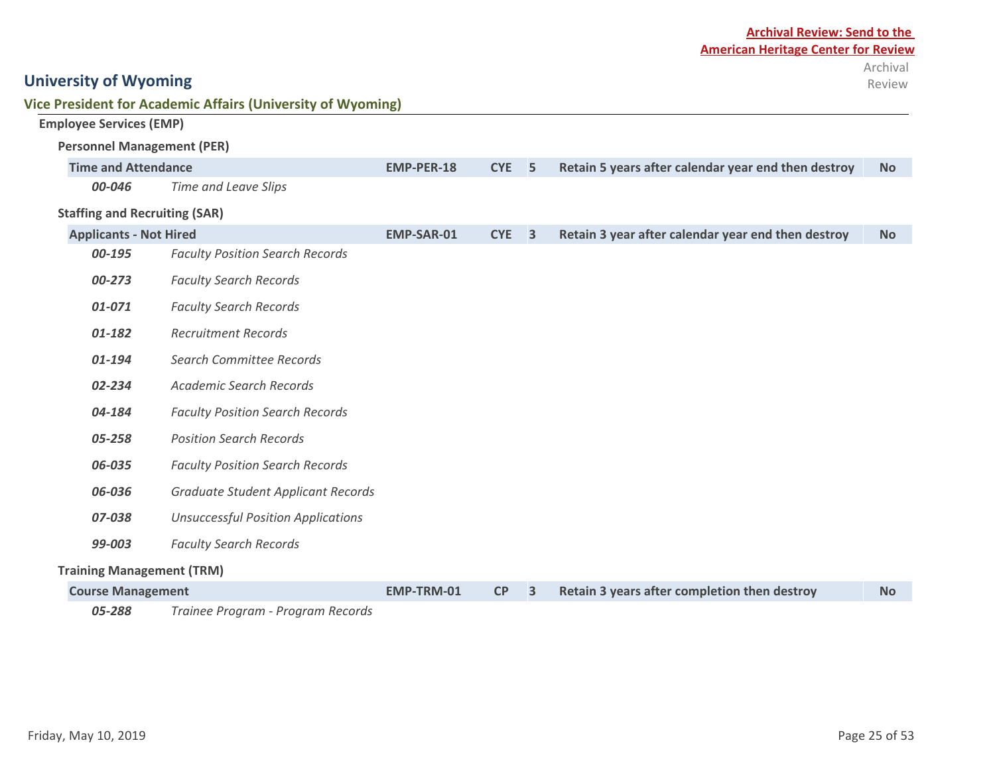|                                      | <b>Vice President for Academic Affairs (University of Wyoming)</b> |                   |                  |                         |                                                     |           |
|--------------------------------------|--------------------------------------------------------------------|-------------------|------------------|-------------------------|-----------------------------------------------------|-----------|
| <b>Employee Services (EMP)</b>       |                                                                    |                   |                  |                         |                                                     |           |
| <b>Personnel Management (PER)</b>    |                                                                    |                   |                  |                         |                                                     |           |
| <b>Time and Attendance</b>           |                                                                    | <b>EMP-PER-18</b> | CYE <sub>5</sub> |                         | Retain 5 years after calendar year end then destroy | <b>No</b> |
| 00-046                               | <b>Time and Leave Slips</b>                                        |                   |                  |                         |                                                     |           |
| <b>Staffing and Recruiting (SAR)</b> |                                                                    |                   |                  |                         |                                                     |           |
| <b>Applicants - Not Hired</b>        |                                                                    | <b>EMP-SAR-01</b> | <b>CYE</b>       | $\overline{\mathbf{3}}$ | Retain 3 year after calendar year end then destroy  | <b>No</b> |
| 00-195                               | <b>Faculty Position Search Records</b>                             |                   |                  |                         |                                                     |           |
| 00-273                               | <b>Faculty Search Records</b>                                      |                   |                  |                         |                                                     |           |
| 01-071                               | <b>Faculty Search Records</b>                                      |                   |                  |                         |                                                     |           |
| 01-182                               | <b>Recruitment Records</b>                                         |                   |                  |                         |                                                     |           |
| 01-194                               | Search Committee Records                                           |                   |                  |                         |                                                     |           |
| 02-234                               | <b>Academic Search Records</b>                                     |                   |                  |                         |                                                     |           |
| 04-184                               | <b>Faculty Position Search Records</b>                             |                   |                  |                         |                                                     |           |
| 05-258                               | <b>Position Search Records</b>                                     |                   |                  |                         |                                                     |           |
| 06-035                               | <b>Faculty Position Search Records</b>                             |                   |                  |                         |                                                     |           |
| 06-036                               | Graduate Student Applicant Records                                 |                   |                  |                         |                                                     |           |
| 07-038                               | <b>Unsuccessful Position Applications</b>                          |                   |                  |                         |                                                     |           |
| 99-003                               | <b>Faculty Search Records</b>                                      |                   |                  |                         |                                                     |           |
| <b>Training Management (TRM)</b>     |                                                                    |                   |                  |                         |                                                     |           |
| <b>Course Management</b>             |                                                                    | EMP-TRM-01        | CP               | $\overline{\mathbf{3}}$ | Retain 3 years after completion then destroy        | <b>No</b> |
| 05-288                               | Trainee Program - Program Records                                  |                   |                  |                         |                                                     |           |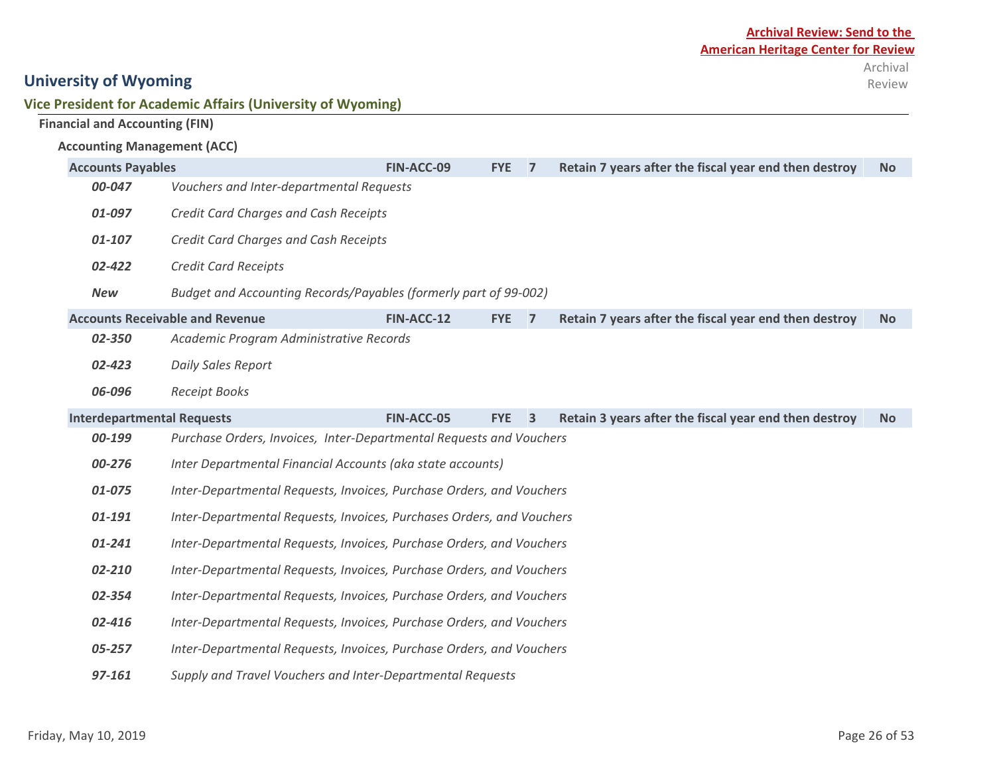| Vice President for Academic Affairs (University of Wyoming) |  |  |  |
|-------------------------------------------------------------|--|--|--|
|-------------------------------------------------------------|--|--|--|

|  |  | <b>Financial and Accounting (FIN)</b> |  |
|--|--|---------------------------------------|--|
|--|--|---------------------------------------|--|

#### **Accounting Management (ACC)**

|            | <b>Accounts Payables</b>                                              |            | <b>FYE</b> | $\overline{7}$ | Retain 7 years after the fiscal year end then destroy | <b>No</b> |  |  |  |  |
|------------|-----------------------------------------------------------------------|------------|------------|----------------|-------------------------------------------------------|-----------|--|--|--|--|
| 00-047     | Vouchers and Inter-departmental Requests                              |            |            |                |                                                       |           |  |  |  |  |
| 01-097     | Credit Card Charges and Cash Receipts                                 |            |            |                |                                                       |           |  |  |  |  |
| 01-107     | Credit Card Charges and Cash Receipts                                 |            |            |                |                                                       |           |  |  |  |  |
| 02-422     | <b>Credit Card Receipts</b>                                           |            |            |                |                                                       |           |  |  |  |  |
| <b>New</b> | Budget and Accounting Records/Payables (formerly part of 99-002)      |            |            |                |                                                       |           |  |  |  |  |
|            | <b>Accounts Receivable and Revenue</b>                                | FIN-ACC-12 | <b>FYE</b> | $\overline{7}$ | Retain 7 years after the fiscal year end then destroy | <b>No</b> |  |  |  |  |
| 02-350     | Academic Program Administrative Records                               |            |            |                |                                                       |           |  |  |  |  |
| 02-423     | <b>Daily Sales Report</b>                                             |            |            |                |                                                       |           |  |  |  |  |
| 06-096     | <b>Receipt Books</b>                                                  |            |            |                |                                                       |           |  |  |  |  |
|            | <b>Interdepartmental Requests</b>                                     |            | <b>FYE</b> | $\overline{3}$ | Retain 3 years after the fiscal year end then destroy | <b>No</b> |  |  |  |  |
| 00-199     | Purchase Orders, Invoices, Inter-Departmental Requests and Vouchers   |            |            |                |                                                       |           |  |  |  |  |
| 00-276     | Inter Departmental Financial Accounts (aka state accounts)            |            |            |                |                                                       |           |  |  |  |  |
| 01-075     | Inter-Departmental Requests, Invoices, Purchase Orders, and Vouchers  |            |            |                |                                                       |           |  |  |  |  |
| 01-191     | Inter-Departmental Requests, Invoices, Purchases Orders, and Vouchers |            |            |                |                                                       |           |  |  |  |  |
| 01-241     | Inter-Departmental Requests, Invoices, Purchase Orders, and Vouchers  |            |            |                |                                                       |           |  |  |  |  |
| 02-210     | Inter-Departmental Requests, Invoices, Purchase Orders, and Vouchers  |            |            |                |                                                       |           |  |  |  |  |
| 02-354     | Inter-Departmental Requests, Invoices, Purchase Orders, and Vouchers  |            |            |                |                                                       |           |  |  |  |  |
| 02-416     | Inter-Departmental Requests, Invoices, Purchase Orders, and Vouchers  |            |            |                |                                                       |           |  |  |  |  |
| 05-257     | Inter-Departmental Requests, Invoices, Purchase Orders, and Vouchers  |            |            |                |                                                       |           |  |  |  |  |
| 97-161     | Supply and Travel Vouchers and Inter-Departmental Requests            |            |            |                |                                                       |           |  |  |  |  |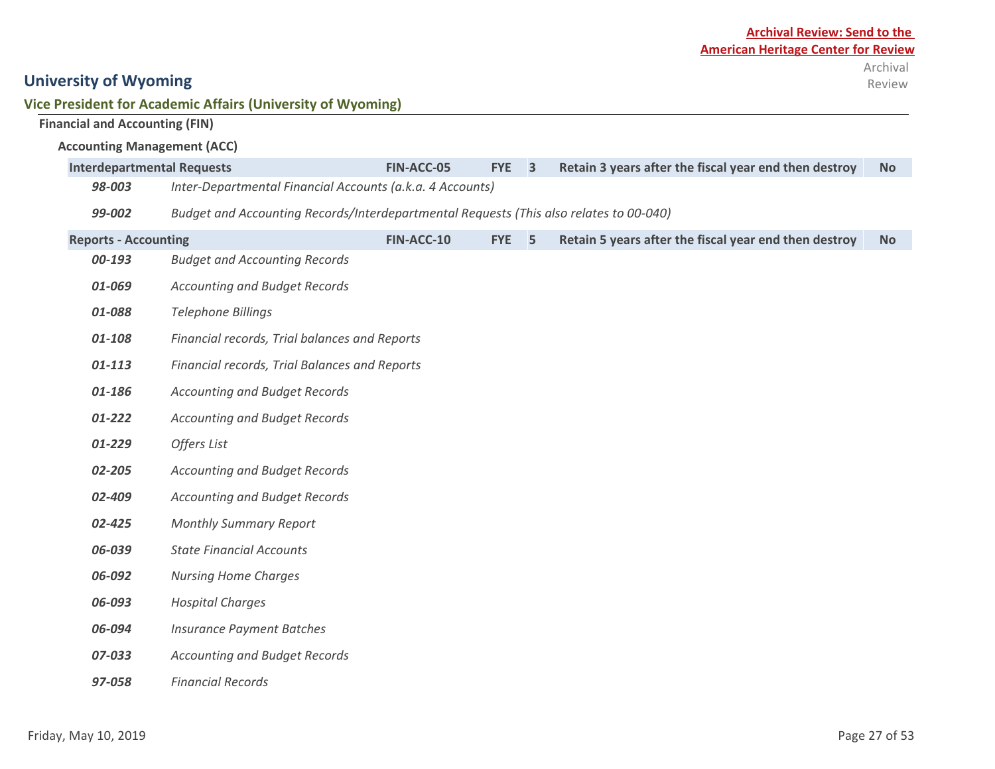## **Vice President for Academic Affairs (University of Wyoming)**

|                                       | rice President for Academic Affairs (University of Wyoming)                            |            |            |                         |                                                       |           |
|---------------------------------------|----------------------------------------------------------------------------------------|------------|------------|-------------------------|-------------------------------------------------------|-----------|
| <b>Financial and Accounting (FIN)</b> |                                                                                        |            |            |                         |                                                       |           |
| <b>Accounting Management (ACC)</b>    |                                                                                        |            |            |                         |                                                       |           |
| <b>Interdepartmental Requests</b>     |                                                                                        | FIN-ACC-05 | <b>FYE</b> | $\overline{\mathbf{3}}$ | Retain 3 years after the fiscal year end then destroy | <b>No</b> |
| 98-003                                | Inter-Departmental Financial Accounts (a.k.a. 4 Accounts)                              |            |            |                         |                                                       |           |
| 99-002                                | Budget and Accounting Records/Interdepartmental Requests (This also relates to 00-040) |            |            |                         |                                                       |           |
| <b>Reports - Accounting</b>           |                                                                                        | FIN-ACC-10 | <b>FYE</b> | 5                       | Retain 5 years after the fiscal year end then destroy | <b>No</b> |
| 00-193                                | <b>Budget and Accounting Records</b>                                                   |            |            |                         |                                                       |           |
| 01-069                                | <b>Accounting and Budget Records</b>                                                   |            |            |                         |                                                       |           |
| 01-088                                | Telephone Billings                                                                     |            |            |                         |                                                       |           |
| 01-108                                | Financial records, Trial balances and Reports                                          |            |            |                         |                                                       |           |
| 01-113                                | Financial records, Trial Balances and Reports                                          |            |            |                         |                                                       |           |
| 01-186                                | <b>Accounting and Budget Records</b>                                                   |            |            |                         |                                                       |           |
| 01-222                                | <b>Accounting and Budget Records</b>                                                   |            |            |                         |                                                       |           |
| 01-229                                | Offers List                                                                            |            |            |                         |                                                       |           |
| 02-205                                | <b>Accounting and Budget Records</b>                                                   |            |            |                         |                                                       |           |
| 02-409                                | <b>Accounting and Budget Records</b>                                                   |            |            |                         |                                                       |           |
| 02-425                                | <b>Monthly Summary Report</b>                                                          |            |            |                         |                                                       |           |
| 06-039                                | <b>State Financial Accounts</b>                                                        |            |            |                         |                                                       |           |
| 06-092                                | <b>Nursing Home Charges</b>                                                            |            |            |                         |                                                       |           |
| 06-093                                | <b>Hospital Charges</b>                                                                |            |            |                         |                                                       |           |
| 06-094                                | <b>Insurance Payment Batches</b>                                                       |            |            |                         |                                                       |           |
| 07-033                                | <b>Accounting and Budget Records</b>                                                   |            |            |                         |                                                       |           |
| 97-058                                | <b>Financial Records</b>                                                               |            |            |                         |                                                       |           |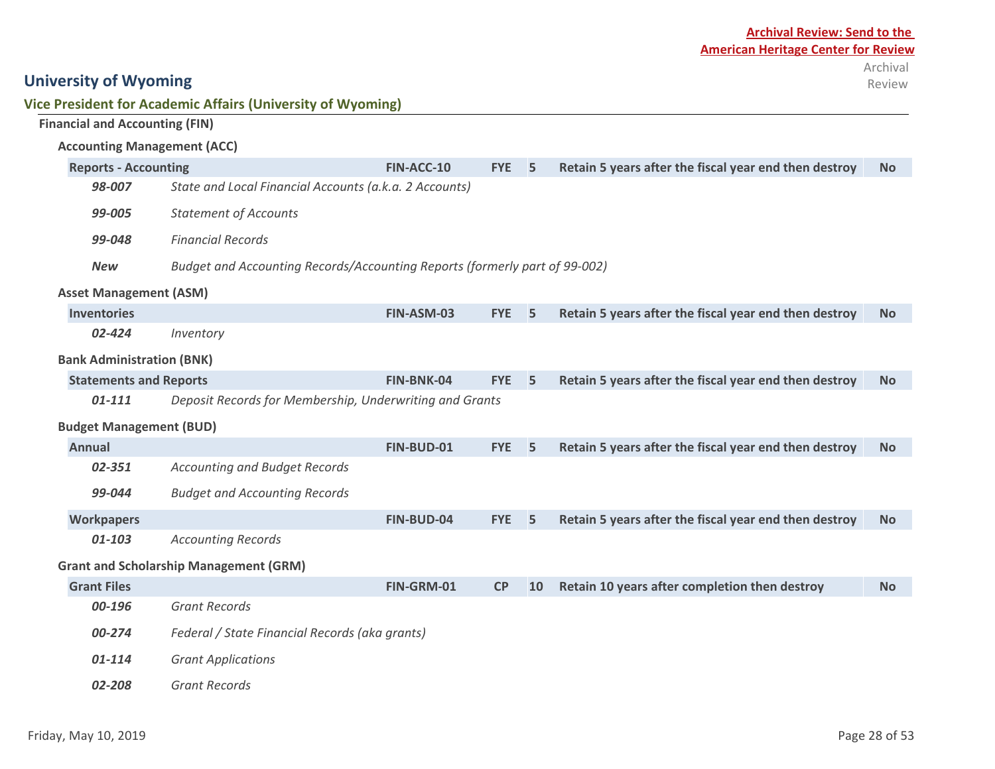#### **Archival Review: Send to the American Heritage Center for Review** Archival Review

| Vice President for Academic Affairs (University of Wyoming) |  |
|-------------------------------------------------------------|--|
|-------------------------------------------------------------|--|

| <b>Financial and Accounting (FIN)</b> |                                                                            |            |            |           |                                                       |           |  |
|---------------------------------------|----------------------------------------------------------------------------|------------|------------|-----------|-------------------------------------------------------|-----------|--|
| <b>Accounting Management (ACC)</b>    |                                                                            |            |            |           |                                                       |           |  |
| <b>Reports - Accounting</b>           |                                                                            | FIN-ACC-10 | <b>FYE</b> | 5         | Retain 5 years after the fiscal year end then destroy | <b>No</b> |  |
| 98-007                                | State and Local Financial Accounts (a.k.a. 2 Accounts)                     |            |            |           |                                                       |           |  |
| 99-005                                | <b>Statement of Accounts</b>                                               |            |            |           |                                                       |           |  |
| 99-048                                | <b>Financial Records</b>                                                   |            |            |           |                                                       |           |  |
| <b>New</b>                            | Budget and Accounting Records/Accounting Reports (formerly part of 99-002) |            |            |           |                                                       |           |  |
| <b>Asset Management (ASM)</b>         |                                                                            |            |            |           |                                                       |           |  |
| <b>Inventories</b>                    |                                                                            | FIN-ASM-03 | <b>FYE</b> | 5         | Retain 5 years after the fiscal year end then destroy | <b>No</b> |  |
| 02-424                                | Inventory                                                                  |            |            |           |                                                       |           |  |
| <b>Bank Administration (BNK)</b>      |                                                                            |            |            |           |                                                       |           |  |
| <b>Statements and Reports</b>         |                                                                            | FIN-BNK-04 | <b>FYE</b> | 5         | Retain 5 years after the fiscal year end then destroy | <b>No</b> |  |
| $01 - 111$                            | Deposit Records for Membership, Underwriting and Grants                    |            |            |           |                                                       |           |  |
| <b>Budget Management (BUD)</b>        |                                                                            |            |            |           |                                                       |           |  |
| <b>Annual</b>                         |                                                                            | FIN-BUD-01 | <b>FYE</b> | 5         | Retain 5 years after the fiscal year end then destroy | <b>No</b> |  |
| 02-351                                | <b>Accounting and Budget Records</b>                                       |            |            |           |                                                       |           |  |
| 99-044                                | <b>Budget and Accounting Records</b>                                       |            |            |           |                                                       |           |  |
| <b>Workpapers</b>                     |                                                                            | FIN-BUD-04 | <b>FYE</b> | 5         | Retain 5 years after the fiscal year end then destroy | <b>No</b> |  |
| 01-103                                | <b>Accounting Records</b>                                                  |            |            |           |                                                       |           |  |
|                                       | <b>Grant and Scholarship Management (GRM)</b>                              |            |            |           |                                                       |           |  |
| <b>Grant Files</b>                    |                                                                            | FIN-GRM-01 | CP         | <b>10</b> | Retain 10 years after completion then destroy         | <b>No</b> |  |
| 00-196                                | <b>Grant Records</b>                                                       |            |            |           |                                                       |           |  |
| 00-274                                | Federal / State Financial Records (aka grants)                             |            |            |           |                                                       |           |  |
| 01-114                                | <b>Grant Applications</b>                                                  |            |            |           |                                                       |           |  |
| 02-208                                | <b>Grant Records</b>                                                       |            |            |           |                                                       |           |  |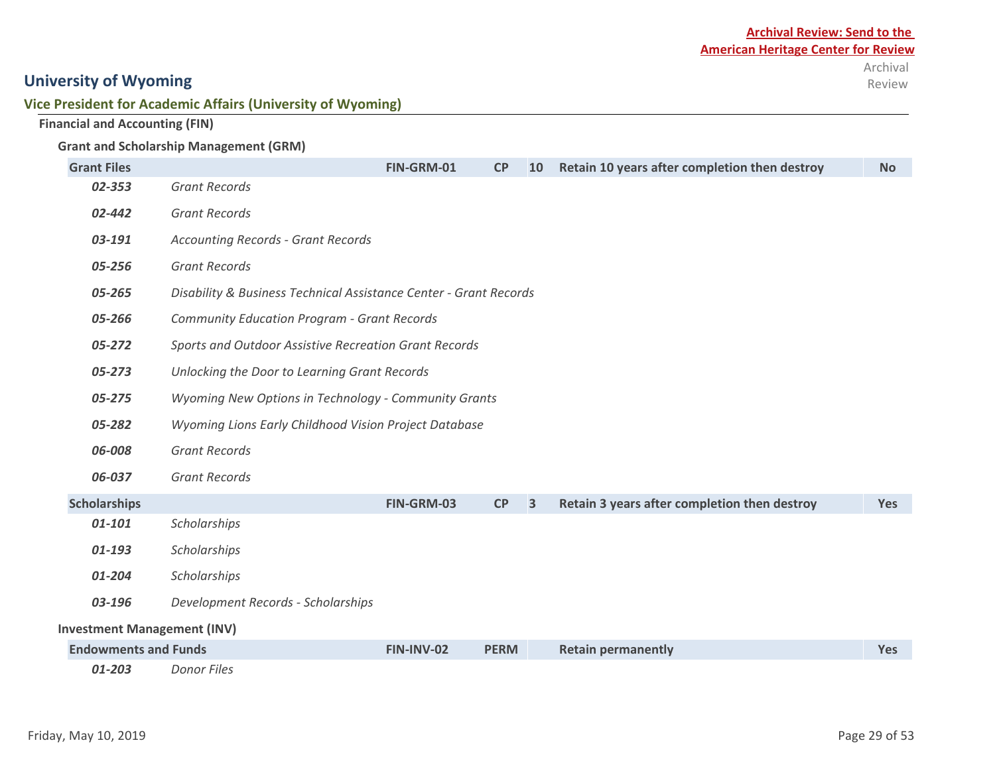#### **Vice President for Academic Affairs (University of Wyoming)**

#### **Financial and Accounting (FIN)**

#### **Grant and Scholarship Management (GRM)**

| <b>Grant Files</b>                 |                                                                   | FIN-GRM-01                                            | <b>CP</b>   | <b>10</b> | Retain 10 years after completion then destroy | <b>No</b>  |  |  |
|------------------------------------|-------------------------------------------------------------------|-------------------------------------------------------|-------------|-----------|-----------------------------------------------|------------|--|--|
| 02-353                             | <b>Grant Records</b>                                              |                                                       |             |           |                                               |            |  |  |
| 02-442                             | <b>Grant Records</b>                                              |                                                       |             |           |                                               |            |  |  |
| 03-191                             | <b>Accounting Records - Grant Records</b>                         |                                                       |             |           |                                               |            |  |  |
| 05-256                             | <b>Grant Records</b>                                              |                                                       |             |           |                                               |            |  |  |
| 05-265                             | Disability & Business Technical Assistance Center - Grant Records |                                                       |             |           |                                               |            |  |  |
| 05-266                             | <b>Community Education Program - Grant Records</b>                |                                                       |             |           |                                               |            |  |  |
| 05-272                             |                                                                   | Sports and Outdoor Assistive Recreation Grant Records |             |           |                                               |            |  |  |
| 05-273                             | Unlocking the Door to Learning Grant Records                      |                                                       |             |           |                                               |            |  |  |
| 05-275                             | Wyoming New Options in Technology - Community Grants              |                                                       |             |           |                                               |            |  |  |
| 05-282                             | Wyoming Lions Early Childhood Vision Project Database             |                                                       |             |           |                                               |            |  |  |
| 06-008                             | <b>Grant Records</b>                                              |                                                       |             |           |                                               |            |  |  |
| 06-037                             | <b>Grant Records</b>                                              |                                                       |             |           |                                               |            |  |  |
| <b>Scholarships</b>                |                                                                   | FIN-GRM-03                                            | CP          | 3         | Retain 3 years after completion then destroy  | <b>Yes</b> |  |  |
| $01 - 101$                         | Scholarships                                                      |                                                       |             |           |                                               |            |  |  |
| 01-193                             | Scholarships                                                      |                                                       |             |           |                                               |            |  |  |
| 01-204                             | Scholarships                                                      |                                                       |             |           |                                               |            |  |  |
| 03-196                             | Development Records - Scholarships                                |                                                       |             |           |                                               |            |  |  |
| <b>Investment Management (INV)</b> |                                                                   |                                                       |             |           |                                               |            |  |  |
| <b>Endowments and Funds</b>        |                                                                   | <b>FIN-INV-02</b>                                     | <b>PERM</b> |           | <b>Retain permanently</b>                     | <b>Yes</b> |  |  |
| 01-203                             | <b>Donor Files</b>                                                |                                                       |             |           |                                               |            |  |  |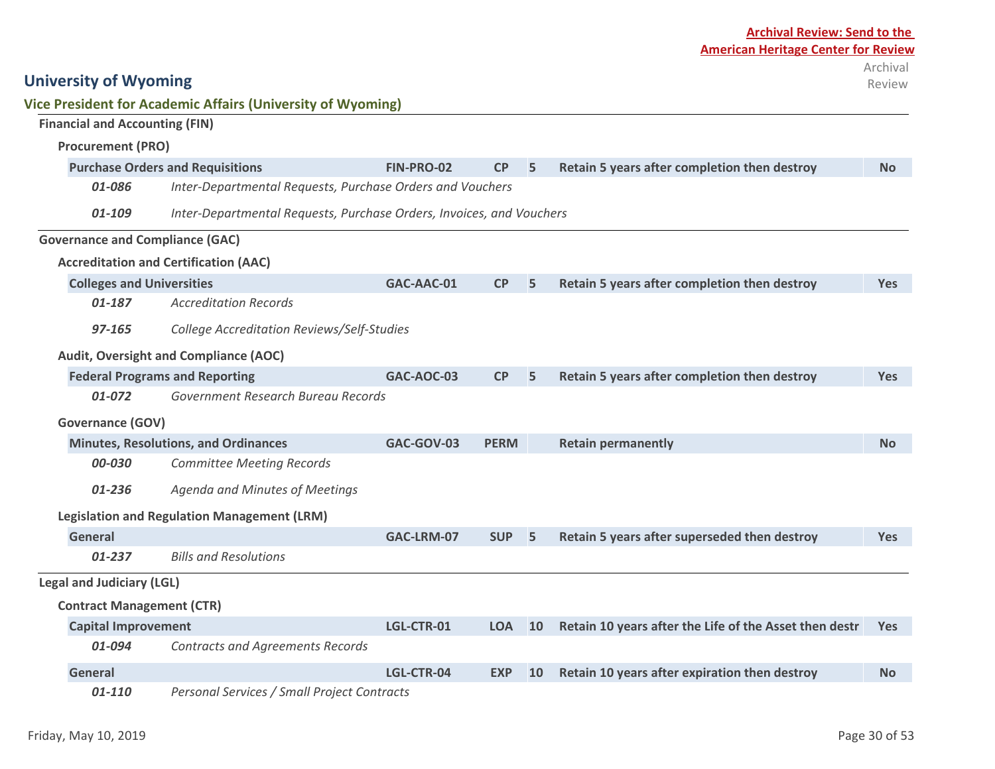|                                        | <b>Vice President for Academic Affairs (University of Wyoming)</b>   |                   |                  |           |                                                        |            |
|----------------------------------------|----------------------------------------------------------------------|-------------------|------------------|-----------|--------------------------------------------------------|------------|
| <b>Financial and Accounting (FIN)</b>  |                                                                      |                   |                  |           |                                                        |            |
| <b>Procurement (PRO)</b>               |                                                                      |                   |                  |           |                                                        |            |
|                                        | <b>Purchase Orders and Requisitions</b>                              | FIN-PRO-02        | CP               | 5         | Retain 5 years after completion then destroy           | <b>No</b>  |
| 01-086                                 | Inter-Departmental Requests, Purchase Orders and Vouchers            |                   |                  |           |                                                        |            |
| 01-109                                 | Inter-Departmental Requests, Purchase Orders, Invoices, and Vouchers |                   |                  |           |                                                        |            |
| <b>Governance and Compliance (GAC)</b> |                                                                      |                   |                  |           |                                                        |            |
|                                        | <b>Accreditation and Certification (AAC)</b>                         |                   |                  |           |                                                        |            |
| <b>Colleges and Universities</b>       |                                                                      | GAC-AAC-01        | CP               | 5         | Retain 5 years after completion then destroy           | <b>Yes</b> |
| 01-187                                 | <b>Accreditation Records</b>                                         |                   |                  |           |                                                        |            |
| 97-165                                 | College Accreditation Reviews/Self-Studies                           |                   |                  |           |                                                        |            |
|                                        | Audit, Oversight and Compliance (AOC)                                |                   |                  |           |                                                        |            |
|                                        | <b>Federal Programs and Reporting</b>                                | <b>GAC-AOC-03</b> | CP               | 5         | Retain 5 years after completion then destroy           | <b>Yes</b> |
| 01-072                                 | Government Research Bureau Records                                   |                   |                  |           |                                                        |            |
| <b>Governance (GOV)</b>                |                                                                      |                   |                  |           |                                                        |            |
|                                        | <b>Minutes, Resolutions, and Ordinances</b>                          | GAC-GOV-03        | <b>PERM</b>      |           | <b>Retain permanently</b>                              | <b>No</b>  |
| 00-030                                 | <b>Committee Meeting Records</b>                                     |                   |                  |           |                                                        |            |
| 01-236                                 | Agenda and Minutes of Meetings                                       |                   |                  |           |                                                        |            |
|                                        | <b>Legislation and Regulation Management (LRM)</b>                   |                   |                  |           |                                                        |            |
| <b>General</b>                         |                                                                      | GAC-LRM-07        | SUP <sub>5</sub> |           | Retain 5 years after superseded then destroy           | <b>Yes</b> |
| 01-237                                 | <b>Bills and Resolutions</b>                                         |                   |                  |           |                                                        |            |
| <b>Legal and Judiciary (LGL)</b>       |                                                                      |                   |                  |           |                                                        |            |
| <b>Contract Management (CTR)</b>       |                                                                      |                   |                  |           |                                                        |            |
| <b>Capital Improvement</b>             |                                                                      | LGL-CTR-01        | <b>LOA</b>       | 10        | Retain 10 years after the Life of the Asset then destr | <b>Yes</b> |
| 01-094                                 | <b>Contracts and Agreements Records</b>                              |                   |                  |           |                                                        |            |
| General                                |                                                                      | LGL-CTR-04        | <b>EXP</b>       | <b>10</b> | Retain 10 years after expiration then destroy          | <b>No</b>  |

*01-110 Personal Services / Small Project Contracts*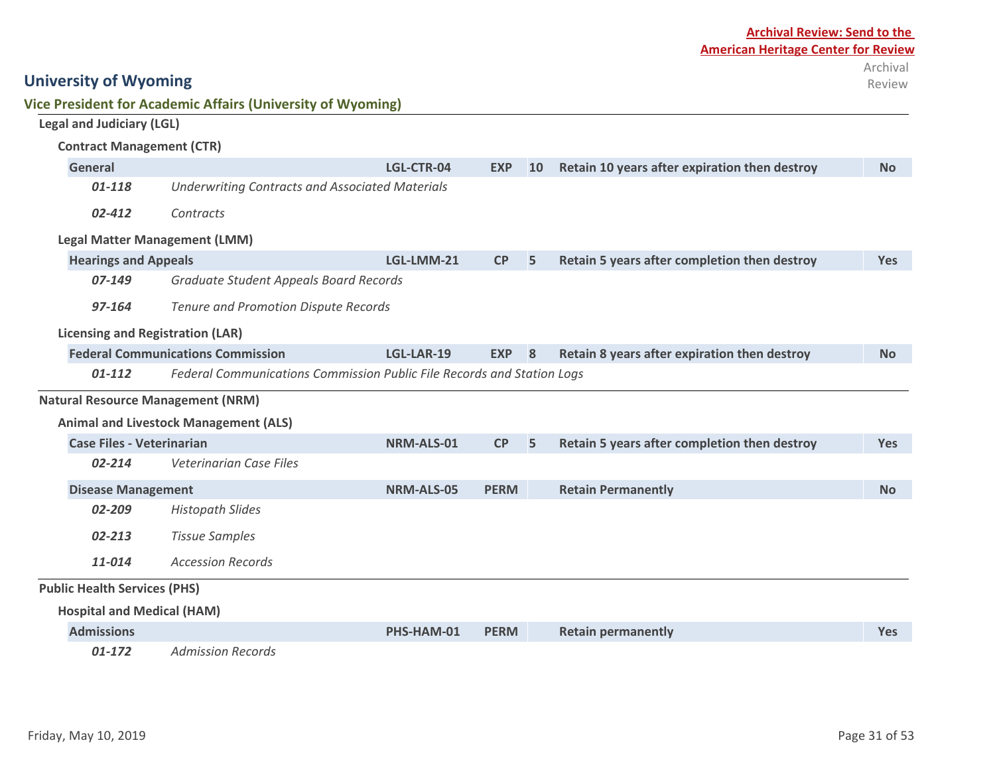| Friday, May 10, 2019 | Page 31 of 53 |
|----------------------|---------------|
|                      |               |

## **University of Wyoming Vice President for Academic Affairs (University of Wyoming)**

| <b>Legal and Judiciary (LGL)</b>         |                                                                        |                   |             |           |                                               |            |  |
|------------------------------------------|------------------------------------------------------------------------|-------------------|-------------|-----------|-----------------------------------------------|------------|--|
| <b>Contract Management (CTR)</b>         |                                                                        |                   |             |           |                                               |            |  |
| <b>General</b>                           |                                                                        | LGL-CTR-04        | <b>EXP</b>  | <b>10</b> | Retain 10 years after expiration then destroy | <b>No</b>  |  |
| $01 - 118$                               | <b>Underwriting Contracts and Associated Materials</b>                 |                   |             |           |                                               |            |  |
| 02-412                                   | Contracts                                                              |                   |             |           |                                               |            |  |
| <b>Legal Matter Management (LMM)</b>     |                                                                        |                   |             |           |                                               |            |  |
| <b>Hearings and Appeals</b>              |                                                                        | LGL-LMM-21        | CP          | 5         | Retain 5 years after completion then destroy  | <b>Yes</b> |  |
| 07-149                                   | Graduate Student Appeals Board Records                                 |                   |             |           |                                               |            |  |
| 97-164                                   | Tenure and Promotion Dispute Records                                   |                   |             |           |                                               |            |  |
| <b>Licensing and Registration (LAR)</b>  |                                                                        |                   |             |           |                                               |            |  |
|                                          | <b>Federal Communications Commission</b>                               | LGL-LAR-19        | <b>EXP</b>  | 8         | Retain 8 years after expiration then destroy  | <b>No</b>  |  |
| $01 - 112$                               | Federal Communications Commission Public File Records and Station Logs |                   |             |           |                                               |            |  |
| <b>Natural Resource Management (NRM)</b> |                                                                        |                   |             |           |                                               |            |  |
|                                          | <b>Animal and Livestock Management (ALS)</b>                           |                   |             |           |                                               |            |  |
| <b>Case Files - Veterinarian</b>         |                                                                        | NRM-ALS-01        | CP          | 5         | Retain 5 years after completion then destroy  | <b>Yes</b> |  |
| 02-214                                   | <b>Veterinarian Case Files</b>                                         |                   |             |           |                                               |            |  |
| <b>Disease Management</b>                |                                                                        | <b>NRM-ALS-05</b> | <b>PERM</b> |           | <b>Retain Permanently</b>                     | <b>No</b>  |  |
| 02-209                                   | <b>Histopath Slides</b>                                                |                   |             |           |                                               |            |  |
| 02-213                                   | <b>Tissue Samples</b>                                                  |                   |             |           |                                               |            |  |
| 11-014                                   | <b>Accession Records</b>                                               |                   |             |           |                                               |            |  |
| <b>Public Health Services (PHS)</b>      |                                                                        |                   |             |           |                                               |            |  |
| <b>Hospital and Medical (HAM)</b>        |                                                                        |                   |             |           |                                               |            |  |
| <b>Admissions</b>                        |                                                                        | PHS-HAM-01        | <b>PERM</b> |           | <b>Retain permanently</b>                     | <b>Yes</b> |  |
| $01-172$                                 | <b>Admission Records</b>                                               |                   |             |           |                                               |            |  |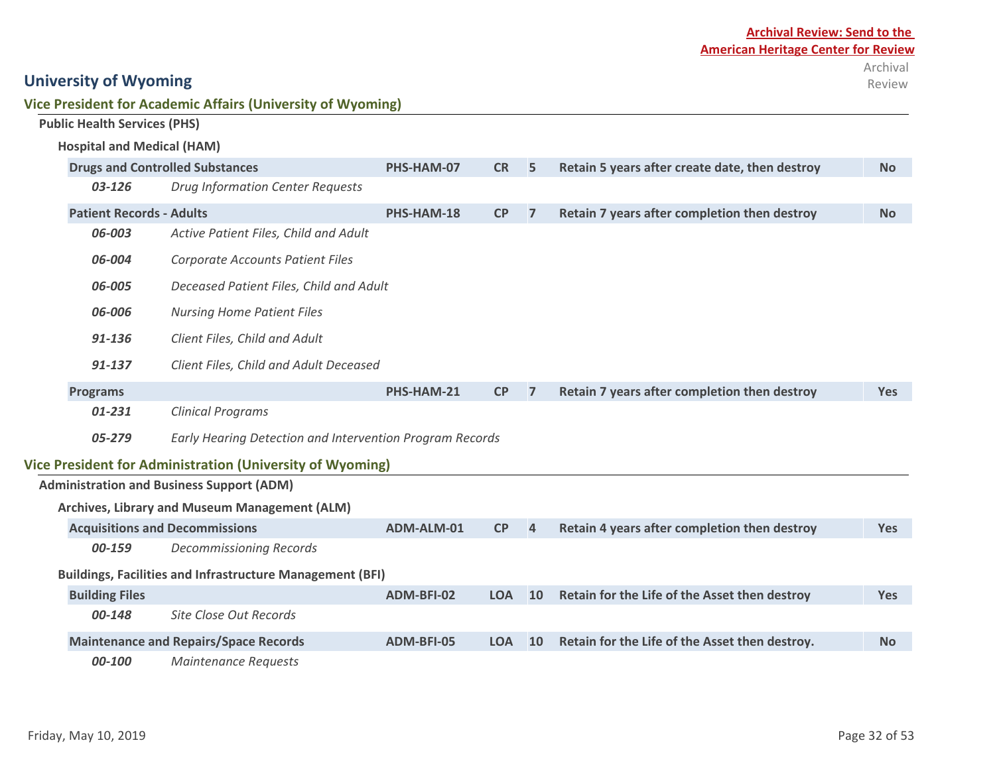| Vice President for Academic Affairs (University of Wyoming) |  |
|-------------------------------------------------------------|--|
|-------------------------------------------------------------|--|

| <b>Public Health Services (PHS)</b> |                                                                  |            |            |                |                                                |            |
|-------------------------------------|------------------------------------------------------------------|------------|------------|----------------|------------------------------------------------|------------|
| <b>Hospital and Medical (HAM)</b>   |                                                                  |            |            |                |                                                |            |
|                                     | <b>Drugs and Controlled Substances</b>                           | PHS-HAM-07 | <b>CR</b>  | 5              | Retain 5 years after create date, then destroy | <b>No</b>  |
| 03-126                              | <b>Drug Information Center Requests</b>                          |            |            |                |                                                |            |
| <b>Patient Records - Adults</b>     |                                                                  | PHS-HAM-18 | <b>CP</b>  | $\overline{7}$ | Retain 7 years after completion then destroy   | <b>No</b>  |
| 06-003                              | Active Patient Files, Child and Adult                            |            |            |                |                                                |            |
| 06-004                              | <b>Corporate Accounts Patient Files</b>                          |            |            |                |                                                |            |
| 06-005                              | Deceased Patient Files, Child and Adult                          |            |            |                |                                                |            |
| 06-006                              | <b>Nursing Home Patient Files</b>                                |            |            |                |                                                |            |
| 91-136                              | Client Files, Child and Adult                                    |            |            |                |                                                |            |
| 91-137                              | Client Files, Child and Adult Deceased                           |            |            |                |                                                |            |
| <b>Programs</b>                     |                                                                  | PHS-HAM-21 | <b>CP</b>  | $\overline{7}$ | Retain 7 years after completion then destroy   | <b>Yes</b> |
| 01-231                              | <b>Clinical Programs</b>                                         |            |            |                |                                                |            |
| 05-279                              | Early Hearing Detection and Intervention Program Records         |            |            |                |                                                |            |
|                                     | <b>Vice President for Administration (University of Wyoming)</b> |            |            |                |                                                |            |
|                                     | <b>Administration and Business Support (ADM)</b>                 |            |            |                |                                                |            |
|                                     | Archives, Library and Museum Management (ALM)                    |            |            |                |                                                |            |
|                                     | <b>Acquisitions and Decommissions</b>                            | ADM-ALM-01 | CP         | $\overline{4}$ | Retain 4 years after completion then destroy   | <b>Yes</b> |
| 00-159                              | <b>Decommissioning Records</b>                                   |            |            |                |                                                |            |
|                                     | <b>Buildings, Facilities and Infrastructure Management (BFI)</b> |            |            |                |                                                |            |
| <b>Building Files</b>               |                                                                  | ADM-BFI-02 | <b>LOA</b> | 10             | Retain for the Life of the Asset then destroy  | <b>Yes</b> |
| 00-148                              | <b>Site Close Out Records</b>                                    |            |            |                |                                                |            |
|                                     | <b>Maintenance and Repairs/Space Records</b>                     | ADM-BFI-05 | <b>LOA</b> | 10             | Retain for the Life of the Asset then destroy. | <b>No</b>  |
| 00-100                              | <b>Maintenance Requests</b>                                      |            |            |                |                                                |            |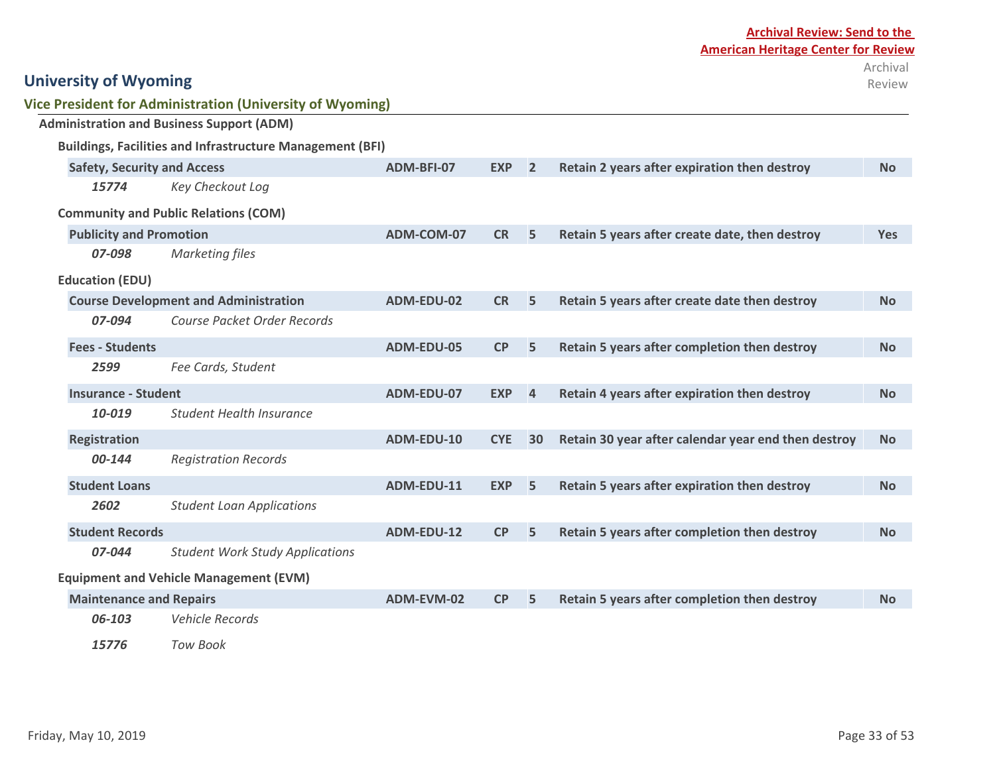| <b>Archival Review: Send to the</b> |                                            |  |  |  |  |  |  |
|-------------------------------------|--------------------------------------------|--|--|--|--|--|--|
|                                     | <b>American Heritage Center for Review</b> |  |  |  |  |  |  |
|                                     | Archival                                   |  |  |  |  |  |  |
|                                     | Review                                     |  |  |  |  |  |  |

|                                    | <b>Vice President for Administration (University of Wyoming)</b> |                   |            |                |                                                     |            |
|------------------------------------|------------------------------------------------------------------|-------------------|------------|----------------|-----------------------------------------------------|------------|
|                                    | <b>Administration and Business Support (ADM)</b>                 |                   |            |                |                                                     |            |
|                                    | <b>Buildings, Facilities and Infrastructure Management (BFI)</b> |                   |            |                |                                                     |            |
| <b>Safety, Security and Access</b> |                                                                  | ADM-BFI-07        | <b>EXP</b> | $\overline{2}$ | Retain 2 years after expiration then destroy        | <b>No</b>  |
| 15774                              | Key Checkout Log                                                 |                   |            |                |                                                     |            |
|                                    | <b>Community and Public Relations (COM)</b>                      |                   |            |                |                                                     |            |
| <b>Publicity and Promotion</b>     |                                                                  | ADM-COM-07        | <b>CR</b>  | 5              | Retain 5 years after create date, then destroy      | <b>Yes</b> |
| 07-098                             | <b>Marketing files</b>                                           |                   |            |                |                                                     |            |
| <b>Education (EDU)</b>             |                                                                  |                   |            |                |                                                     |            |
|                                    | <b>Course Development and Administration</b>                     | ADM-EDU-02        | <b>CR</b>  | 5              | Retain 5 years after create date then destroy       | <b>No</b>  |
| 07-094                             | Course Packet Order Records                                      |                   |            |                |                                                     |            |
| <b>Fees - Students</b>             |                                                                  | ADM-EDU-05        | CP         | 5              | Retain 5 years after completion then destroy        | <b>No</b>  |
| 2599                               | Fee Cards, Student                                               |                   |            |                |                                                     |            |
| <b>Insurance - Student</b>         |                                                                  | ADM-EDU-07        | <b>EXP</b> | $\overline{4}$ | Retain 4 years after expiration then destroy        | <b>No</b>  |
| 10-019                             | <b>Student Health Insurance</b>                                  |                   |            |                |                                                     |            |
| <b>Registration</b>                |                                                                  | ADM-EDU-10        | <b>CYE</b> | 30             | Retain 30 year after calendar year end then destroy | <b>No</b>  |
| 00-144                             | <b>Registration Records</b>                                      |                   |            |                |                                                     |            |
| <b>Student Loans</b>               |                                                                  | ADM-EDU-11        | <b>EXP</b> | 5              | Retain 5 years after expiration then destroy        | <b>No</b>  |
| 2602                               | <b>Student Loan Applications</b>                                 |                   |            |                |                                                     |            |
| <b>Student Records</b>             |                                                                  | <b>ADM-EDU-12</b> | CP         | 5              | Retain 5 years after completion then destroy        | <b>No</b>  |
| 07-044                             | <b>Student Work Study Applications</b>                           |                   |            |                |                                                     |            |
|                                    | <b>Equipment and Vehicle Management (EVM)</b>                    |                   |            |                |                                                     |            |
| <b>Maintenance and Repairs</b>     |                                                                  | ADM-EVM-02        | CP         | 5              | Retain 5 years after completion then destroy        | <b>No</b>  |
| 06-103                             | <b>Vehicle Records</b>                                           |                   |            |                |                                                     |            |
| 15776                              | <b>Tow Book</b>                                                  |                   |            |                |                                                     |            |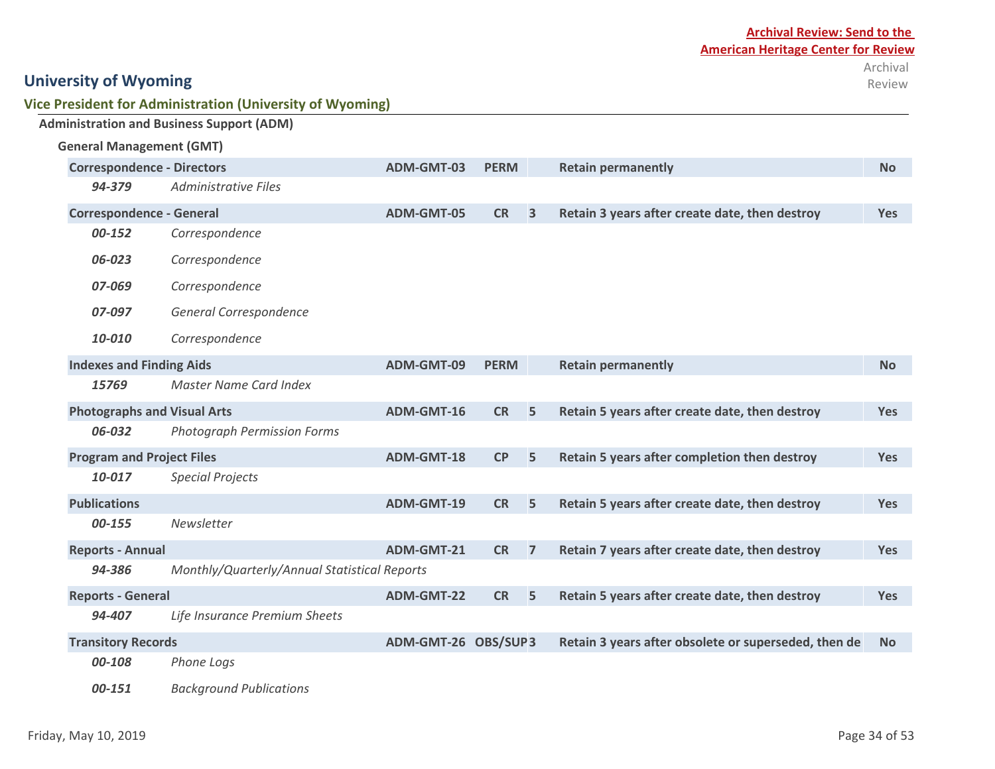| Vice President for Administration (University of Wyoming) |  |
|-----------------------------------------------------------|--|
|-----------------------------------------------------------|--|

|                                    | <b>Administration and Business Support (ADM)</b> |                     |             |                |                                                      |            |
|------------------------------------|--------------------------------------------------|---------------------|-------------|----------------|------------------------------------------------------|------------|
| <b>General Management (GMT)</b>    |                                                  |                     |             |                |                                                      |            |
| <b>Correspondence - Directors</b>  |                                                  | ADM-GMT-03          | <b>PERM</b> |                | <b>Retain permanently</b>                            | <b>No</b>  |
| 94-379                             | <b>Administrative Files</b>                      |                     |             |                |                                                      |            |
| <b>Correspondence - General</b>    |                                                  | ADM-GMT-05          | <b>CR</b>   | 3              | Retain 3 years after create date, then destroy       | <b>Yes</b> |
| 00-152                             | Correspondence                                   |                     |             |                |                                                      |            |
| 06-023                             | Correspondence                                   |                     |             |                |                                                      |            |
| 07-069                             | Correspondence                                   |                     |             |                |                                                      |            |
| 07-097                             | General Correspondence                           |                     |             |                |                                                      |            |
| 10-010                             | Correspondence                                   |                     |             |                |                                                      |            |
| <b>Indexes and Finding Aids</b>    |                                                  | ADM-GMT-09          | <b>PERM</b> |                | <b>Retain permanently</b>                            | <b>No</b>  |
| 15769                              | <b>Master Name Card Index</b>                    |                     |             |                |                                                      |            |
| <b>Photographs and Visual Arts</b> |                                                  | ADM-GMT-16          | <b>CR</b>   | 5              | Retain 5 years after create date, then destroy       | <b>Yes</b> |
| 06-032                             | <b>Photograph Permission Forms</b>               |                     |             |                |                                                      |            |
| <b>Program and Project Files</b>   |                                                  | <b>ADM-GMT-18</b>   | CP          | 5              | Retain 5 years after completion then destroy         | <b>Yes</b> |
| 10-017                             | <b>Special Projects</b>                          |                     |             |                |                                                      |            |
| <b>Publications</b>                |                                                  | ADM-GMT-19          | <b>CR</b>   | 5              | Retain 5 years after create date, then destroy       | Yes        |
| 00-155                             | Newsletter                                       |                     |             |                |                                                      |            |
| <b>Reports - Annual</b>            |                                                  | ADM-GMT-21          | <b>CR</b>   | $\overline{7}$ | Retain 7 years after create date, then destroy       | Yes        |
| 94-386                             | Monthly/Quarterly/Annual Statistical Reports     |                     |             |                |                                                      |            |
| <b>Reports - General</b>           |                                                  | <b>ADM-GMT-22</b>   | <b>CR</b>   | 5              | Retain 5 years after create date, then destroy       | <b>Yes</b> |
| 94-407                             | Life Insurance Premium Sheets                    |                     |             |                |                                                      |            |
| <b>Transitory Records</b>          |                                                  | ADM-GMT-26 OBS/SUP3 |             |                | Retain 3 years after obsolete or superseded, then de | <b>No</b>  |
| 00-108                             | Phone Logs                                       |                     |             |                |                                                      |            |
| 00-151                             | <b>Background Publications</b>                   |                     |             |                |                                                      |            |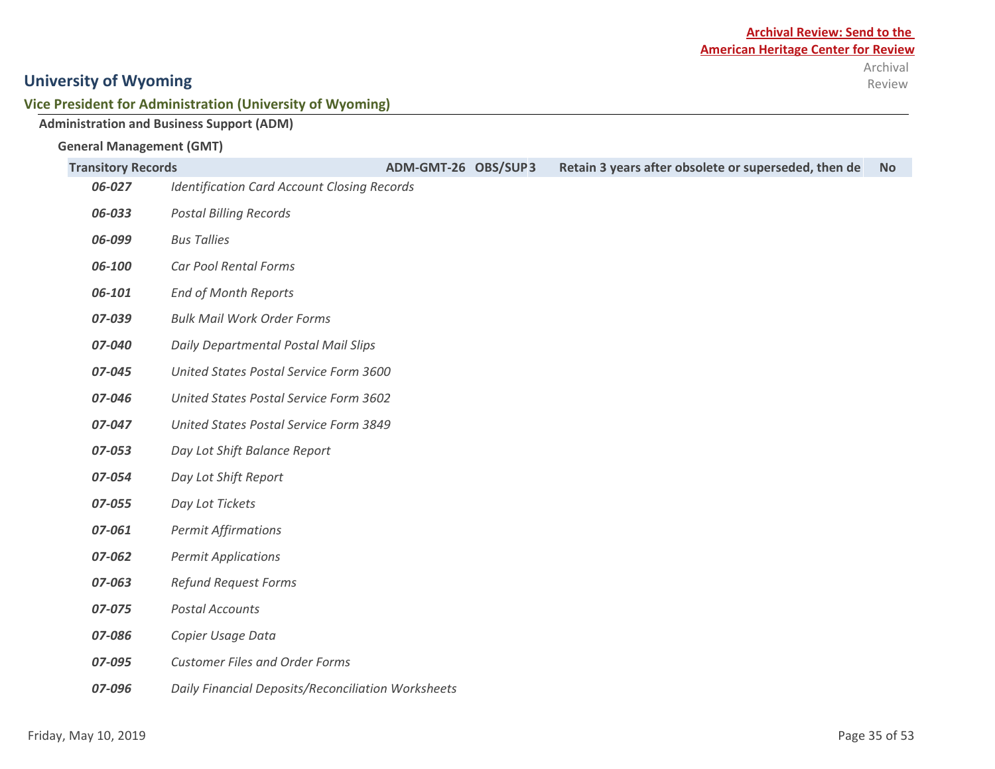Review

## **University of Wyoming**

#### **Vice President for Administration (University of Wyoming)**

## **Administration and Business Support (ADM)**

#### **General Management (GMT)**

| <b>Transitory Records</b> | ADM-GMT-26 OBS/SUP3<br>Retain 3 years after obsolete or superseded, then de | <b>No</b> |
|---------------------------|-----------------------------------------------------------------------------|-----------|
| 06-027                    | <b>Identification Card Account Closing Records</b>                          |           |
| 06-033                    | <b>Postal Billing Records</b>                                               |           |
| 06-099                    | <b>Bus Tallies</b>                                                          |           |
| 06-100                    | Car Pool Rental Forms                                                       |           |
| 06-101                    | <b>End of Month Reports</b>                                                 |           |
| 07-039                    | <b>Bulk Mail Work Order Forms</b>                                           |           |
| 07-040                    | Daily Departmental Postal Mail Slips                                        |           |
| 07-045                    | United States Postal Service Form 3600                                      |           |
| 07-046                    | United States Postal Service Form 3602                                      |           |
| 07-047                    | United States Postal Service Form 3849                                      |           |
| 07-053                    | Day Lot Shift Balance Report                                                |           |
| 07-054                    | Day Lot Shift Report                                                        |           |
| 07-055                    | Day Lot Tickets                                                             |           |
| 07-061                    | <b>Permit Affirmations</b>                                                  |           |
| 07-062                    | <b>Permit Applications</b>                                                  |           |
| 07-063                    | <b>Refund Request Forms</b>                                                 |           |
| 07-075                    | <b>Postal Accounts</b>                                                      |           |
| 07-086                    | Copier Usage Data                                                           |           |
| 07-095                    | <b>Customer Files and Order Forms</b>                                       |           |
| 07-096                    | Daily Financial Deposits/Reconciliation Worksheets                          |           |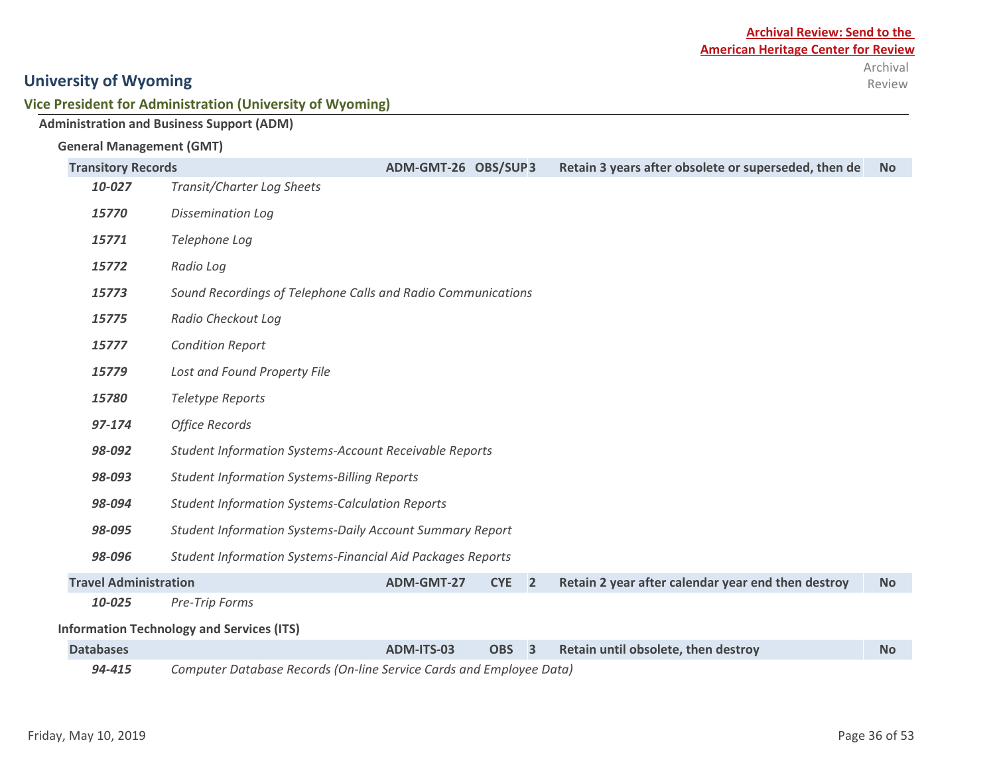#### **Vice President for Administration (University of Wyoming)**

|                                 | <b>Administration and Business Support (ADM)</b>                    |                     |                                       |                         |                                                      |           |  |
|---------------------------------|---------------------------------------------------------------------|---------------------|---------------------------------------|-------------------------|------------------------------------------------------|-----------|--|
| <b>General Management (GMT)</b> |                                                                     |                     |                                       |                         |                                                      |           |  |
| <b>Transitory Records</b>       |                                                                     | ADM-GMT-26 OBS/SUP3 |                                       |                         | Retain 3 years after obsolete or superseded, then de | <b>No</b> |  |
| 10-027                          | Transit/Charter Log Sheets                                          |                     |                                       |                         |                                                      |           |  |
| 15770                           | <b>Dissemination Log</b>                                            |                     |                                       |                         |                                                      |           |  |
| 15771                           | Telephone Log                                                       |                     |                                       |                         |                                                      |           |  |
| 15772                           | Radio Log                                                           |                     |                                       |                         |                                                      |           |  |
| 15773                           | Sound Recordings of Telephone Calls and Radio Communications        |                     |                                       |                         |                                                      |           |  |
| 15775                           | Radio Checkout Log                                                  |                     |                                       |                         |                                                      |           |  |
| 15777                           | <b>Condition Report</b>                                             |                     |                                       |                         |                                                      |           |  |
| 15779                           | Lost and Found Property File                                        |                     |                                       |                         |                                                      |           |  |
| 15780                           | Teletype Reports                                                    |                     |                                       |                         |                                                      |           |  |
| 97-174                          | <b>Office Records</b>                                               |                     |                                       |                         |                                                      |           |  |
| 98-092                          | <b>Student Information Systems-Account Receivable Reports</b>       |                     |                                       |                         |                                                      |           |  |
| 98-093                          | <b>Student Information Systems-Billing Reports</b>                  |                     |                                       |                         |                                                      |           |  |
| 98-094                          | <b>Student Information Systems-Calculation Reports</b>              |                     |                                       |                         |                                                      |           |  |
| 98-095                          | <b>Student Information Systems-Daily Account Summary Report</b>     |                     |                                       |                         |                                                      |           |  |
| 98-096                          | <b>Student Information Systems-Financial Aid Packages Reports</b>   |                     |                                       |                         |                                                      |           |  |
| <b>Travel Administration</b>    |                                                                     | ADM-GMT-27          | <b>CYE</b><br>$\overline{\mathbf{2}}$ |                         | Retain 2 year after calendar year end then destroy   | <b>No</b> |  |
| 10-025                          | Pre-Trip Forms                                                      |                     |                                       |                         |                                                      |           |  |
|                                 | <b>Information Technology and Services (ITS)</b>                    |                     |                                       |                         |                                                      |           |  |
| <b>Databases</b>                |                                                                     | ADM-ITS-03          | <b>OBS</b>                            | $\overline{\mathbf{3}}$ | Retain until obsolete, then destroy                  | <b>No</b> |  |
| 94-415                          | Computer Database Records (On-line Service Cards and Employee Data) |                     |                                       |                         |                                                      |           |  |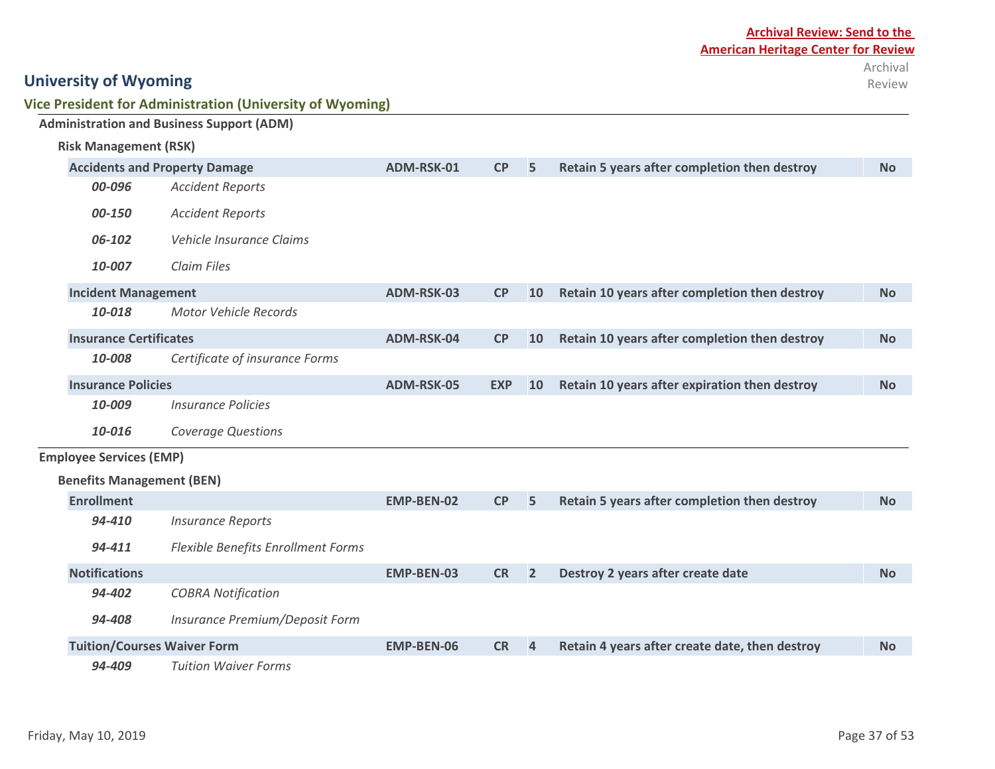|                                      | Vice President for Administration (University of Wyoming) |            |    |    |                                               |           |  |  |  |  |
|--------------------------------------|-----------------------------------------------------------|------------|----|----|-----------------------------------------------|-----------|--|--|--|--|
|                                      | <b>Administration and Business Support (ADM)</b>          |            |    |    |                                               |           |  |  |  |  |
| <b>Risk Management (RSK)</b>         |                                                           |            |    |    |                                               |           |  |  |  |  |
| <b>Accidents and Property Damage</b> |                                                           | ADM-RSK-01 | CP | 5  | Retain 5 years after completion then destroy  | <b>No</b> |  |  |  |  |
| 00-096                               | <b>Accident Reports</b>                                   |            |    |    |                                               |           |  |  |  |  |
| 00-150                               | <b>Accident Reports</b>                                   |            |    |    |                                               |           |  |  |  |  |
| 06-102                               | Vehicle Insurance Claims                                  |            |    |    |                                               |           |  |  |  |  |
| 10-007                               | Claim Files                                               |            |    |    |                                               |           |  |  |  |  |
| <b>Incident Management</b>           |                                                           | ADM-RSK-03 | CP | 10 | Retain 10 years after completion then destroy | <b>No</b> |  |  |  |  |
| 10-018                               | Motor Vehicle Records                                     |            |    |    |                                               |           |  |  |  |  |
|                                      | <b>Insurance Certificates</b>                             |            | CP | 10 | Retain 10 years after completion then destroy | <b>No</b> |  |  |  |  |
| 10-008                               | Certificate of insurance Forms                            |            |    |    |                                               |           |  |  |  |  |

| 00-096                             | <b>Accident Reports</b>            |                   |            |                |                                                |           |
|------------------------------------|------------------------------------|-------------------|------------|----------------|------------------------------------------------|-----------|
| 00-150                             | <b>Accident Reports</b>            |                   |            |                |                                                |           |
| 06-102                             | Vehicle Insurance Claims           |                   |            |                |                                                |           |
| 10-007                             | Claim Files                        |                   |            |                |                                                |           |
| <b>Incident Management</b>         |                                    | ADM-RSK-03        | CP         | <b>10</b>      | Retain 10 years after completion then destroy  | <b>No</b> |
| 10-018                             | <b>Motor Vehicle Records</b>       |                   |            |                |                                                |           |
| <b>Insurance Certificates</b>      |                                    | ADM-RSK-04        | CP         | <b>10</b>      | Retain 10 years after completion then destroy  | <b>No</b> |
| 10-008                             | Certificate of insurance Forms     |                   |            |                |                                                |           |
| <b>Insurance Policies</b>          |                                    | ADM-RSK-05        | <b>EXP</b> | <b>10</b>      | Retain 10 years after expiration then destroy  | <b>No</b> |
| 10-009                             | <b>Insurance Policies</b>          |                   |            |                |                                                |           |
| 10-016                             | <b>Coverage Questions</b>          |                   |            |                |                                                |           |
| <b>Employee Services (EMP)</b>     |                                    |                   |            |                |                                                |           |
| <b>Benefits Management (BEN)</b>   |                                    |                   |            |                |                                                |           |
| <b>Enrollment</b>                  |                                    | <b>EMP-BEN-02</b> | CP         | 5              | Retain 5 years after completion then destroy   | <b>No</b> |
| 94-410                             | <b>Insurance Reports</b>           |                   |            |                |                                                |           |
| 94-411                             | Flexible Benefits Enrollment Forms |                   |            |                |                                                |           |
| <b>Notifications</b>               |                                    | <b>EMP-BEN-03</b> | <b>CR</b>  | $\overline{2}$ | Destroy 2 years after create date              | <b>No</b> |
| 94-402                             | <b>COBRA Notification</b>          |                   |            |                |                                                |           |
| 94-408                             | Insurance Premium/Deposit Form     |                   |            |                |                                                |           |
| <b>Tuition/Courses Waiver Form</b> |                                    | <b>EMP-BEN-06</b> | <b>CR</b>  | $\overline{4}$ | Retain 4 years after create date, then destroy | <b>No</b> |
| 94-409                             | <b>Tuition Waiver Forms</b>        |                   |            |                |                                                |           |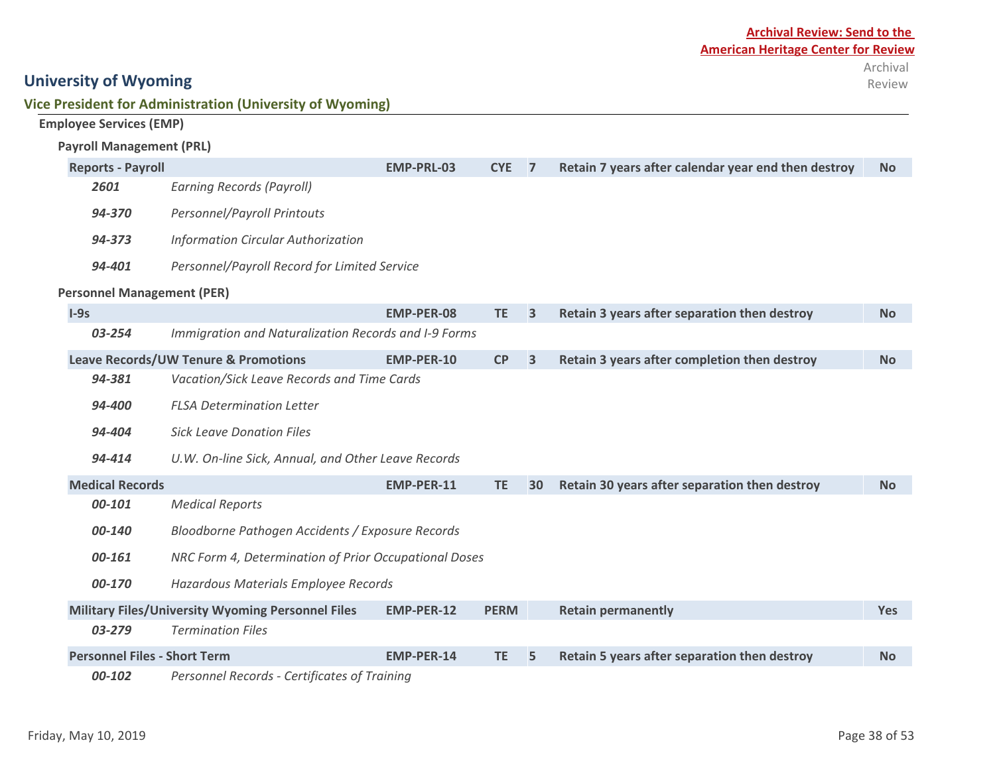|        | Employee Services (EMP)             |                                                          |                   |             |                         |                                                     |            |
|--------|-------------------------------------|----------------------------------------------------------|-------------------|-------------|-------------------------|-----------------------------------------------------|------------|
|        | <b>Payroll Management (PRL)</b>     |                                                          |                   |             |                         |                                                     |            |
|        | <b>Reports - Payroll</b>            |                                                          | <b>EMP-PRL-03</b> | <b>CYE</b>  | $\overline{7}$          | Retain 7 years after calendar year end then destroy | <b>No</b>  |
|        | 2601                                | <b>Earning Records (Payroll)</b>                         |                   |             |                         |                                                     |            |
|        | 94-370                              | <b>Personnel/Payroll Printouts</b>                       |                   |             |                         |                                                     |            |
|        | 94-373                              | <b>Information Circular Authorization</b>                |                   |             |                         |                                                     |            |
|        | 94-401                              | Personnel/Payroll Record for Limited Service             |                   |             |                         |                                                     |            |
|        | <b>Personnel Management (PER)</b>   |                                                          |                   |             |                         |                                                     |            |
| $I-9s$ |                                     |                                                          | <b>EMP-PER-08</b> | <b>TE</b>   | 3                       | Retain 3 years after separation then destroy        | <b>No</b>  |
|        | 03-254                              | Immigration and Naturalization Records and I-9 Forms     |                   |             |                         |                                                     |            |
|        |                                     | <b>Leave Records/UW Tenure &amp; Promotions</b>          | <b>EMP-PER-10</b> | <b>CP</b>   | $\overline{\mathbf{3}}$ | Retain 3 years after completion then destroy        | <b>No</b>  |
|        | 94-381                              | Vacation/Sick Leave Records and Time Cards               |                   |             |                         |                                                     |            |
|        | 94-400                              | <b>FLSA Determination Letter</b>                         |                   |             |                         |                                                     |            |
|        | 94-404                              | <b>Sick Leave Donation Files</b>                         |                   |             |                         |                                                     |            |
|        | 94-414                              | U.W. On-line Sick, Annual, and Other Leave Records       |                   |             |                         |                                                     |            |
|        | <b>Medical Records</b>              |                                                          | EMP-PER-11        | <b>TE</b>   | 30                      | Retain 30 years after separation then destroy       | <b>No</b>  |
|        | 00-101                              | <b>Medical Reports</b>                                   |                   |             |                         |                                                     |            |
|        | 00-140                              | Bloodborne Pathogen Accidents / Exposure Records         |                   |             |                         |                                                     |            |
|        | 00-161                              | NRC Form 4, Determination of Prior Occupational Doses    |                   |             |                         |                                                     |            |
|        | 00-170                              | Hazardous Materials Employee Records                     |                   |             |                         |                                                     |            |
|        |                                     | <b>Military Files/University Wyoming Personnel Files</b> | <b>EMP-PER-12</b> | <b>PERM</b> |                         | <b>Retain permanently</b>                           | <b>Yes</b> |
|        | 03-279                              | <b>Termination Files</b>                                 |                   |             |                         |                                                     |            |
|        | <b>Personnel Files - Short Term</b> |                                                          | <b>EMP-PER-14</b> | <b>TE</b>   | 5                       | Retain 5 years after separation then destroy        | <b>No</b>  |

*00-102 Personnel Records - Certificates of Training*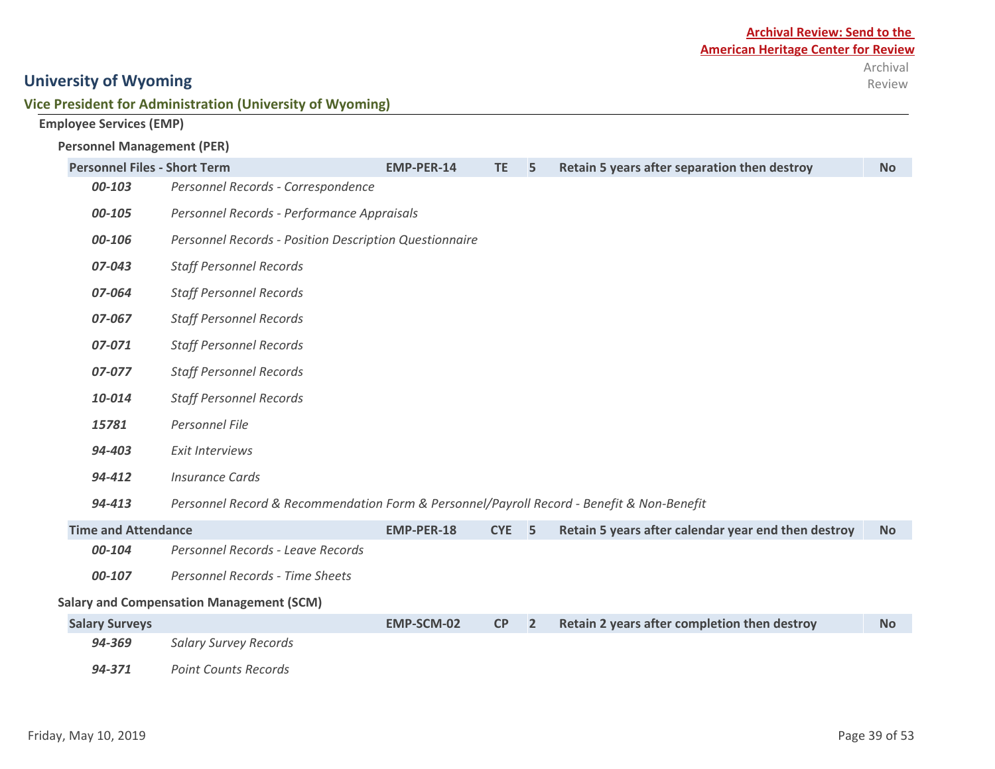#### **Vice President for Administration (University of Wyoming)**

#### **Employee Services (EMP)**

#### **Personnel Management (PER)**

| <b>Personnel Files - Short Term</b> |                                                                                           | <b>EMP-PER-14</b> | <b>TE</b>  | 5              | Retain 5 years after separation then destroy        | <b>No</b> |
|-------------------------------------|-------------------------------------------------------------------------------------------|-------------------|------------|----------------|-----------------------------------------------------|-----------|
| 00-103                              | Personnel Records - Correspondence                                                        |                   |            |                |                                                     |           |
| 00-105                              | Personnel Records - Performance Appraisals                                                |                   |            |                |                                                     |           |
| 00-106                              | Personnel Records - Position Description Questionnaire                                    |                   |            |                |                                                     |           |
| 07-043                              | <b>Staff Personnel Records</b>                                                            |                   |            |                |                                                     |           |
| 07-064                              | <b>Staff Personnel Records</b>                                                            |                   |            |                |                                                     |           |
| 07-067                              | <b>Staff Personnel Records</b>                                                            |                   |            |                |                                                     |           |
| 07-071                              | <b>Staff Personnel Records</b>                                                            |                   |            |                |                                                     |           |
| 07-077                              | <b>Staff Personnel Records</b>                                                            |                   |            |                |                                                     |           |
| 10-014                              | <b>Staff Personnel Records</b>                                                            |                   |            |                |                                                     |           |
| 15781                               | Personnel File                                                                            |                   |            |                |                                                     |           |
| 94-403                              | <b>Exit Interviews</b>                                                                    |                   |            |                |                                                     |           |
| 94-412                              | <b>Insurance Cards</b>                                                                    |                   |            |                |                                                     |           |
| 94-413                              | Personnel Record & Recommendation Form & Personnel/Payroll Record - Benefit & Non-Benefit |                   |            |                |                                                     |           |
| <b>Time and Attendance</b>          |                                                                                           | <b>EMP-PER-18</b> | <b>CYE</b> | 5              | Retain 5 years after calendar year end then destroy | <b>No</b> |
| 00-104                              | Personnel Records - Leave Records                                                         |                   |            |                |                                                     |           |
| 00-107                              | Personnel Records - Time Sheets                                                           |                   |            |                |                                                     |           |
|                                     | <b>Salary and Compensation Management (SCM)</b>                                           |                   |            |                |                                                     |           |
| <b>Salary Surveys</b>               |                                                                                           | <b>EMP-SCM-02</b> | CP         | $\overline{2}$ | Retain 2 years after completion then destroy        | <b>No</b> |
| 94-369                              | <b>Salary Survey Records</b>                                                              |                   |            |                |                                                     |           |
| 94-371                              | <b>Point Counts Records</b>                                                               |                   |            |                |                                                     |           |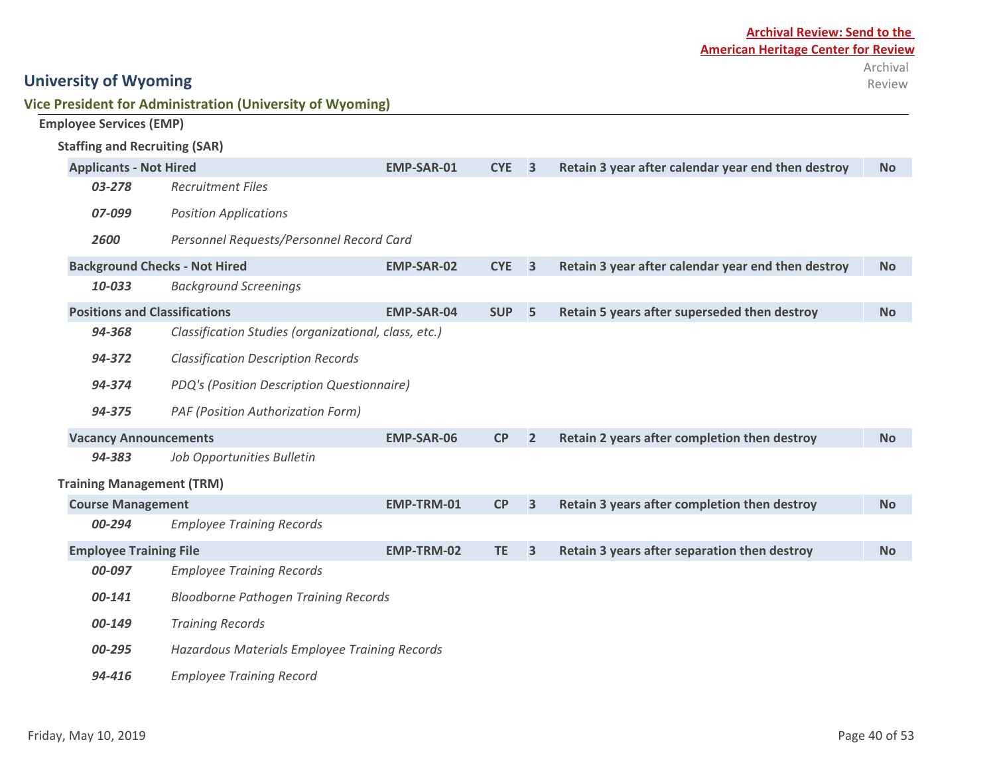| Vice President for Administration (University of Wyoming) |  |
|-----------------------------------------------------------|--|
|-----------------------------------------------------------|--|

|                                                         | <b>Employee Services (EMP)</b>                                                                      |                                                      |                   |            |                         |                                                    |           |
|---------------------------------------------------------|-----------------------------------------------------------------------------------------------------|------------------------------------------------------|-------------------|------------|-------------------------|----------------------------------------------------|-----------|
|                                                         | <b>Staffing and Recruiting (SAR)</b>                                                                |                                                      |                   |            |                         |                                                    |           |
|                                                         | <b>Applicants - Not Hired</b>                                                                       |                                                      | EMP-SAR-01        | <b>CYE</b> | $\overline{\mathbf{3}}$ | Retain 3 year after calendar year end then destroy | <b>No</b> |
|                                                         | 03-278                                                                                              | <b>Recruitment Files</b>                             |                   |            |                         |                                                    |           |
|                                                         | 07-099                                                                                              | <b>Position Applications</b>                         |                   |            |                         |                                                    |           |
|                                                         | 2600                                                                                                | Personnel Requests/Personnel Record Card             |                   |            |                         |                                                    |           |
|                                                         | <b>Background Checks - Not Hired</b>                                                                |                                                      | <b>EMP-SAR-02</b> | <b>CYE</b> | $\overline{\mathbf{3}}$ | Retain 3 year after calendar year end then destroy | <b>No</b> |
|                                                         | 10-033                                                                                              | <b>Background Screenings</b>                         |                   |            |                         |                                                    |           |
|                                                         | <b>Positions and Classifications</b>                                                                |                                                      | <b>EMP-SAR-04</b> | <b>SUP</b> | 5                       | Retain 5 years after superseded then destroy       | <b>No</b> |
|                                                         | 94-368                                                                                              | Classification Studies (organizational, class, etc.) |                   |            |                         |                                                    |           |
|                                                         | 94-372                                                                                              | <b>Classification Description Records</b>            |                   |            |                         |                                                    |           |
|                                                         | 94-374                                                                                              | PDQ's (Position Description Questionnaire)           |                   |            |                         |                                                    |           |
|                                                         | 94-375                                                                                              | PAF (Position Authorization Form)                    |                   |            |                         |                                                    |           |
|                                                         | <b>Vacancy Announcements</b>                                                                        |                                                      | <b>EMP-SAR-06</b> | CP         | $\overline{2}$          | Retain 2 years after completion then destroy       | <b>No</b> |
|                                                         | 94-383                                                                                              | Job Opportunities Bulletin                           |                   |            |                         |                                                    |           |
|                                                         | <b>Training Management (TRM)</b>                                                                    |                                                      |                   |            |                         |                                                    |           |
|                                                         | <b>Course Management</b>                                                                            |                                                      | EMP-TRM-01        | CP         | $\overline{\mathbf{3}}$ | Retain 3 years after completion then destroy       | <b>No</b> |
|                                                         | 00-294                                                                                              | <b>Employee Training Records</b>                     |                   |            |                         |                                                    |           |
|                                                         | <b>Employee Training File</b>                                                                       |                                                      | EMP-TRM-02        | <b>TE</b>  | $\overline{\mathbf{3}}$ | Retain 3 years after separation then destroy       | <b>No</b> |
|                                                         | 00-097<br><b>Employee Training Records</b><br><b>Bloodborne Pathogen Training Records</b><br>00-141 |                                                      |                   |            |                         |                                                    |           |
|                                                         |                                                                                                     |                                                      |                   |            |                         |                                                    |           |
|                                                         | 00-149                                                                                              |                                                      |                   |            |                         |                                                    |           |
| 00-295<br>Hazardous Materials Employee Training Records |                                                                                                     |                                                      |                   |            |                         |                                                    |           |
| <b>Employee Training Record</b><br>94-416               |                                                                                                     |                                                      |                   |            |                         |                                                    |           |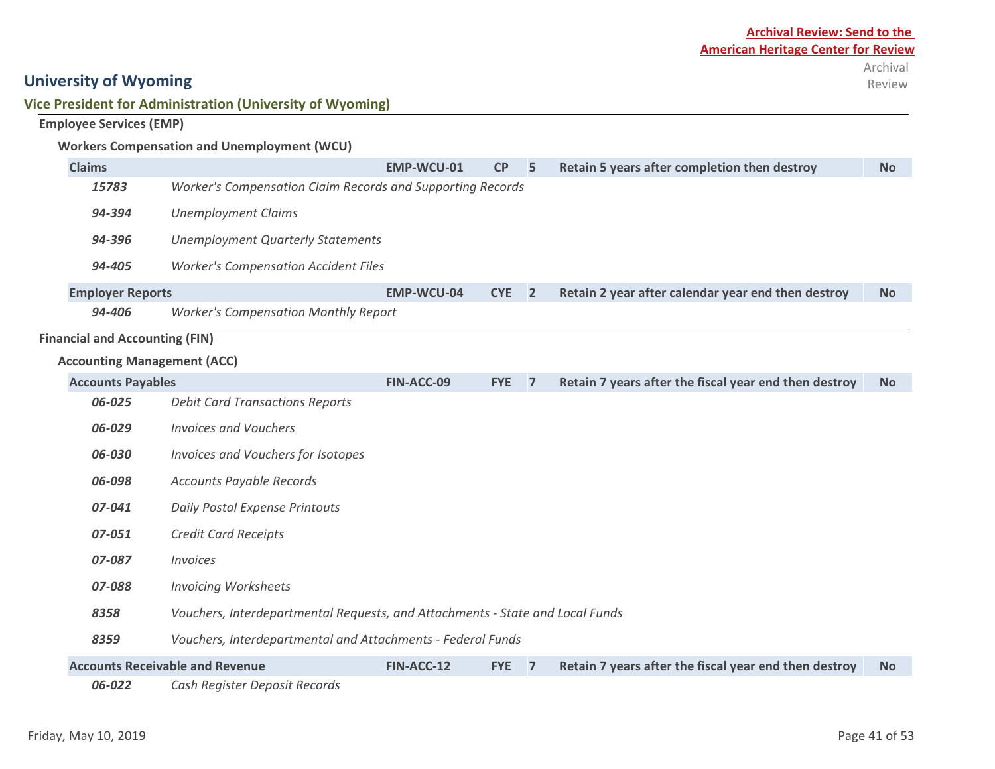#### **Vice President for Administration (University of Wyoming)**

#### **Employee Services (EMP)**

#### **Workers Compensation and Unemployment (WCU)**

| <b>Claims</b>                         |                                                                               | EMP-WCU-01        | CP         | 5              | Retain 5 years after completion then destroy          | <b>No</b> |
|---------------------------------------|-------------------------------------------------------------------------------|-------------------|------------|----------------|-------------------------------------------------------|-----------|
| 15783                                 | Worker's Compensation Claim Records and Supporting Records                    |                   |            |                |                                                       |           |
| 94-394                                | <b>Unemployment Claims</b>                                                    |                   |            |                |                                                       |           |
| 94-396                                | <b>Unemployment Quarterly Statements</b>                                      |                   |            |                |                                                       |           |
| 94-405                                | <b>Worker's Compensation Accident Files</b>                                   |                   |            |                |                                                       |           |
| <b>Employer Reports</b>               |                                                                               | <b>EMP-WCU-04</b> | <b>CYE</b> | $\overline{2}$ | Retain 2 year after calendar year end then destroy    | <b>No</b> |
| 94-406                                | <b>Worker's Compensation Monthly Report</b>                                   |                   |            |                |                                                       |           |
| <b>Financial and Accounting (FIN)</b> |                                                                               |                   |            |                |                                                       |           |
| <b>Accounting Management (ACC)</b>    |                                                                               |                   |            |                |                                                       |           |
| <b>Accounts Payables</b>              |                                                                               | FIN-ACC-09        | <b>FYE</b> | $\overline{7}$ | Retain 7 years after the fiscal year end then destroy | <b>No</b> |
| 06-025                                | <b>Debit Card Transactions Reports</b>                                        |                   |            |                |                                                       |           |
| 06-029                                | <b>Invoices and Vouchers</b>                                                  |                   |            |                |                                                       |           |
| 06-030                                | Invoices and Vouchers for Isotopes                                            |                   |            |                |                                                       |           |
| 06-098                                | <b>Accounts Payable Records</b>                                               |                   |            |                |                                                       |           |
| 07-041                                | <b>Daily Postal Expense Printouts</b>                                         |                   |            |                |                                                       |           |
| 07-051                                | <b>Credit Card Receipts</b>                                                   |                   |            |                |                                                       |           |
| 07-087                                | <b>Invoices</b>                                                               |                   |            |                |                                                       |           |
| 07-088                                | <b>Invoicing Worksheets</b>                                                   |                   |            |                |                                                       |           |
| 8358                                  | Vouchers, Interdepartmental Requests, and Attachments - State and Local Funds |                   |            |                |                                                       |           |
| 8359                                  | Vouchers, Interdepartmental and Attachments - Federal Funds                   |                   |            |                |                                                       |           |
|                                       | <b>Accounts Receivable and Revenue</b>                                        | FIN-ACC-12        | <b>FYE</b> | $\overline{7}$ | Retain 7 years after the fiscal year end then destroy | <b>No</b> |
| 06-022                                | Cash Register Deposit Records                                                 |                   |            |                |                                                       |           |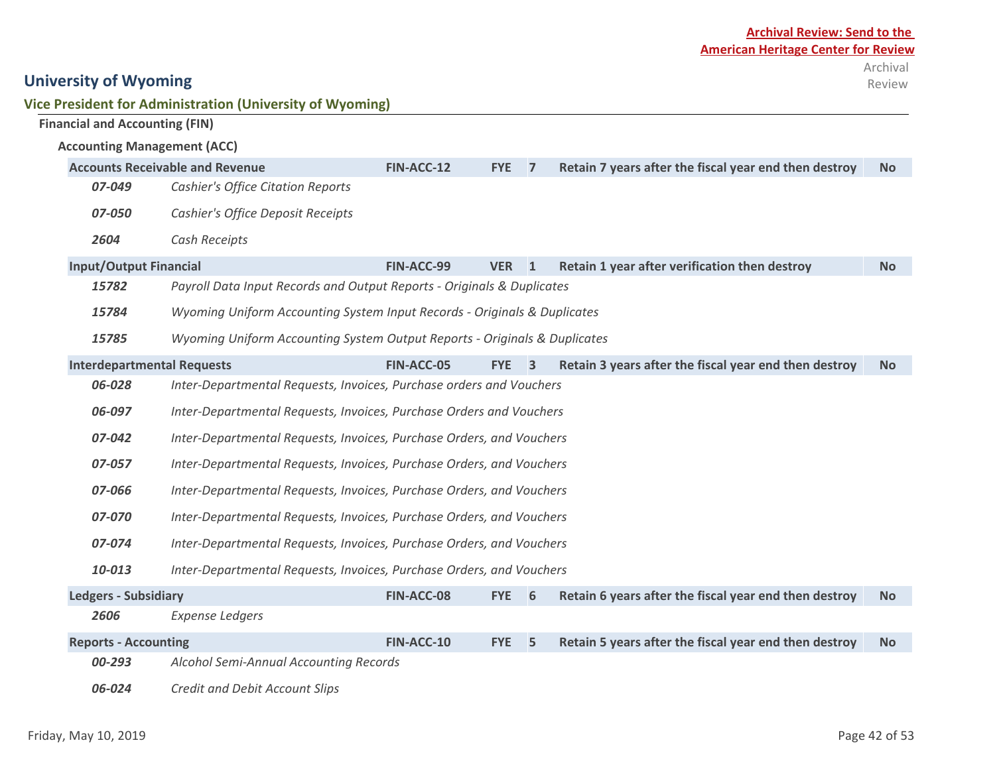|                                       | Vice President for Administration (University of Wyoming) |              |              |                                                       |               |
|---------------------------------------|-----------------------------------------------------------|--------------|--------------|-------------------------------------------------------|---------------|
| <b>Financial and Accounting (FIN)</b> |                                                           |              |              |                                                       |               |
| <b>Accounting Management (ACC)</b>    |                                                           |              |              |                                                       |               |
|                                       | <b>Accounts Receivable and Revenue</b>                    | FIN-ACC-12   | <b>FYE</b>   | Retain 7 years after the fiscal year end then destroy | <b>No</b>     |
| 07-049                                | <b>Cashier's Office Citation Reports</b>                  |              |              |                                                       |               |
| <i>07-050</i>                         | Cashier's Office Deposit Receipts                         |              |              |                                                       |               |
| 2604                                  | Cash Receipts                                             |              |              |                                                       |               |
|                                       |                                                           | $-1$ $    -$ | $\mathbf{1}$ |                                                       | $\sim$ $\sim$ |

| <b>Input/Output Financial</b>     |                                                                           | FIN-ACC-99 | VER <sub>1</sub> |                         | Retain 1 year after verification then destroy         | No.       |  |  |
|-----------------------------------|---------------------------------------------------------------------------|------------|------------------|-------------------------|-------------------------------------------------------|-----------|--|--|
| 15782                             | Payroll Data Input Records and Output Reports - Originals & Duplicates    |            |                  |                         |                                                       |           |  |  |
| 15784                             | Wyoming Uniform Accounting System Input Records - Originals & Duplicates  |            |                  |                         |                                                       |           |  |  |
| 15785                             | Wyoming Uniform Accounting System Output Reports - Originals & Duplicates |            |                  |                         |                                                       |           |  |  |
| <b>Interdepartmental Requests</b> |                                                                           | FIN-ACC-05 | <b>FYE</b>       | $\overline{\mathbf{3}}$ | Retain 3 years after the fiscal year end then destroy | No.       |  |  |
| 06-028                            | Inter-Departmental Requests, Invoices, Purchase orders and Vouchers       |            |                  |                         |                                                       |           |  |  |
| 06-097                            | Inter-Departmental Requests, Invoices, Purchase Orders and Vouchers       |            |                  |                         |                                                       |           |  |  |
| 07-042                            | Inter-Departmental Requests, Invoices, Purchase Orders, and Vouchers      |            |                  |                         |                                                       |           |  |  |
| 07-057                            | Inter-Departmental Requests, Invoices, Purchase Orders, and Vouchers      |            |                  |                         |                                                       |           |  |  |
| 07-066                            | Inter-Departmental Requests, Invoices, Purchase Orders, and Vouchers      |            |                  |                         |                                                       |           |  |  |
| 07-070                            | Inter-Departmental Requests, Invoices, Purchase Orders, and Vouchers      |            |                  |                         |                                                       |           |  |  |
| 07-074                            | Inter-Departmental Requests, Invoices, Purchase Orders, and Vouchers      |            |                  |                         |                                                       |           |  |  |
| 10-013                            | Inter-Departmental Requests, Invoices, Purchase Orders, and Vouchers      |            |                  |                         |                                                       |           |  |  |
| <b>Ledgers - Subsidiary</b>       |                                                                           | FIN-ACC-08 | <b>FYE</b>       | 6                       | Retain 6 years after the fiscal year end then destroy | <b>No</b> |  |  |
| 2606                              | <b>Expense Ledgers</b>                                                    |            |                  |                         |                                                       |           |  |  |
| <b>Reports - Accounting</b>       |                                                                           | FIN-ACC-10 | <b>FYE</b>       | 5.                      | Retain 5 years after the fiscal year end then destroy | <b>No</b> |  |  |

*00-293 Alcohol Semi-Annual Accounting Records*

*06-024 Credit and Debit Account Slips*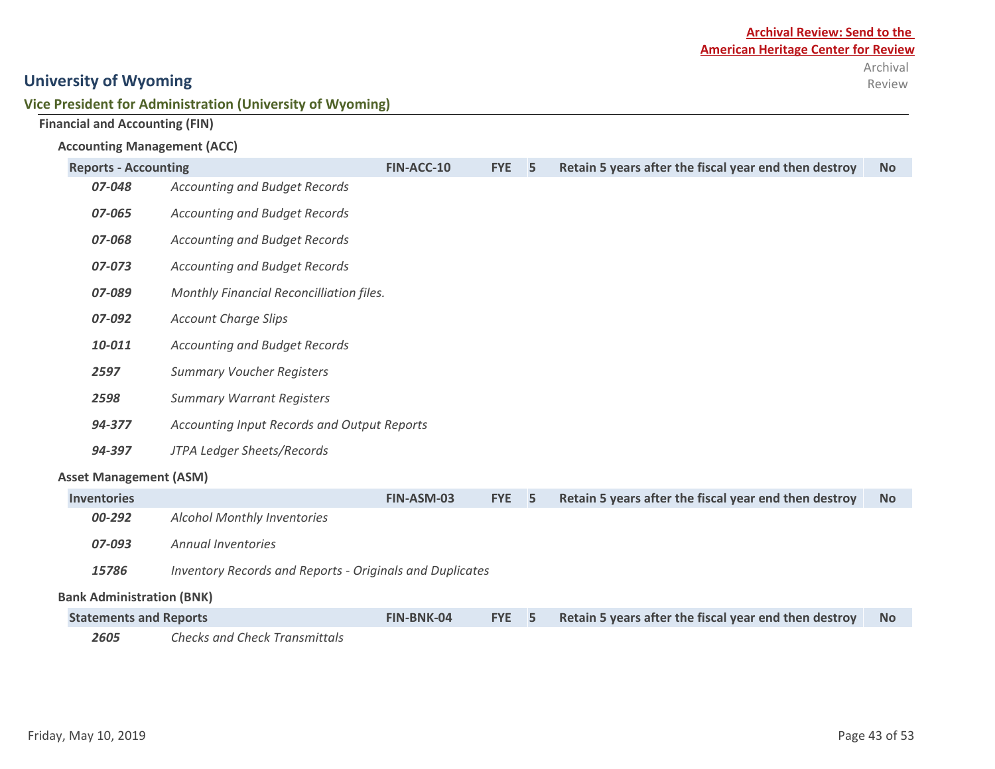#### **Vice President for Administration (University of Wyoming)**

|  |  | <b>Financial and Accounting (FIN)</b> |  |
|--|--|---------------------------------------|--|
|--|--|---------------------------------------|--|

#### **Accounting Management (ACC)**

| <b>Reports - Accounting</b>      |                                                                 | FIN-ACC-10 | <b>FYE</b> | 5 | Retain 5 years after the fiscal year end then destroy | <b>No</b> |  |  |  |  |
|----------------------------------|-----------------------------------------------------------------|------------|------------|---|-------------------------------------------------------|-----------|--|--|--|--|
| 07-048                           | <b>Accounting and Budget Records</b>                            |            |            |   |                                                       |           |  |  |  |  |
| 07-065                           | <b>Accounting and Budget Records</b>                            |            |            |   |                                                       |           |  |  |  |  |
| 07-068                           | <b>Accounting and Budget Records</b>                            |            |            |   |                                                       |           |  |  |  |  |
| 07-073                           | <b>Accounting and Budget Records</b>                            |            |            |   |                                                       |           |  |  |  |  |
| 07-089                           | Monthly Financial Reconcilliation files.                        |            |            |   |                                                       |           |  |  |  |  |
| 07-092                           | <b>Account Charge Slips</b>                                     |            |            |   |                                                       |           |  |  |  |  |
| 10-011                           | <b>Accounting and Budget Records</b>                            |            |            |   |                                                       |           |  |  |  |  |
| 2597                             | <b>Summary Voucher Registers</b>                                |            |            |   |                                                       |           |  |  |  |  |
| 2598                             | <b>Summary Warrant Registers</b>                                |            |            |   |                                                       |           |  |  |  |  |
| 94-377                           | Accounting Input Records and Output Reports                     |            |            |   |                                                       |           |  |  |  |  |
| 94-397                           | JTPA Ledger Sheets/Records                                      |            |            |   |                                                       |           |  |  |  |  |
| <b>Asset Management (ASM)</b>    |                                                                 |            |            |   |                                                       |           |  |  |  |  |
| <b>Inventories</b>               |                                                                 | FIN-ASM-03 | <b>FYE</b> | 5 | Retain 5 years after the fiscal year end then destroy | <b>No</b> |  |  |  |  |
| 00-292                           | <b>Alcohol Monthly Inventories</b>                              |            |            |   |                                                       |           |  |  |  |  |
| 07-093                           | <b>Annual Inventories</b>                                       |            |            |   |                                                       |           |  |  |  |  |
| 15786                            | <b>Inventory Records and Reports - Originals and Duplicates</b> |            |            |   |                                                       |           |  |  |  |  |
| <b>Bank Administration (BNK)</b> |                                                                 |            |            |   |                                                       |           |  |  |  |  |
| <b>Statements and Reports</b>    |                                                                 | FIN-BNK-04 | <b>FYE</b> | 5 | Retain 5 years after the fiscal year end then destroy | No.       |  |  |  |  |

*2605 Checks and Check Transmittals*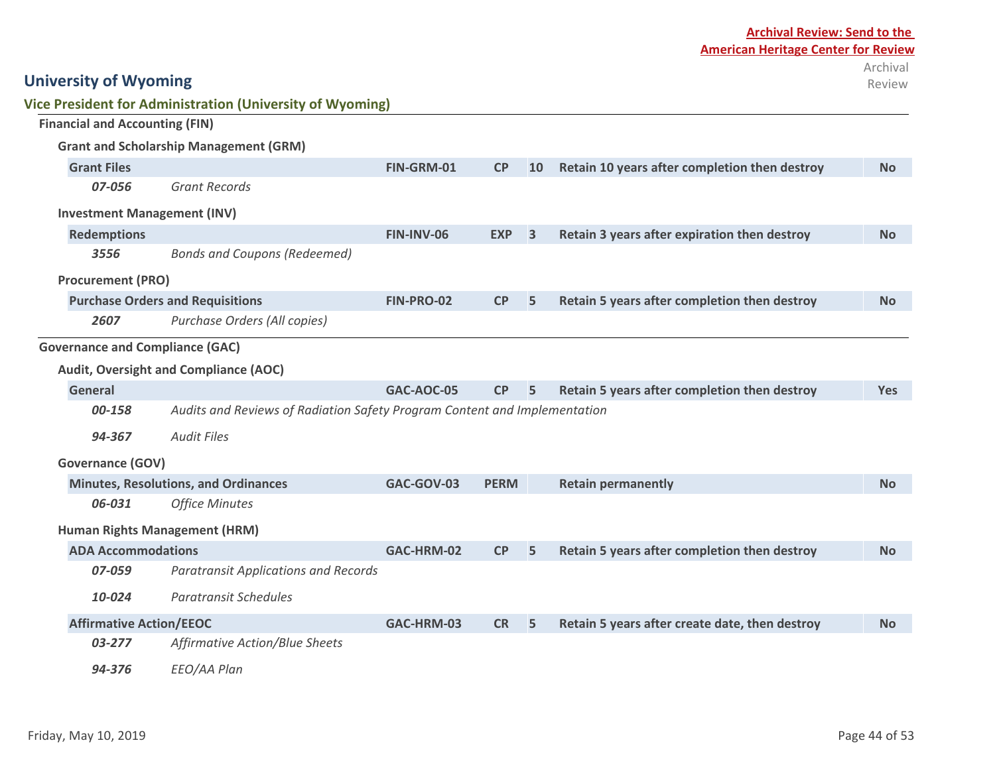|                                       |                                | Vice President for Administration (University of Wyoming)                 |                   |             |    |                                                |            |
|---------------------------------------|--------------------------------|---------------------------------------------------------------------------|-------------------|-------------|----|------------------------------------------------|------------|
| <b>Financial and Accounting (FIN)</b> |                                |                                                                           |                   |             |    |                                                |            |
|                                       |                                | <b>Grant and Scholarship Management (GRM)</b>                             |                   |             |    |                                                |            |
| <b>Grant Files</b>                    |                                |                                                                           | FIN-GRM-01        | CP          | 10 | Retain 10 years after completion then destroy  | <b>No</b>  |
|                                       | 07-056                         | <b>Grant Records</b>                                                      |                   |             |    |                                                |            |
|                                       |                                | <b>Investment Management (INV)</b>                                        |                   |             |    |                                                |            |
|                                       | <b>Redemptions</b>             |                                                                           | <b>FIN-INV-06</b> | <b>EXP</b>  | 3  | Retain 3 years after expiration then destroy   | <b>No</b>  |
|                                       | 3556                           | <b>Bonds and Coupons (Redeemed)</b>                                       |                   |             |    |                                                |            |
|                                       | <b>Procurement (PRO)</b>       |                                                                           |                   |             |    |                                                |            |
|                                       |                                | <b>Purchase Orders and Requisitions</b>                                   | FIN-PRO-02        | CP          | 5  | Retain 5 years after completion then destroy   | <b>No</b>  |
|                                       | 2607                           | Purchase Orders (All copies)                                              |                   |             |    |                                                |            |
|                                       |                                | <b>Governance and Compliance (GAC)</b>                                    |                   |             |    |                                                |            |
|                                       |                                | Audit, Oversight and Compliance (AOC)                                     |                   |             |    |                                                |            |
| <b>General</b>                        |                                |                                                                           | <b>GAC-AOC-05</b> | CP          | 5  | Retain 5 years after completion then destroy   | <b>Yes</b> |
|                                       | 00-158                         | Audits and Reviews of Radiation Safety Program Content and Implementation |                   |             |    |                                                |            |
|                                       | 94-367                         | <b>Audit Files</b>                                                        |                   |             |    |                                                |            |
|                                       | <b>Governance (GOV)</b>        |                                                                           |                   |             |    |                                                |            |
|                                       |                                | <b>Minutes, Resolutions, and Ordinances</b>                               | GAC-GOV-03        | <b>PERM</b> |    | <b>Retain permanently</b>                      | <b>No</b>  |
|                                       | 06-031                         | <b>Office Minutes</b>                                                     |                   |             |    |                                                |            |
|                                       |                                | Human Rights Management (HRM)                                             |                   |             |    |                                                |            |
|                                       | <b>ADA Accommodations</b>      |                                                                           | GAC-HRM-02        | CP          | 5  | Retain 5 years after completion then destroy   | <b>No</b>  |
|                                       | 07-059                         | <b>Paratransit Applications and Records</b>                               |                   |             |    |                                                |            |
|                                       | 10-024                         | <b>Paratransit Schedules</b>                                              |                   |             |    |                                                |            |
|                                       | <b>Affirmative Action/EEOC</b> |                                                                           | GAC-HRM-03        | <b>CR</b>   | 5  | Retain 5 years after create date, then destroy | <b>No</b>  |
|                                       | 03-277                         | <b>Affirmative Action/Blue Sheets</b>                                     |                   |             |    |                                                |            |
|                                       | 94-376                         | EEO/AA Plan                                                               |                   |             |    |                                                |            |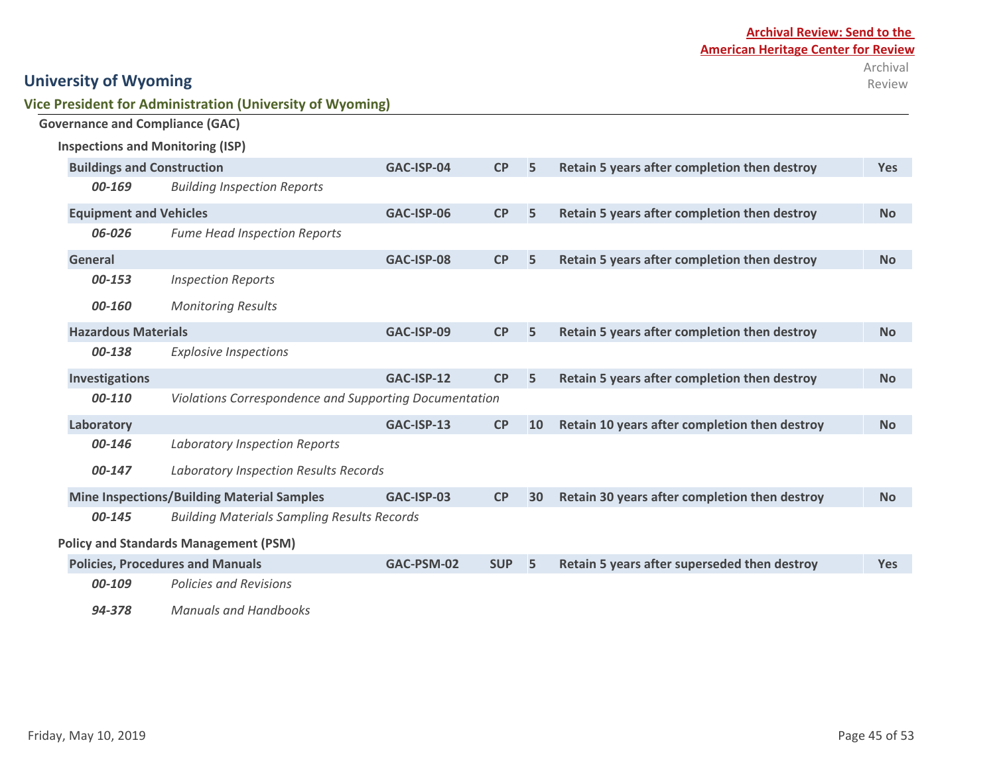| Vice President for Administration (University of Wyoming) |  |
|-----------------------------------------------------------|--|
|-----------------------------------------------------------|--|

| <b>Inspections and Monitoring (ISP)</b> |                                                        |            |            |    |                                               |            |
|-----------------------------------------|--------------------------------------------------------|------------|------------|----|-----------------------------------------------|------------|
| <b>Buildings and Construction</b>       |                                                        | GAC-ISP-04 | CP         | 5  | Retain 5 years after completion then destroy  | <b>Yes</b> |
| 00-169                                  | <b>Building Inspection Reports</b>                     |            |            |    |                                               |            |
| <b>Equipment and Vehicles</b>           |                                                        | GAC-ISP-06 | CP         | 5  | Retain 5 years after completion then destroy  | <b>No</b>  |
| 06-026                                  | <b>Fume Head Inspection Reports</b>                    |            |            |    |                                               |            |
| <b>General</b>                          |                                                        | GAC-ISP-08 | CP         | 5  | Retain 5 years after completion then destroy  | <b>No</b>  |
| 00-153                                  | <b>Inspection Reports</b>                              |            |            |    |                                               |            |
| 00-160                                  | <b>Monitoring Results</b>                              |            |            |    |                                               |            |
| <b>Hazardous Materials</b>              |                                                        | GAC-ISP-09 | CP         | 5  | Retain 5 years after completion then destroy  | <b>No</b>  |
| 00-138                                  | <b>Explosive Inspections</b>                           |            |            |    |                                               |            |
| <b>Investigations</b>                   |                                                        | GAC-ISP-12 | CP         | 5  | Retain 5 years after completion then destroy  | <b>No</b>  |
| 00-110                                  | Violations Correspondence and Supporting Documentation |            |            |    |                                               |            |
| Laboratory                              |                                                        | GAC-ISP-13 | <b>CP</b>  | 10 | Retain 10 years after completion then destroy | <b>No</b>  |
| 00-146                                  | <b>Laboratory Inspection Reports</b>                   |            |            |    |                                               |            |
| 00-147                                  | Laboratory Inspection Results Records                  |            |            |    |                                               |            |
|                                         | <b>Mine Inspections/Building Material Samples</b>      | GAC-ISP-03 | <b>CP</b>  | 30 | Retain 30 years after completion then destroy | <b>No</b>  |
| 00-145                                  | <b>Building Materials Sampling Results Records</b>     |            |            |    |                                               |            |
|                                         | <b>Policy and Standards Management (PSM)</b>           |            |            |    |                                               |            |
|                                         | <b>Policies, Procedures and Manuals</b>                | GAC-PSM-02 | <b>SUP</b> | 5  | Retain 5 years after superseded then destroy  | <b>Yes</b> |
| 00-109                                  | <b>Policies and Revisions</b>                          |            |            |    |                                               |            |
| 94-378                                  | <b>Manuals and Handbooks</b>                           |            |            |    |                                               |            |

**Governance and Compliance (GAC)**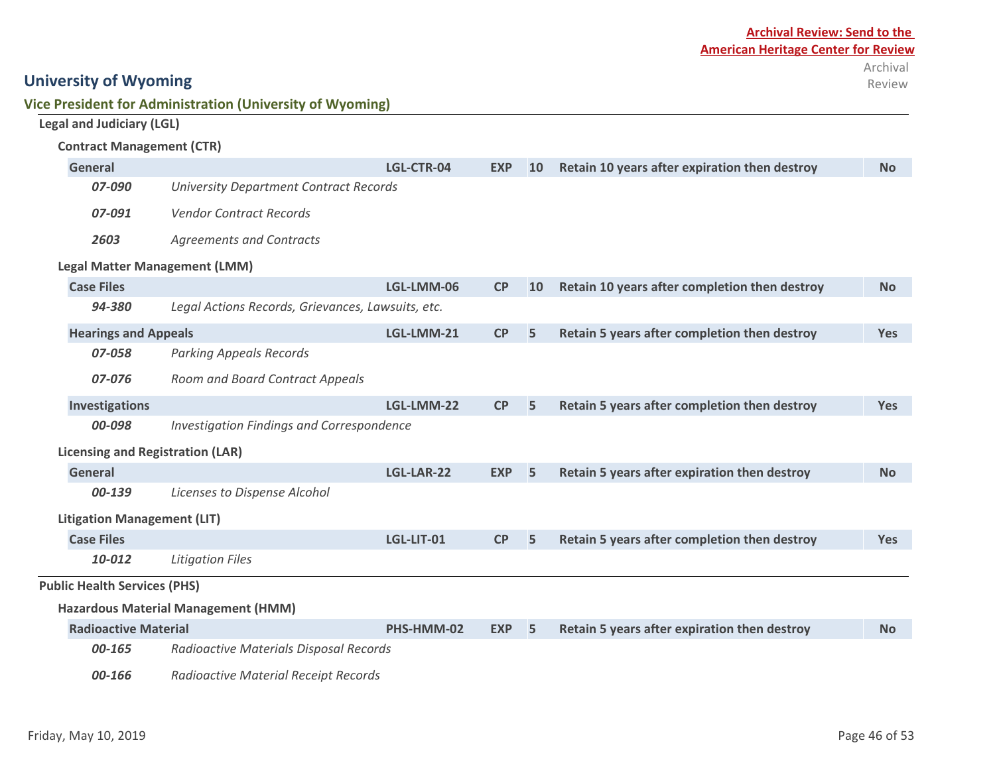#### **Contract Management (CTR)**

**Vice President for Administration (University of Wyoming)**

| <b>General</b>                      |                                                   | LGL-CTR-04 | <b>EXP</b> | 10 | Retain 10 years after expiration then destroy | <b>No</b>  |
|-------------------------------------|---------------------------------------------------|------------|------------|----|-----------------------------------------------|------------|
| 07-090                              | <b>University Department Contract Records</b>     |            |            |    |                                               |            |
| 07-091                              | <b>Vendor Contract Records</b>                    |            |            |    |                                               |            |
| 2603                                | <b>Agreements and Contracts</b>                   |            |            |    |                                               |            |
|                                     | <b>Legal Matter Management (LMM)</b>              |            |            |    |                                               |            |
| <b>Case Files</b>                   |                                                   | LGL-LMM-06 | <b>CP</b>  | 10 | Retain 10 years after completion then destroy | <b>No</b>  |
| 94-380                              | Legal Actions Records, Grievances, Lawsuits, etc. |            |            |    |                                               |            |
| <b>Hearings and Appeals</b>         |                                                   | LGL-LMM-21 | CP         | 5  | Retain 5 years after completion then destroy  | Yes        |
| 07-058                              | <b>Parking Appeals Records</b>                    |            |            |    |                                               |            |
| 07-076                              | Room and Board Contract Appeals                   |            |            |    |                                               |            |
| <b>Investigations</b>               |                                                   | LGL-LMM-22 | CP         | 5  | Retain 5 years after completion then destroy  | Yes        |
| 00-098                              | <b>Investigation Findings and Correspondence</b>  |            |            |    |                                               |            |
|                                     | <b>Licensing and Registration (LAR)</b>           |            |            |    |                                               |            |
| <b>General</b>                      |                                                   | LGL-LAR-22 | <b>EXP</b> | 5  | Retain 5 years after expiration then destroy  | <b>No</b>  |
| 00-139                              | Licenses to Dispense Alcohol                      |            |            |    |                                               |            |
| <b>Litigation Management (LIT)</b>  |                                                   |            |            |    |                                               |            |
| <b>Case Files</b>                   |                                                   | LGL-LIT-01 | CP         | 5  | Retain 5 years after completion then destroy  | <b>Yes</b> |
| 10-012                              | <b>Litigation Files</b>                           |            |            |    |                                               |            |
| <b>Public Health Services (PHS)</b> |                                                   |            |            |    |                                               |            |
|                                     | <b>Hazardous Material Management (HMM)</b>        |            |            |    |                                               |            |
| <b>Radioactive Material</b>         |                                                   | PHS-HMM-02 | <b>EXP</b> | 5  | Retain 5 years after expiration then destroy  | <b>No</b>  |
| 00-165                              | Radioactive Materials Disposal Records            |            |            |    |                                               |            |
| 00-166                              | Radioactive Material Receipt Records              |            |            |    |                                               |            |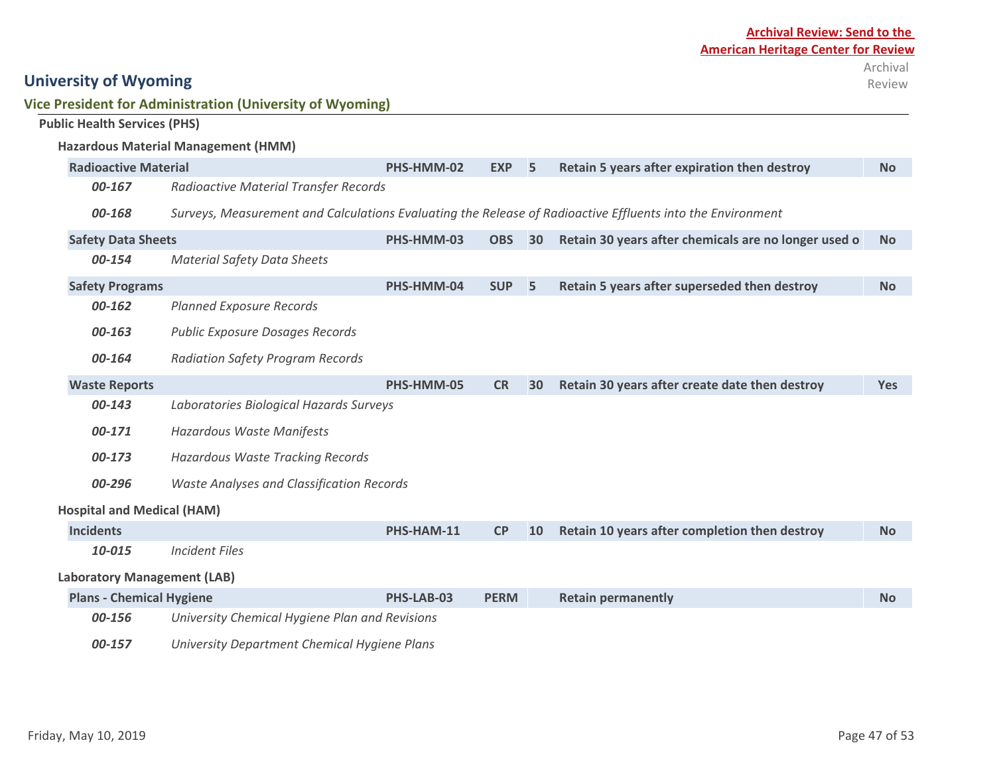### **Vice President for Administration (University of Wyoming)**

|  |  | <b>Public Health Services (PHS)</b> |  |
|--|--|-------------------------------------|--|
|--|--|-------------------------------------|--|

|                                    | <b>Hazardous Material Management (HMM)</b>       |            |             |    |                                                                                                            |            |
|------------------------------------|--------------------------------------------------|------------|-------------|----|------------------------------------------------------------------------------------------------------------|------------|
| <b>Radioactive Material</b>        |                                                  | PHS-HMM-02 | <b>EXP</b>  | 5  | Retain 5 years after expiration then destroy                                                               | <b>No</b>  |
| 00-167                             | <b>Radioactive Material Transfer Records</b>     |            |             |    |                                                                                                            |            |
| 00-168                             |                                                  |            |             |    | Surveys, Measurement and Calculations Evaluating the Release of Radioactive Effluents into the Environment |            |
| <b>Safety Data Sheets</b>          |                                                  | PHS-HMM-03 | <b>OBS</b>  | 30 | Retain 30 years after chemicals are no longer used o                                                       | <b>No</b>  |
| 00-154                             | <b>Material Safety Data Sheets</b>               |            |             |    |                                                                                                            |            |
| <b>Safety Programs</b>             |                                                  | PHS-HMM-04 | <b>SUP</b>  | 5  | Retain 5 years after superseded then destroy                                                               | <b>No</b>  |
| 00-162                             | <b>Planned Exposure Records</b>                  |            |             |    |                                                                                                            |            |
| 00-163                             | <b>Public Exposure Dosages Records</b>           |            |             |    |                                                                                                            |            |
| 00-164                             | <b>Radiation Safety Program Records</b>          |            |             |    |                                                                                                            |            |
| <b>Waste Reports</b>               |                                                  | PHS-HMM-05 | <b>CR</b>   | 30 | Retain 30 years after create date then destroy                                                             | <b>Yes</b> |
| 00-143                             | Laboratories Biological Hazards Surveys          |            |             |    |                                                                                                            |            |
| 00-171                             | Hazardous Waste Manifests                        |            |             |    |                                                                                                            |            |
| 00-173                             | <b>Hazardous Waste Tracking Records</b>          |            |             |    |                                                                                                            |            |
| 00-296                             | <b>Waste Analyses and Classification Records</b> |            |             |    |                                                                                                            |            |
| <b>Hospital and Medical (HAM)</b>  |                                                  |            |             |    |                                                                                                            |            |
| <b>Incidents</b>                   |                                                  | PHS-HAM-11 | CP          | 10 | Retain 10 years after completion then destroy                                                              | <b>No</b>  |
| 10-015                             | <b>Incident Files</b>                            |            |             |    |                                                                                                            |            |
| <b>Laboratory Management (LAB)</b> |                                                  |            |             |    |                                                                                                            |            |
| <b>Plans - Chemical Hygiene</b>    |                                                  | PHS-LAB-03 | <b>PERM</b> |    | <b>Retain permanently</b>                                                                                  | <b>No</b>  |
| 00-156                             | University Chemical Hygiene Plan and Revisions   |            |             |    |                                                                                                            |            |

*00-157 University Department Chemical Hygiene Plans*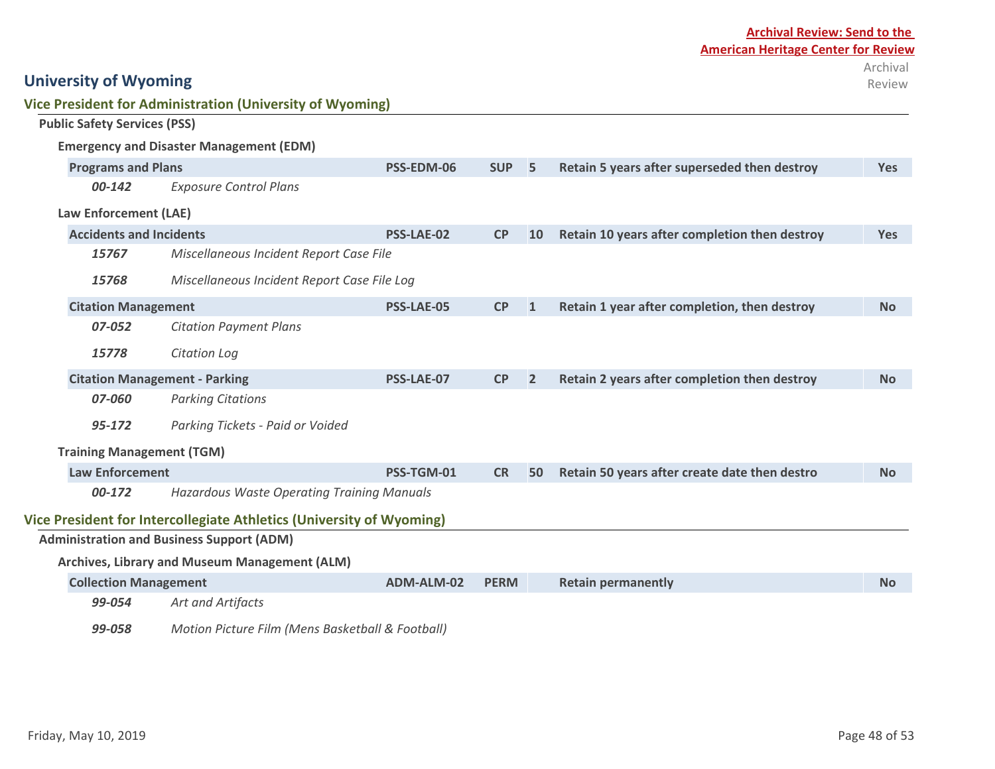| Law Enforcement (LAE)                |                                                                      |                   |             |                |                                               |            |
|--------------------------------------|----------------------------------------------------------------------|-------------------|-------------|----------------|-----------------------------------------------|------------|
| <b>Accidents and Incidents</b>       |                                                                      | <b>PSS-LAE-02</b> | CP          | <b>10</b>      | Retain 10 years after completion then destroy | <b>Yes</b> |
| 15767                                | Miscellaneous Incident Report Case File                              |                   |             |                |                                               |            |
| 15768                                | Miscellaneous Incident Report Case File Log                          |                   |             |                |                                               |            |
| <b>Citation Management</b>           |                                                                      | <b>PSS-LAE-05</b> | CP          | 1              | Retain 1 year after completion, then destroy  | <b>No</b>  |
| 07-052                               | <b>Citation Payment Plans</b>                                        |                   |             |                |                                               |            |
| 15778                                | Citation Log                                                         |                   |             |                |                                               |            |
| <b>Citation Management - Parking</b> |                                                                      | <b>PSS-LAE-07</b> | CP          | $\overline{2}$ | Retain 2 years after completion then destroy  | <b>No</b>  |
| 07-060                               | <b>Parking Citations</b>                                             |                   |             |                |                                               |            |
| 95-172                               | Parking Tickets - Paid or Voided                                     |                   |             |                |                                               |            |
| <b>Training Management (TGM)</b>     |                                                                      |                   |             |                |                                               |            |
| <b>Law Enforcement</b>               |                                                                      | PSS-TGM-01        | <b>CR</b>   | 50             | Retain 50 years after create date then destro | <b>No</b>  |
| 00-172                               | Hazardous Waste Operating Training Manuals                           |                   |             |                |                                               |            |
|                                      | Vice President for Intercollegiate Athletics (University of Wyoming) |                   |             |                |                                               |            |
|                                      | <b>Administration and Business Support (ADM)</b>                     |                   |             |                |                                               |            |
|                                      | Archives, Library and Museum Management (ALM)                        |                   |             |                |                                               |            |
| <b>Collection Management</b>         |                                                                      | ADM-ALM-02        | <b>PERM</b> |                | <b>Retain permanently</b>                     | <b>No</b>  |

**Programs and Plans PSS-EDM-06 SUP 5 Retain 5 years after superseded then destroy Yes**

**University of Wyoming**

**Public Safety Services (PSS)**

**Vice President for Administration (University of Wyoming)**

**Emergency and Disaster Management (EDM)**

*00-142 Exposure Control Plans*

| <b>Collection Management</b> |                   | ADM-ALM-02 PERM | <b>Retain permanently</b> | <b>No</b> |
|------------------------------|-------------------|-----------------|---------------------------|-----------|
| 99-054                       | Art and Artifacts |                 |                           |           |

*99-058 Motion Picture Film (Mens Basketball & Football)*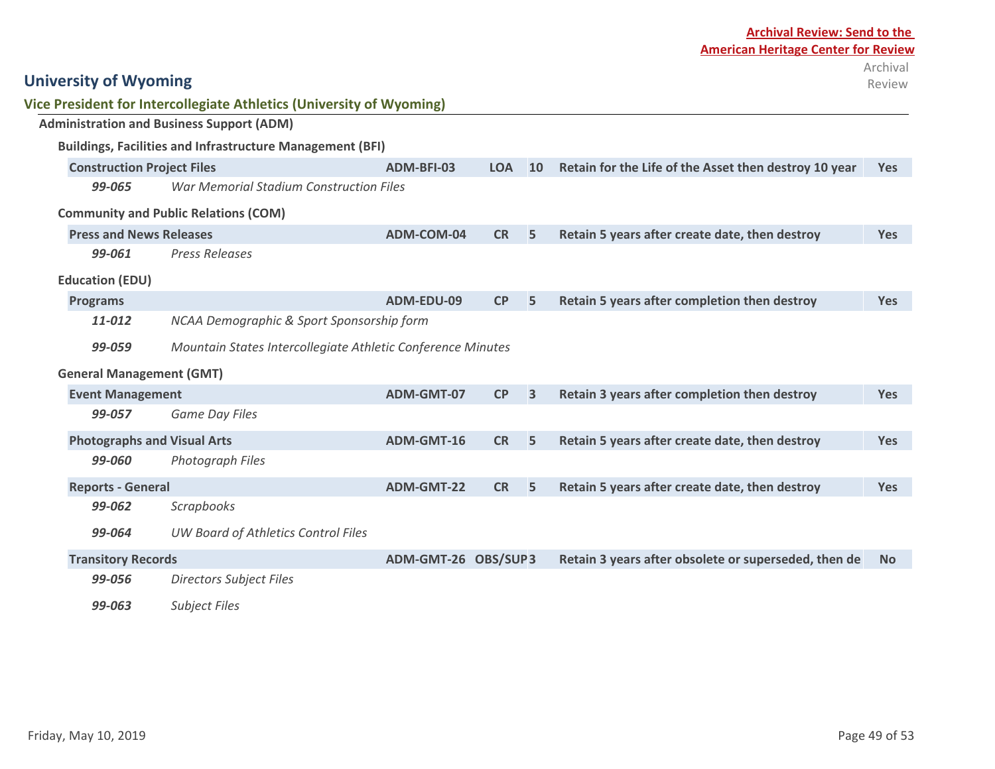| <b>University of Wyoming</b>       |                                                                      |                     |            |                |                                                       | Archival<br>Review |
|------------------------------------|----------------------------------------------------------------------|---------------------|------------|----------------|-------------------------------------------------------|--------------------|
|                                    | Vice President for Intercollegiate Athletics (University of Wyoming) |                     |            |                |                                                       |                    |
|                                    | <b>Administration and Business Support (ADM)</b>                     |                     |            |                |                                                       |                    |
|                                    | <b>Buildings, Facilities and Infrastructure Management (BFI)</b>     |                     |            |                |                                                       |                    |
| <b>Construction Project Files</b>  |                                                                      | ADM-BFI-03          | <b>LOA</b> | 10             | Retain for the Life of the Asset then destroy 10 year | <b>Yes</b>         |
| 99-065                             | <b>War Memorial Stadium Construction Files</b>                       |                     |            |                |                                                       |                    |
|                                    | <b>Community and Public Relations (COM)</b>                          |                     |            |                |                                                       |                    |
| <b>Press and News Releases</b>     |                                                                      | ADM-COM-04          | <b>CR</b>  | 5              | Retain 5 years after create date, then destroy        | <b>Yes</b>         |
| 99-061                             | <b>Press Releases</b>                                                |                     |            |                |                                                       |                    |
| <b>Education (EDU)</b>             |                                                                      |                     |            |                |                                                       |                    |
| <b>Programs</b>                    |                                                                      | ADM-EDU-09          | CP         | 5              | Retain 5 years after completion then destroy          | <b>Yes</b>         |
| 11-012                             | NCAA Demographic & Sport Sponsorship form                            |                     |            |                |                                                       |                    |
| 99-059                             | Mountain States Intercollegiate Athletic Conference Minutes          |                     |            |                |                                                       |                    |
| <b>General Management (GMT)</b>    |                                                                      |                     |            |                |                                                       |                    |
| <b>Event Management</b>            |                                                                      | ADM-GMT-07          | <b>CP</b>  | $\overline{3}$ | Retain 3 years after completion then destroy          | <b>Yes</b>         |
| 99-057                             | <b>Game Day Files</b>                                                |                     |            |                |                                                       |                    |
| <b>Photographs and Visual Arts</b> |                                                                      | ADM-GMT-16          | <b>CR</b>  | 5              | Retain 5 years after create date, then destroy        | <b>Yes</b>         |
| 99-060                             | Photograph Files                                                     |                     |            |                |                                                       |                    |
| <b>Reports - General</b>           |                                                                      | ADM-GMT-22          | <b>CR</b>  | 5              | Retain 5 years after create date, then destroy        | <b>Yes</b>         |
| 99-062                             | <b>Scrapbooks</b>                                                    |                     |            |                |                                                       |                    |
| 99-064                             | UW Board of Athletics Control Files                                  |                     |            |                |                                                       |                    |
| <b>Transitory Records</b>          |                                                                      | ADM-GMT-26 OBS/SUP3 |            |                | Retain 3 years after obsolete or superseded, then de  | <b>No</b>          |
| 99-056                             | <b>Directors Subject Files</b>                                       |                     |            |                |                                                       |                    |
| 99-063                             | <b>Subject Files</b>                                                 |                     |            |                |                                                       |                    |

# **Archival Review: Send to the American Heritage Center for Review**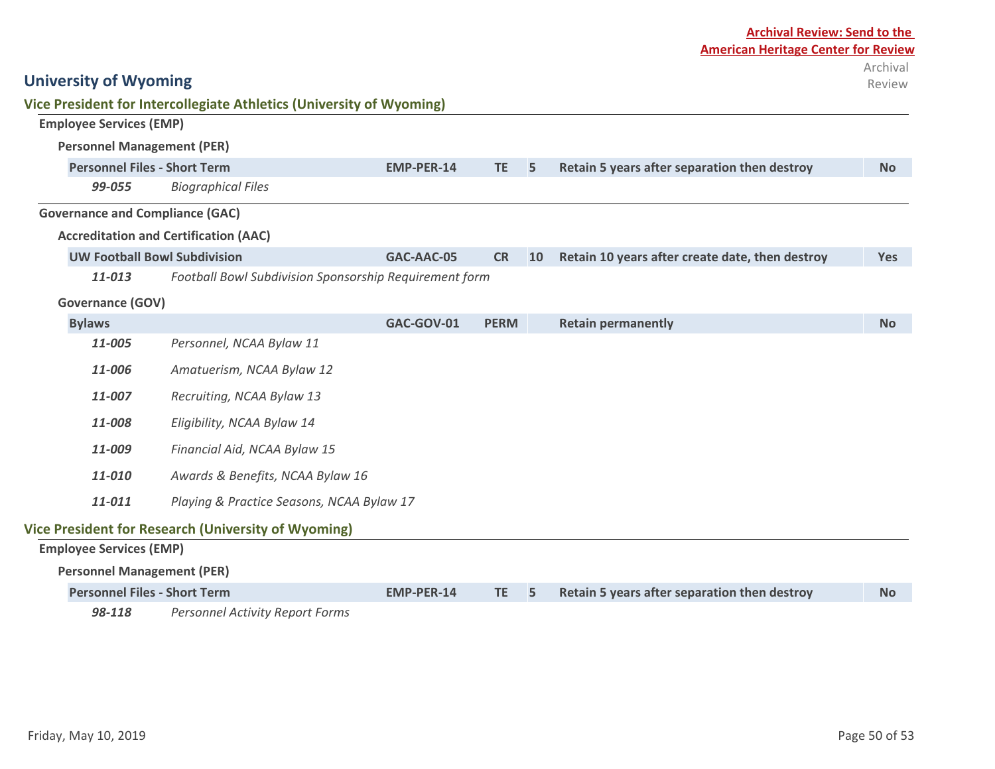| <b>American Heritage Center for Review</b>                     | Archival<br>Review |
|----------------------------------------------------------------|--------------------|
|                                                                |                    |
|                                                                |                    |
| Retain 5 years after separation then destroy<br><b>TE</b><br>5 | <b>No</b>          |
|                                                                |                    |

#### **Accreditation and Certification (AAC)**

*99-055 Biographical Files*

**Vice President for Intercollegiate Athletics (University of Wyoming)**

**Personnel Files - Short Term EMP-PER-14 EMP-PER-14** 

| <b>UW Football Bowl Subdivision</b> | GAC-AAC-05 |  | $\sim$ CR at 10 Retain 10 years after create date, then destroy | Yes |
|-------------------------------------|------------|--|-----------------------------------------------------------------|-----|
|                                     |            |  |                                                                 |     |

*11-013 Football Bowl Subdivision Sponsorship Requirement form*

#### **Governance (GOV)**

**University of Wyoming**

**Employee Services (EMP)**

**Personnel Management (PER)**

**Governance and Compliance (GAC)**

| <b>Bylaws</b>                                       |                                                                                                                                                                                                                                                                                                                                                                                | GAC-GOV-01 | <b>PERM</b> |    | <b>Retain permanently</b>                    | <b>No</b> |  |  |  |
|-----------------------------------------------------|--------------------------------------------------------------------------------------------------------------------------------------------------------------------------------------------------------------------------------------------------------------------------------------------------------------------------------------------------------------------------------|------------|-------------|----|----------------------------------------------|-----------|--|--|--|
| 11-005                                              | Personnel, NCAA Bylaw 11                                                                                                                                                                                                                                                                                                                                                       |            |             |    |                                              |           |  |  |  |
| 11-006                                              | Amatuerism, NCAA Bylaw 12                                                                                                                                                                                                                                                                                                                                                      |            |             |    |                                              |           |  |  |  |
| 11-007                                              | Recruiting, NCAA Bylaw 13                                                                                                                                                                                                                                                                                                                                                      |            |             |    |                                              |           |  |  |  |
| 11-008                                              | Eligibility, NCAA Bylaw 14                                                                                                                                                                                                                                                                                                                                                     |            |             |    |                                              |           |  |  |  |
| 11-009                                              | Financial Aid, NCAA Bylaw 15                                                                                                                                                                                                                                                                                                                                                   |            |             |    |                                              |           |  |  |  |
| 11-010                                              | Awards & Benefits, NCAA Bylaw 16                                                                                                                                                                                                                                                                                                                                               |            |             |    |                                              |           |  |  |  |
| 11-011<br>Playing & Practice Seasons, NCAA Bylaw 17 |                                                                                                                                                                                                                                                                                                                                                                                |            |             |    |                                              |           |  |  |  |
|                                                     | Vice President for Research (University of Wyoming)                                                                                                                                                                                                                                                                                                                            |            |             |    |                                              |           |  |  |  |
| <b>Employee Services (EMP)</b>                      |                                                                                                                                                                                                                                                                                                                                                                                |            |             |    |                                              |           |  |  |  |
| <b>Personnel Management (PER)</b>                   |                                                                                                                                                                                                                                                                                                                                                                                |            |             |    |                                              |           |  |  |  |
| <b>Personnel Files - Short Term</b>                 |                                                                                                                                                                                                                                                                                                                                                                                | EMP-PER-14 | TE.         | 5. | Retain 5 years after separation then destroy | No.       |  |  |  |
|                                                     | $\overline{00}$ $\overline{440}$ $\overline{0}$ $\overline{0}$ $\overline{0}$ $\overline{0}$ $\overline{0}$ $\overline{0}$ $\overline{0}$ $\overline{0}$ $\overline{0}$ $\overline{1}$ $\overline{0}$ $\overline{0}$ $\overline{0}$ $\overline{0}$ $\overline{0}$ $\overline{0}$ $\overline{0}$ $\overline{0}$ $\overline{0}$ $\overline{0}$ $\overline{0}$ $\overline{0}$ $\$ |            |             |    |                                              |           |  |  |  |

*98-118 Personnel Activity Report Forms*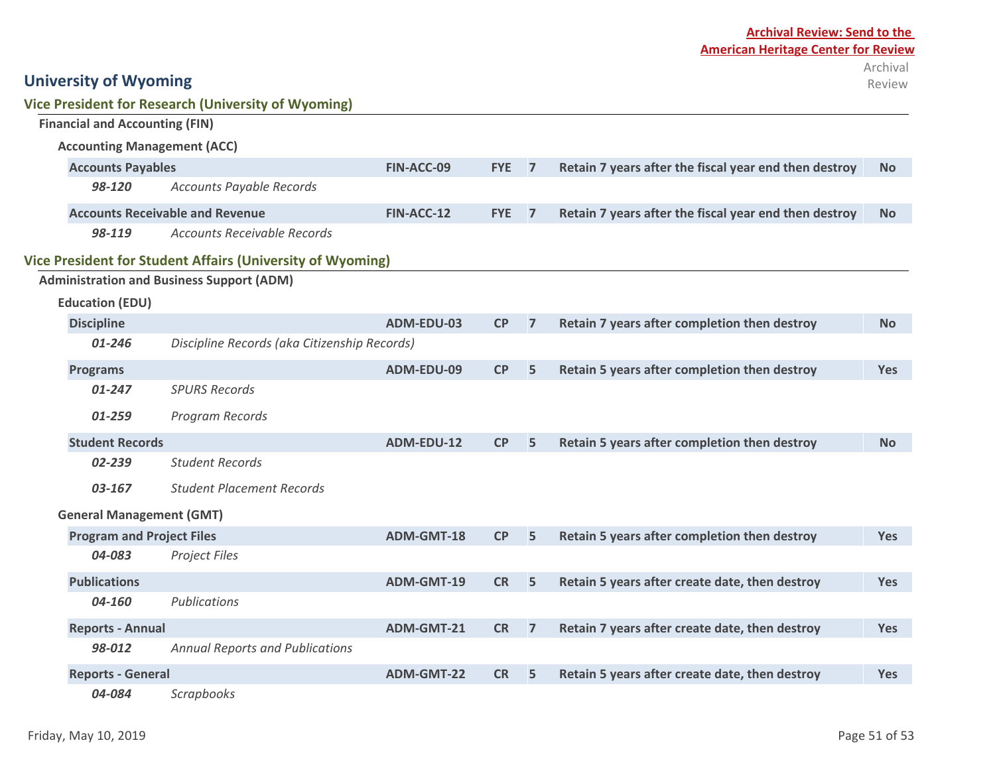|  |                                                                                                                               | <b>Vice President for Research (University of Wyoming)</b> |                   |                |                                                       |                                                       |            |
|--|-------------------------------------------------------------------------------------------------------------------------------|------------------------------------------------------------|-------------------|----------------|-------------------------------------------------------|-------------------------------------------------------|------------|
|  | <b>Financial and Accounting (FIN)</b>                                                                                         |                                                            |                   |                |                                                       |                                                       |            |
|  | <b>Accounting Management (ACC)</b>                                                                                            |                                                            |                   |                |                                                       |                                                       |            |
|  | <b>Accounts Payables</b>                                                                                                      | FIN-ACC-09                                                 | <b>FYE</b>        | $\overline{7}$ | Retain 7 years after the fiscal year end then destroy | <b>No</b>                                             |            |
|  | 98-120<br><b>Accounts Payable Records</b>                                                                                     |                                                            |                   |                |                                                       |                                                       |            |
|  | <b>Accounts Receivable and Revenue</b>                                                                                        |                                                            | FIN-ACC-12        | <b>FYE</b>     | $\overline{7}$                                        | Retain 7 years after the fiscal year end then destroy | <b>No</b>  |
|  | 98-119                                                                                                                        | <b>Accounts Receivable Records</b>                         |                   |                |                                                       |                                                       |            |
|  |                                                                                                                               | Vice President for Student Affairs (University of Wyoming) |                   |                |                                                       |                                                       |            |
|  |                                                                                                                               | <b>Administration and Business Support (ADM)</b>           |                   |                |                                                       |                                                       |            |
|  | <b>Education (EDU)</b>                                                                                                        |                                                            |                   |                |                                                       |                                                       |            |
|  | <b>Discipline</b>                                                                                                             |                                                            | ADM-EDU-03        | CP             | $\overline{7}$                                        | Retain 7 years after completion then destroy          | <b>No</b>  |
|  | Discipline Records (aka Citizenship Records)<br>$01 - 246$                                                                    |                                                            |                   |                |                                                       |                                                       |            |
|  | <b>Programs</b>                                                                                                               |                                                            | ADM-EDU-09        | <b>CP</b>      | 5                                                     | Retain 5 years after completion then destroy          | <b>Yes</b> |
|  | $01 - 247$<br><b>SPURS Records</b><br>01-259<br>Program Records<br><b>Student Records</b><br><b>Student Records</b><br>02-239 |                                                            |                   |                |                                                       |                                                       |            |
|  |                                                                                                                               |                                                            |                   |                |                                                       |                                                       |            |
|  |                                                                                                                               |                                                            | ADM-EDU-12        | CP             | 5                                                     | Retain 5 years after completion then destroy          | <b>No</b>  |
|  |                                                                                                                               |                                                            |                   |                |                                                       |                                                       |            |
|  | 03-167                                                                                                                        | <b>Student Placement Records</b>                           |                   |                |                                                       |                                                       |            |
|  | <b>General Management (GMT)</b>                                                                                               |                                                            |                   |                |                                                       |                                                       |            |
|  | <b>Program and Project Files</b>                                                                                              |                                                            | <b>ADM-GMT-18</b> | CP             | 5                                                     | Retain 5 years after completion then destroy          | <b>Yes</b> |
|  | 04-083<br>Project Files                                                                                                       |                                                            |                   |                |                                                       |                                                       |            |
|  | <b>Publications</b>                                                                                                           |                                                            | ADM-GMT-19        | <b>CR</b>      | 5                                                     | Retain 5 years after create date, then destroy        | <b>Yes</b> |
|  | Publications<br>04-160<br><b>Reports - Annual</b>                                                                             |                                                            |                   |                |                                                       |                                                       |            |
|  |                                                                                                                               |                                                            | ADM-GMT-21        | <b>CR</b>      | $\overline{7}$                                        | Retain 7 years after create date, then destroy        | <b>Yes</b> |
|  | 98-012                                                                                                                        | <b>Annual Reports and Publications</b>                     |                   |                |                                                       |                                                       |            |
|  | <b>Reports - General</b>                                                                                                      |                                                            | <b>ADM-GMT-22</b> | <b>CR</b>      | 5                                                     | Retain 5 years after create date, then destroy        | <b>Yes</b> |
|  | 04-084<br><b>Scrapbooks</b>                                                                                                   |                                                            |                   |                |                                                       |                                                       |            |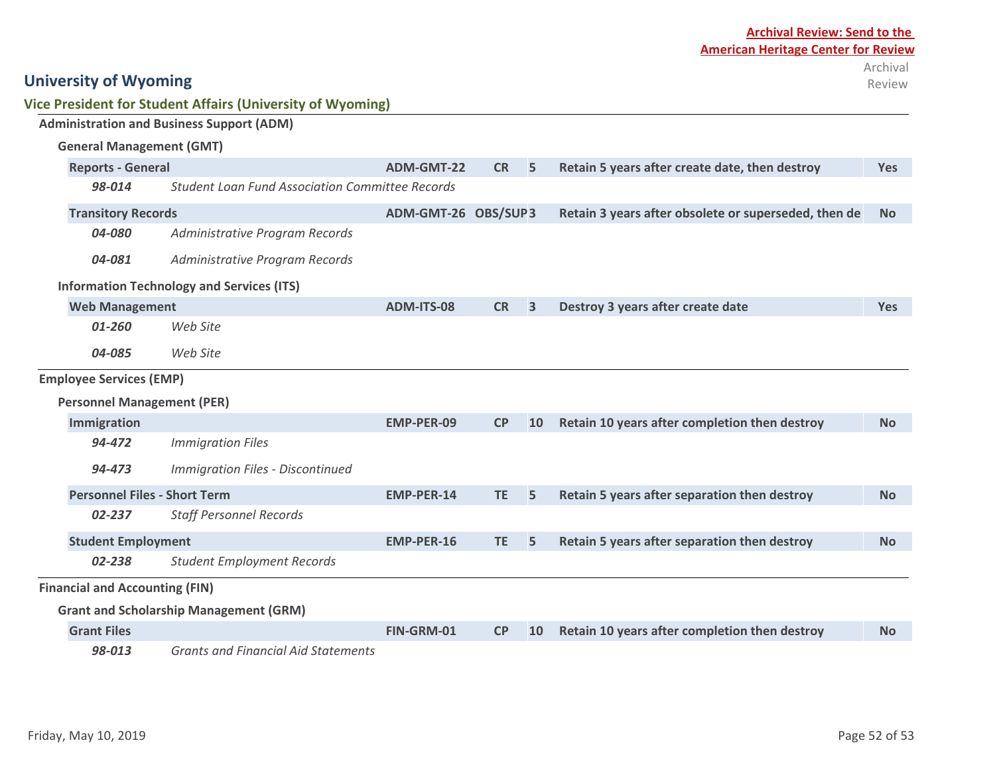| <b>Archival Review: Send to the</b>        |  |  |  |  |  |  |
|--------------------------------------------|--|--|--|--|--|--|
| <b>American Heritage Center for Review</b> |  |  |  |  |  |  |
| Archival                                   |  |  |  |  |  |  |
| Review                                     |  |  |  |  |  |  |

|  |  |  |  |  | Vice President for Student Affairs (University of Wyoming) |  |
|--|--|--|--|--|------------------------------------------------------------|--|
|--|--|--|--|--|------------------------------------------------------------|--|

|                                   |                                          | <b>Administration and Business Support (ADM)</b>       |                     |           |                                                |                                                      |            |
|-----------------------------------|------------------------------------------|--------------------------------------------------------|---------------------|-----------|------------------------------------------------|------------------------------------------------------|------------|
|                                   | <b>General Management (GMT)</b>          |                                                        |                     |           |                                                |                                                      |            |
|                                   | <b>Reports - General</b>                 | <b>ADM-GMT-22</b>                                      | <b>CR</b>           | 5         | Retain 5 years after create date, then destroy | <b>Yes</b>                                           |            |
|                                   | 98-014                                   | <b>Student Loan Fund Association Committee Records</b> |                     |           |                                                |                                                      |            |
|                                   | <b>Transitory Records</b>                |                                                        | ADM-GMT-26 OBS/SUP3 |           |                                                | Retain 3 years after obsolete or superseded, then de | <b>No</b>  |
|                                   | 04-080                                   | Administrative Program Records                         |                     |           |                                                |                                                      |            |
|                                   | 04-081<br>Administrative Program Records |                                                        |                     |           |                                                |                                                      |            |
|                                   |                                          | <b>Information Technology and Services (ITS)</b>       |                     |           |                                                |                                                      |            |
|                                   | <b>Web Management</b>                    |                                                        | <b>ADM-ITS-08</b>   | <b>CR</b> | $\overline{\mathbf{3}}$                        | Destroy 3 years after create date                    | <b>Yes</b> |
|                                   | 01-260<br>Web Site                       |                                                        |                     |           |                                                |                                                      |            |
|                                   | 04-085                                   | Web Site                                               |                     |           |                                                |                                                      |            |
|                                   | <b>Employee Services (EMP)</b>           |                                                        |                     |           |                                                |                                                      |            |
| <b>Personnel Management (PER)</b> |                                          |                                                        |                     |           |                                                |                                                      |            |
|                                   | Immigration                              |                                                        | <b>EMP-PER-09</b>   | CP        | 10                                             | Retain 10 years after completion then destroy        | <b>No</b>  |
|                                   | 94-472                                   | <b>Immigration Files</b>                               |                     |           |                                                |                                                      |            |
|                                   | 94-473                                   | <b>Immigration Files - Discontinued</b>                |                     |           |                                                |                                                      |            |
|                                   | <b>Personnel Files - Short Term</b>      |                                                        | <b>EMP-PER-14</b>   | <b>TE</b> | 5                                              | Retain 5 years after separation then destroy         | <b>No</b>  |
|                                   | 02-237                                   | <b>Staff Personnel Records</b>                         |                     |           |                                                |                                                      |            |
|                                   | <b>Student Employment</b>                |                                                        | <b>EMP-PER-16</b>   | <b>TE</b> | 5                                              | Retain 5 years after separation then destroy         | <b>No</b>  |
|                                   | 02-238                                   | <b>Student Employment Records</b>                      |                     |           |                                                |                                                      |            |
|                                   | <b>Financial and Accounting (FIN)</b>    |                                                        |                     |           |                                                |                                                      |            |
|                                   |                                          | <b>Grant and Scholarship Management (GRM)</b>          |                     |           |                                                |                                                      |            |
|                                   | <b>Grant Files</b>                       |                                                        | FIN-GRM-01          | CP        | 10                                             | Retain 10 years after completion then destroy        | No.        |
|                                   | 98-013                                   | <b>Grants and Financial Aid Statements</b>             |                     |           |                                                |                                                      |            |